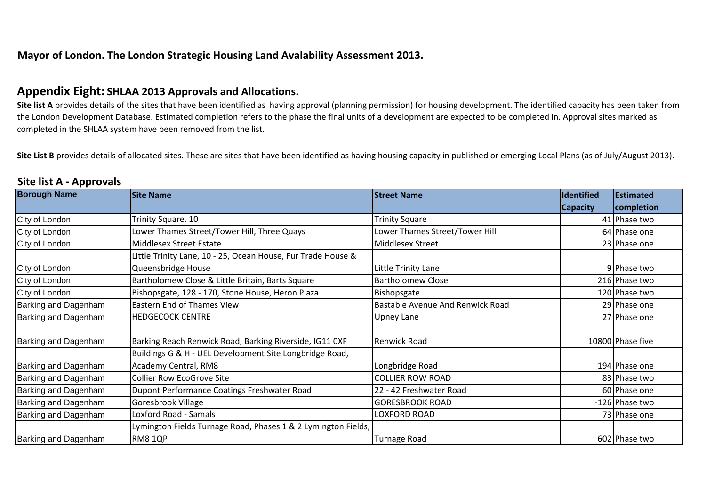## **Mayor of London. The London Strategic Housing Land Avalability Assessment 2013.**

## **Appendix Eight: SHLAA 2013 Approvals and Allocations.**

Site list A provides details of the sites that have been identified as having approval (planning permission) for housing development. The identified capacity has been taken from the London Development Database. Estimated completion refers to the phase the final units of a development are expected to be completed in. Approval sites marked as completed in the SHLAA system have been removed from the list.

Site List B provides details of allocated sites. These are sites that have been identified as having housing capacity in published or emerging Local Plans (as of July/August 2013).

| <b>Borough Name</b>  | <b>Site Name</b>                                              | <b>Street Name</b>                      | <b>Identified</b> | Estimated        |
|----------------------|---------------------------------------------------------------|-----------------------------------------|-------------------|------------------|
|                      |                                                               |                                         | <b>Capacity</b>   | completion       |
| City of London       | Trinity Square, 10                                            | <b>Trinity Square</b>                   |                   | 41 Phase two     |
| City of London       | Lower Thames Street/Tower Hill, Three Quays                   | Lower Thames Street/Tower Hill          |                   | 64 Phase one     |
| City of London       | Middlesex Street Estate                                       | Middlesex Street                        |                   | 23 Phase one     |
|                      | Little Trinity Lane, 10 - 25, Ocean House, Fur Trade House &  |                                         |                   |                  |
| City of London       | Queensbridge House                                            | Little Trinity Lane                     |                   | 9 Phase two      |
| City of London       | Bartholomew Close & Little Britain, Barts Square              | <b>Bartholomew Close</b>                |                   | 216 Phase two    |
| City of London       | Bishopsgate, 128 - 170, Stone House, Heron Plaza              | Bishopsgate                             |                   | 120 Phase two    |
| Barking and Dagenham | Eastern End of Thames View                                    | <b>Bastable Avenue And Renwick Road</b> |                   | 29 Phase one     |
| Barking and Dagenham | <b>HEDGECOCK CENTRE</b>                                       | <b>Upney Lane</b>                       |                   | 27 Phase one     |
|                      |                                                               |                                         |                   |                  |
| Barking and Dagenham | Barking Reach Renwick Road, Barking Riverside, IG11 OXF       | <b>Renwick Road</b>                     |                   | 10800 Phase five |
|                      | Buildings G & H - UEL Development Site Longbridge Road,       |                                         |                   |                  |
| Barking and Dagenham | Academy Central, RM8                                          | Longbridge Road                         |                   | 194 Phase one    |
| Barking and Dagenham | <b>Collier Row EcoGrove Site</b>                              | <b>COLLIER ROW ROAD</b>                 |                   | 83 Phase two     |
| Barking and Dagenham | Dupont Performance Coatings Freshwater Road                   | 22 - 42 Freshwater Road                 |                   | 60 Phase one     |
| Barking and Dagenham | Goresbrook Village                                            | <b>GORESBROOK ROAD</b>                  |                   | -126 Phase two   |
| Barking and Dagenham | Loxford Road - Samals                                         | <b>LOXFORD ROAD</b>                     |                   | 73 Phase one     |
|                      | Lymington Fields Turnage Road, Phases 1 & 2 Lymington Fields, |                                         |                   |                  |
| Barking and Dagenham | RM8 1QP                                                       | Turnage Road                            |                   | 602 Phase two    |

## **Site list A - Approvals**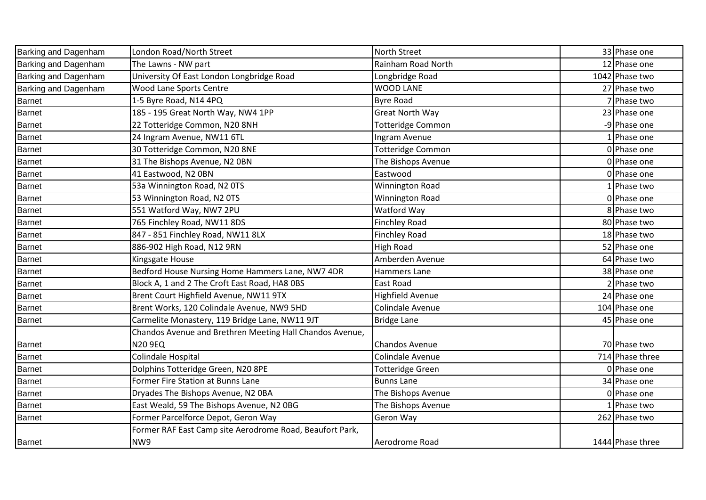| Barking and Dagenham | London Road/North Street                                 | North Street             | 33 Phase one     |
|----------------------|----------------------------------------------------------|--------------------------|------------------|
| Barking and Dagenham | The Lawns - NW part                                      | Rainham Road North       | 12 Phase one     |
| Barking and Dagenham | University Of East London Longbridge Road                | Longbridge Road          | 1042 Phase two   |
| Barking and Dagenham | Wood Lane Sports Centre                                  | <b>WOOD LANE</b>         | 27 Phase two     |
| <b>Barnet</b>        | 1-5 Byre Road, N14 4PQ                                   | <b>Byre Road</b>         | Phase two        |
| <b>Barnet</b>        | 185 - 195 Great North Way, NW4 1PP                       | Great North Way          | 23 Phase one     |
| <b>Barnet</b>        | 22 Totteridge Common, N20 8NH                            | <b>Totteridge Common</b> | -9 Phase one     |
| <b>Barnet</b>        | 24 Ingram Avenue, NW11 6TL                               | Ingram Avenue            | 1 Phase one      |
| <b>Barnet</b>        | 30 Totteridge Common, N20 8NE                            | <b>Totteridge Common</b> | 0 Phase one      |
| <b>Barnet</b>        | 31 The Bishops Avenue, N2 OBN                            | The Bishops Avenue       | 0 Phase one      |
| <b>Barnet</b>        | 41 Eastwood, N2 OBN                                      | Eastwood                 | 0 Phase one      |
| <b>Barnet</b>        | 53a Winnington Road, N2 OTS                              | Winnington Road          | Phase two        |
| <b>Barnet</b>        | 53 Winnington Road, N2 OTS                               | Winnington Road          | 0 Phase one      |
| <b>Barnet</b>        | 551 Watford Way, NW7 2PU                                 | Watford Way              | 8 Phase two      |
| <b>Barnet</b>        | 765 Finchley Road, NW11 8DS                              | <b>Finchley Road</b>     | 80 Phase two     |
| <b>Barnet</b>        | 847 - 851 Finchley Road, NW11 8LX                        | <b>Finchley Road</b>     | 18 Phase two     |
| <b>Barnet</b>        | 886-902 High Road, N12 9RN                               | <b>High Road</b>         | 52 Phase one     |
| <b>Barnet</b>        | Kingsgate House                                          | Amberden Avenue          | 64 Phase two     |
| <b>Barnet</b>        | Bedford House Nursing Home Hammers Lane, NW7 4DR         | Hammers Lane             | 38 Phase one     |
| <b>Barnet</b>        | Block A, 1 and 2 The Croft East Road, HA8 OBS            | East Road                | Phase two        |
| <b>Barnet</b>        | Brent Court Highfield Avenue, NW11 9TX                   | Highfield Avenue         | 24 Phase one     |
| <b>Barnet</b>        | Brent Works, 120 Colindale Avenue, NW9 5HD               | Colindale Avenue         | 104 Phase one    |
| <b>Barnet</b>        | Carmelite Monastery, 119 Bridge Lane, NW11 9JT           | <b>Bridge Lane</b>       | 45 Phase one     |
|                      | Chandos Avenue and Brethren Meeting Hall Chandos Avenue, |                          |                  |
| <b>Barnet</b>        | <b>N20 9EQ</b>                                           | Chandos Avenue           | 70 Phase two     |
| <b>Barnet</b>        | Colindale Hospital                                       | Colindale Avenue         | 714 Phase three  |
| <b>Barnet</b>        | Dolphins Totteridge Green, N20 8PE                       | <b>Totteridge Green</b>  | 0 Phase one      |
| <b>Barnet</b>        | Former Fire Station at Bunns Lane                        | <b>Bunns Lane</b>        | 34 Phase one     |
| <b>Barnet</b>        | Dryades The Bishops Avenue, N2 OBA                       | The Bishops Avenue       | 0 Phase one      |
| <b>Barnet</b>        | East Weald, 59 The Bishops Avenue, N2 0BG                | The Bishops Avenue       | 1 Phase two      |
| <b>Barnet</b>        | Former Parcelforce Depot, Geron Way                      | Geron Way                | 262 Phase two    |
|                      | Former RAF East Camp site Aerodrome Road, Beaufort Park, |                          |                  |
| <b>Barnet</b>        | NW9                                                      | Aerodrome Road           | 1444 Phase three |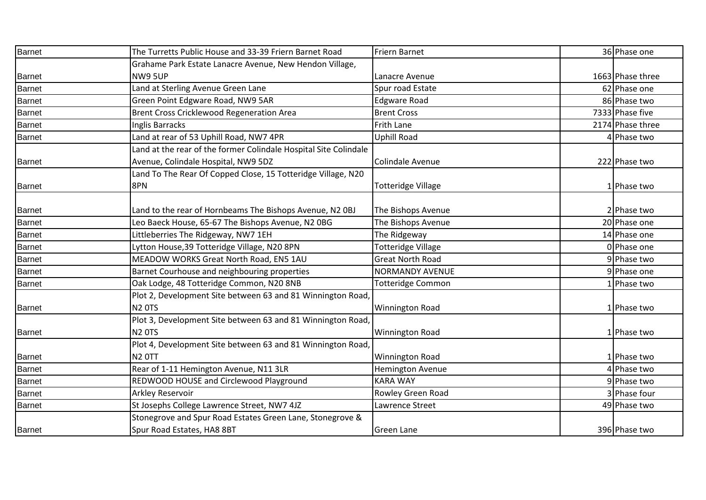| <b>Barnet</b> | The Turretts Public House and 33-39 Friern Barnet Road           | Friern Barnet             | 36 Phase one     |
|---------------|------------------------------------------------------------------|---------------------------|------------------|
|               | Grahame Park Estate Lanacre Avenue, New Hendon Village,          |                           |                  |
| <b>Barnet</b> | NW9 5UP                                                          | Lanacre Avenue            | 1663 Phase three |
| <b>Barnet</b> | Land at Sterling Avenue Green Lane                               | Spur road Estate          | 62 Phase one     |
| <b>Barnet</b> | Green Point Edgware Road, NW9 5AR                                | <b>Edgware Road</b>       | 86 Phase two     |
| <b>Barnet</b> | Brent Cross Cricklewood Regeneration Area                        | <b>Brent Cross</b>        | 7333 Phase five  |
| <b>Barnet</b> | Inglis Barracks                                                  | Frith Lane                | 2174 Phase three |
| <b>Barnet</b> | Land at rear of 53 Uphill Road, NW7 4PR                          | <b>Uphill Road</b>        | 4 Phase two      |
|               | Land at the rear of the former Colindale Hospital Site Colindale |                           |                  |
| <b>Barnet</b> | Avenue, Colindale Hospital, NW9 5DZ                              | Colindale Avenue          | 222 Phase two    |
|               | Land To The Rear Of Copped Close, 15 Totteridge Village, N20     |                           |                  |
| <b>Barnet</b> | 8PN                                                              | <b>Totteridge Village</b> | 1 Phase two      |
|               |                                                                  |                           |                  |
| <b>Barnet</b> | Land to the rear of Hornbeams The Bishops Avenue, N2 OBJ         | The Bishops Avenue        | 2 Phase two      |
| <b>Barnet</b> | Leo Baeck House, 65-67 The Bishops Avenue, N2 0BG                | The Bishops Avenue        | 20 Phase one     |
| <b>Barnet</b> | Littleberries The Ridgeway, NW7 1EH                              | The Ridgeway              | 14 Phase one     |
| <b>Barnet</b> | Lytton House, 39 Totteridge Village, N20 8PN                     | <b>Totteridge Village</b> | 0 Phase one      |
| <b>Barnet</b> | MEADOW WORKS Great North Road, EN5 1AU                           | <b>Great North Road</b>   | 9 Phase two      |
| <b>Barnet</b> | Barnet Courhouse and neighbouring properties                     | <b>NORMANDY AVENUE</b>    | 9 Phase one      |
| <b>Barnet</b> | Oak Lodge, 48 Totteridge Common, N20 8NB                         | Totteridge Common         | 1 Phase two      |
|               | Plot 2, Development Site between 63 and 81 Winnington Road,      |                           |                  |
| <b>Barnet</b> | <b>N2 0TS</b>                                                    | <b>Winnington Road</b>    | 1 Phase two      |
|               | Plot 3, Development Site between 63 and 81 Winnington Road,      |                           |                  |
| <b>Barnet</b> | <b>N2 0TS</b>                                                    | <b>Winnington Road</b>    | 1 Phase two      |
|               | Plot 4, Development Site between 63 and 81 Winnington Road,      |                           |                  |
| <b>Barnet</b> | <b>N2 OTT</b>                                                    | <b>Winnington Road</b>    | 1 Phase two      |
| <b>Barnet</b> | Rear of 1-11 Hemington Avenue, N11 3LR                           | <b>Hemington Avenue</b>   | 4 Phase two      |
| <b>Barnet</b> | REDWOOD HOUSE and Circlewood Playground                          | <b>KARA WAY</b>           | 9 Phase two      |
| <b>Barnet</b> | Arkley Reservoir                                                 | Rowley Green Road         | 3 Phase four     |
| <b>Barnet</b> | St Josephs College Lawrence Street, NW7 4JZ                      | Lawrence Street           | 49 Phase two     |
|               | Stonegrove and Spur Road Estates Green Lane, Stonegrove &        |                           |                  |
| <b>Barnet</b> | Spur Road Estates, HA8 8BT                                       | <b>Green Lane</b>         | 396 Phase two    |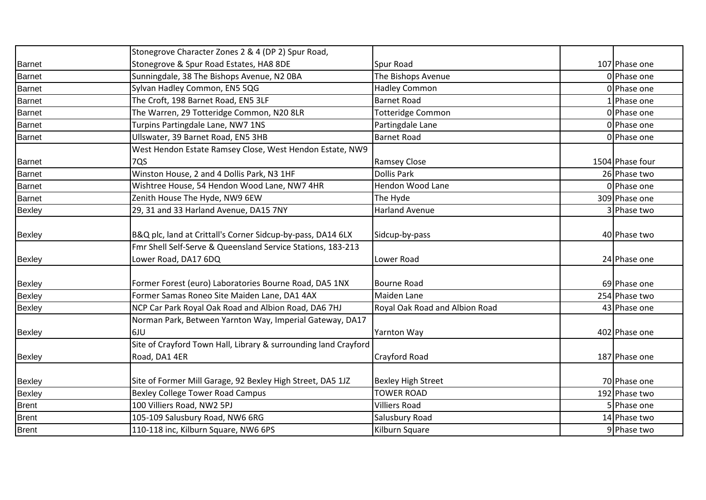|               | Stonegrove Character Zones 2 & 4 (DP 2) Spur Road,              |                                |                 |
|---------------|-----------------------------------------------------------------|--------------------------------|-----------------|
| <b>Barnet</b> | Stonegrove & Spur Road Estates, HA8 8DE                         | Spur Road                      | 107 Phase one   |
| <b>Barnet</b> | Sunningdale, 38 The Bishops Avenue, N2 OBA                      | The Bishops Avenue             | 0 Phase one     |
| <b>Barnet</b> | Sylvan Hadley Common, EN5 5QG                                   | <b>Hadley Common</b>           | 0 Phase one     |
| <b>Barnet</b> | The Croft, 198 Barnet Road, EN5 3LF                             | <b>Barnet Road</b>             | 1 Phase one     |
| <b>Barnet</b> | The Warren, 29 Totteridge Common, N20 8LR                       | <b>Totteridge Common</b>       | 0 Phase one     |
| <b>Barnet</b> | Turpins Partingdale Lane, NW7 1NS                               | Partingdale Lane               | 0 Phase one     |
| <b>Barnet</b> | Ullswater, 39 Barnet Road, EN5 3HB                              | <b>Barnet Road</b>             | 0 Phase one     |
|               | West Hendon Estate Ramsey Close, West Hendon Estate, NW9        |                                |                 |
| <b>Barnet</b> | 7QS                                                             | <b>Ramsey Close</b>            | 1504 Phase four |
| <b>Barnet</b> | Winston House, 2 and 4 Dollis Park, N3 1HF                      | <b>Dollis Park</b>             | 26 Phase two    |
| <b>Barnet</b> | Wishtree House, 54 Hendon Wood Lane, NW7 4HR                    | Hendon Wood Lane               | 0 Phase one     |
| <b>Barnet</b> | Zenith House The Hyde, NW9 6EW                                  | The Hyde                       | 309 Phase one   |
| Bexley        | 29, 31 and 33 Harland Avenue, DA15 7NY                          | <b>Harland Avenue</b>          | 3 Phase two     |
|               |                                                                 |                                |                 |
| Bexley        | B&Q plc, land at Crittall's Corner Sidcup-by-pass, DA14 6LX     | Sidcup-by-pass                 | 40 Phase two    |
|               | Fmr Shell Self-Serve & Queensland Service Stations, 183-213     |                                |                 |
| Bexley        | Lower Road, DA17 6DQ                                            | Lower Road                     | 24 Phase one    |
|               |                                                                 |                                |                 |
| <b>Bexley</b> | Former Forest (euro) Laboratories Bourne Road, DA5 1NX          | <b>Bourne Road</b>             | 69 Phase one    |
| Bexley        | Former Samas Roneo Site Maiden Lane, DA1 4AX                    | Maiden Lane                    | 254 Phase two   |
| Bexley        | NCP Car Park Royal Oak Road and Albion Road, DA6 7HJ            | Royal Oak Road and Albion Road | 43 Phase one    |
|               | Norman Park, Between Yarnton Way, Imperial Gateway, DA17        |                                |                 |
| Bexley        | 6JU                                                             | <b>Yarnton Way</b>             | 402 Phase one   |
|               | Site of Crayford Town Hall, Library & surrounding land Crayford |                                |                 |
| <b>Bexley</b> | Road, DA1 4ER                                                   | <b>Crayford Road</b>           | 187 Phase one   |
|               |                                                                 |                                |                 |
| <b>Bexley</b> | Site of Former Mill Garage, 92 Bexley High Street, DA5 1JZ      | <b>Bexley High Street</b>      | 70 Phase one    |
| <b>Bexley</b> | <b>Bexley College Tower Road Campus</b>                         | <b>TOWER ROAD</b>              | 192 Phase two   |
| <b>Brent</b>  | 100 Villiers Road, NW2 5PJ                                      | <b>Villiers Road</b>           | 5 Phase one     |
| <b>Brent</b>  | 105-109 Salusbury Road, NW6 6RG                                 | Salusbury Road                 | 14 Phase two    |
| <b>Brent</b>  | 110-118 inc, Kilburn Square, NW6 6PS                            | Kilburn Square                 | 9 Phase two     |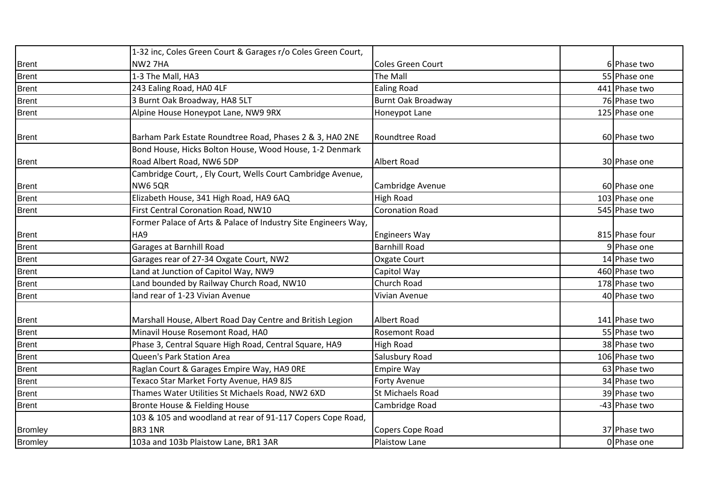|                | 1-32 inc, Coles Green Court & Garages r/o Coles Green Court,                         |                           |                |
|----------------|--------------------------------------------------------------------------------------|---------------------------|----------------|
| <b>Brent</b>   | NW <sub>2</sub> 7HA                                                                  | Coles Green Court         | 6 Phase two    |
| <b>Brent</b>   | 1-3 The Mall, HA3                                                                    | The Mall                  | 55 Phase one   |
| <b>Brent</b>   | 243 Ealing Road, HAO 4LF                                                             | <b>Ealing Road</b>        | 441 Phase two  |
| <b>Brent</b>   | 3 Burnt Oak Broadway, HA8 5LT                                                        | <b>Burnt Oak Broadway</b> | 76 Phase two   |
| <b>Brent</b>   | Alpine House Honeypot Lane, NW9 9RX                                                  | Honeypot Lane             | 125 Phase one  |
| <b>Brent</b>   | Barham Park Estate Roundtree Road, Phases 2 & 3, HAO 2NE                             | Roundtree Road            | 60 Phase two   |
| <b>Brent</b>   | Bond House, Hicks Bolton House, Wood House, 1-2 Denmark<br>Road Albert Road, NW6 5DP | <b>Albert Road</b>        | 30 Phase one   |
| <b>Brent</b>   | Cambridge Court,, Ely Court, Wells Court Cambridge Avenue,<br><b>NW65QR</b>          | Cambridge Avenue          | 60 Phase one   |
| <b>Brent</b>   | Elizabeth House, 341 High Road, HA9 6AQ                                              | <b>High Road</b>          | 103 Phase one  |
| <b>Brent</b>   | First Central Coronation Road, NW10                                                  | <b>Coronation Road</b>    | 545 Phase two  |
|                | Former Palace of Arts & Palace of Industry Site Engineers Way,                       |                           |                |
| <b>Brent</b>   | HA9                                                                                  | <b>Engineers Way</b>      | 815 Phase four |
| <b>Brent</b>   | Garages at Barnhill Road                                                             | <b>Barnhill Road</b>      | 9 Phase one    |
| <b>Brent</b>   | Garages rear of 27-34 Oxgate Court, NW2                                              | Oxgate Court              | 14 Phase two   |
| <b>Brent</b>   | Land at Junction of Capitol Way, NW9                                                 | Capitol Way               | 460 Phase two  |
| <b>Brent</b>   | Land bounded by Railway Church Road, NW10                                            | Church Road               | 178 Phase two  |
| <b>Brent</b>   | land rear of 1-23 Vivian Avenue                                                      | Vivian Avenue             | 40 Phase two   |
| <b>Brent</b>   | Marshall House, Albert Road Day Centre and British Legion                            | <b>Albert Road</b>        | 141 Phase two  |
| <b>Brent</b>   | Minavil House Rosemont Road, HAO                                                     | <b>Rosemont Road</b>      | 55 Phase two   |
| <b>Brent</b>   | Phase 3, Central Square High Road, Central Square, HA9                               | <b>High Road</b>          | 38 Phase two   |
| <b>Brent</b>   | Queen's Park Station Area                                                            | Salusbury Road            | 106 Phase two  |
| <b>Brent</b>   | Raglan Court & Garages Empire Way, HA9 ORE                                           | <b>Empire Way</b>         | 63 Phase two   |
| <b>Brent</b>   | Texaco Star Market Forty Avenue, HA9 8JS                                             | <b>Forty Avenue</b>       | 34 Phase two   |
| <b>Brent</b>   | Thames Water Utilities St Michaels Road, NW2 6XD                                     | <b>St Michaels Road</b>   | 39 Phase two   |
| <b>Brent</b>   | Bronte House & Fielding House                                                        | Cambridge Road            | -43 Phase two  |
|                | 103 & 105 and woodland at rear of 91-117 Copers Cope Road,                           |                           |                |
| <b>Bromley</b> | BR3 1NR                                                                              | Copers Cope Road          | 37 Phase two   |
| <b>Bromley</b> | 103a and 103b Plaistow Lane, BR1 3AR                                                 | Plaistow Lane             | 0 Phase one    |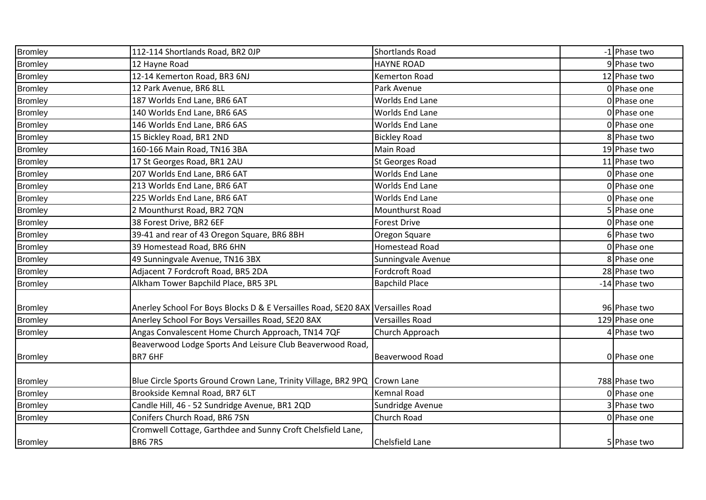| Bromley        | 112-114 Shortlands Road, BR2 OJP                                               | Shortlands Road        | -1 Phase two  |
|----------------|--------------------------------------------------------------------------------|------------------------|---------------|
| <b>Bromley</b> | 12 Hayne Road                                                                  | <b>HAYNE ROAD</b>      | 9 Phase two   |
| <b>Bromley</b> | 12-14 Kemerton Road, BR3 6NJ                                                   | <b>Kemerton Road</b>   | 12 Phase two  |
| <b>Bromley</b> | 12 Park Avenue, BR6 8LL                                                        | Park Avenue            | 0 Phase one   |
| <b>Bromley</b> | 187 Worlds End Lane, BR6 6AT                                                   | <b>Worlds End Lane</b> | 0 Phase one   |
| <b>Bromley</b> | 140 Worlds End Lane, BR6 6AS                                                   | Worlds End Lane        | 0 Phase one   |
| <b>Bromley</b> | 146 Worlds End Lane, BR6 6AS                                                   | <b>Worlds End Lane</b> | 0 Phase one   |
| <b>Bromley</b> | 15 Bickley Road, BR1 2ND                                                       | <b>Bickley Road</b>    | 8 Phase two   |
| <b>Bromley</b> | 160-166 Main Road, TN16 3BA                                                    | Main Road              | 19 Phase two  |
| <b>Bromley</b> | 17 St Georges Road, BR1 2AU                                                    | <b>St Georges Road</b> | 11 Phase two  |
| <b>Bromley</b> | 207 Worlds End Lane, BR6 6AT                                                   | <b>Worlds End Lane</b> | 0 Phase one   |
| <b>Bromley</b> | 213 Worlds End Lane, BR6 6AT                                                   | Worlds End Lane        | 0 Phase one   |
| <b>Bromley</b> | 225 Worlds End Lane, BR6 6AT                                                   | Worlds End Lane        | 0 Phase one   |
| <b>Bromley</b> | 2 Mounthurst Road, BR2 7QN                                                     | Mounthurst Road        | 5 Phase one   |
| <b>Bromley</b> | 38 Forest Drive, BR2 6EF                                                       | <b>Forest Drive</b>    | 0 Phase one   |
| <b>Bromley</b> | 39-41 and rear of 43 Oregon Square, BR6 8BH                                    | Oregon Square          | 6 Phase two   |
| <b>Bromley</b> | 39 Homestead Road, BR6 6HN                                                     | Homestead Road         | 0 Phase one   |
| <b>Bromley</b> | 49 Sunningvale Avenue, TN16 3BX                                                | Sunningvale Avenue     | 8 Phase one   |
| <b>Bromley</b> | Adjacent 7 Fordcroft Road, BR5 2DA                                             | <b>Fordcroft Road</b>  | 28 Phase two  |
| <b>Bromley</b> | Alkham Tower Bapchild Place, BR5 3PL                                           | <b>Bapchild Place</b>  | -14 Phase two |
|                |                                                                                |                        |               |
| <b>Bromley</b> | Anerley School For Boys Blocks D & E Versailles Road, SE20 8AX Versailles Road |                        | 96 Phase two  |
| <b>Bromley</b> | Anerley School For Boys Versailles Road, SE20 8AX                              | <b>Versailles Road</b> | 129 Phase one |
| <b>Bromley</b> | Angas Convalescent Home Church Approach, TN14 7QF                              | Church Approach        | Phase two     |
|                | Beaverwood Lodge Sports And Leisure Club Beaverwood Road,                      |                        |               |
| <b>Bromley</b> | BR7 6HF                                                                        | <b>Beaverwood Road</b> | 0 Phase one   |
|                |                                                                                |                        |               |
| <b>Bromley</b> | Blue Circle Sports Ground Crown Lane, Trinity Village, BR2 9PQ Crown Lane      |                        | 788 Phase two |
| <b>Bromley</b> | Brookside Kemnal Road, BR7 6LT                                                 | <b>Kemnal Road</b>     | 0 Phase one   |
| <b>Bromley</b> | Candle Hill, 46 - 52 Sundridge Avenue, BR1 2QD                                 | Sundridge Avenue       | 3 Phase two   |
| <b>Bromley</b> | Conifers Church Road, BR6 7SN                                                  | Church Road            | 0 Phase one   |
|                | Cromwell Cottage, Garthdee and Sunny Croft Chelsfield Lane,                    |                        |               |
| <b>Bromley</b> | <b>BR6 7RS</b>                                                                 | <b>Chelsfield Lane</b> | 5 Phase two   |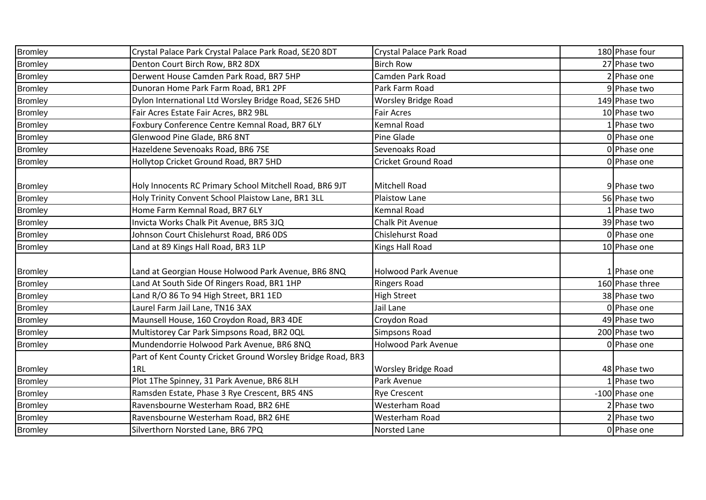| <b>Bromley</b> | Crystal Palace Park Crystal Palace Park Road, SE20 8DT      | Crystal Palace Park Road   | 180 Phase four  |
|----------------|-------------------------------------------------------------|----------------------------|-----------------|
| <b>Bromley</b> | Denton Court Birch Row, BR2 8DX                             | <b>Birch Row</b>           | 27 Phase two    |
| <b>Bromley</b> | Derwent House Camden Park Road, BR7 5HP                     | Camden Park Road           | 2 Phase one     |
| <b>Bromley</b> | Dunoran Home Park Farm Road, BR1 2PF                        | Park Farm Road             | 9 Phase two     |
| <b>Bromley</b> | Dylon International Ltd Worsley Bridge Road, SE26 5HD       | <b>Worsley Bridge Road</b> | 149 Phase two   |
| <b>Bromley</b> | Fair Acres Estate Fair Acres, BR2 9BL                       | <b>Fair Acres</b>          | 10 Phase two    |
| <b>Bromley</b> | Foxbury Conference Centre Kemnal Road, BR7 6LY              | Kemnal Road                | Phase two       |
| <b>Bromley</b> | Glenwood Pine Glade, BR6 8NT                                | Pine Glade                 | 0 Phase one     |
| <b>Bromley</b> | Hazeldene Sevenoaks Road, BR6 7SE                           | Sevenoaks Road             | 0 Phase one     |
| <b>Bromley</b> | Hollytop Cricket Ground Road, BR7 5HD                       | <b>Cricket Ground Road</b> | 0 Phase one     |
|                |                                                             |                            |                 |
| <b>Bromley</b> | Holy Innocents RC Primary School Mitchell Road, BR6 9JT     | Mitchell Road              | 9 Phase two     |
| <b>Bromley</b> | Holy Trinity Convent School Plaistow Lane, BR1 3LL          | Plaistow Lane              | 56 Phase two    |
| <b>Bromley</b> | Home Farm Kemnal Road, BR7 6LY                              | <b>Kemnal Road</b>         | Phase two       |
| <b>Bromley</b> | Invicta Works Chalk Pit Avenue, BR5 3JQ                     | <b>Chalk Pit Avenue</b>    | 39 Phase two    |
| <b>Bromley</b> | Johnson Court Chislehurst Road, BR6 ODS                     | Chislehurst Road           | 0 Phase one     |
| <b>Bromley</b> | Land at 89 Kings Hall Road, BR3 1LP                         | Kings Hall Road            | 10 Phase one    |
|                |                                                             |                            |                 |
| <b>Bromley</b> | Land at Georgian House Holwood Park Avenue, BR6 8NQ         | <b>Holwood Park Avenue</b> | 1 Phase one     |
| <b>Bromley</b> | Land At South Side Of Ringers Road, BR1 1HP                 | <b>Ringers Road</b>        | 160 Phase three |
| <b>Bromley</b> | Land R/O 86 To 94 High Street, BR1 1ED                      | <b>High Street</b>         | 38 Phase two    |
| <b>Bromley</b> | Laurel Farm Jail Lane, TN16 3AX                             | Jail Lane                  | 0 Phase one     |
| <b>Bromley</b> | Maunsell House, 160 Croydon Road, BR3 4DE                   | Croydon Road               | 49 Phase two    |
| <b>Bromley</b> | Multistorey Car Park Simpsons Road, BR2 OQL                 | <b>Simpsons Road</b>       | 200 Phase two   |
| <b>Bromley</b> | Mundendorrie Holwood Park Avenue, BR6 8NQ                   | Holwood Park Avenue        | 0 Phase one     |
|                | Part of Kent County Cricket Ground Worsley Bridge Road, BR3 |                            |                 |
| <b>Bromley</b> | 1RL                                                         | <b>Worsley Bridge Road</b> | 48 Phase two    |
| <b>Bromley</b> | Plot 1The Spinney, 31 Park Avenue, BR6 8LH                  | Park Avenue                | LPhase two      |
| <b>Bromley</b> | Ramsden Estate, Phase 3 Rye Crescent, BR5 4NS               | <b>Rye Crescent</b>        | -100 Phase one  |
| <b>Bromley</b> | Ravensbourne Westerham Road, BR2 6HE                        | Westerham Road             | Phase two       |
| <b>Bromley</b> | Ravensbourne Westerham Road, BR2 6HE                        | Westerham Road             | Phase two       |
| <b>Bromley</b> | Silverthorn Norsted Lane, BR6 7PQ                           | Norsted Lane               | 0 Phase one     |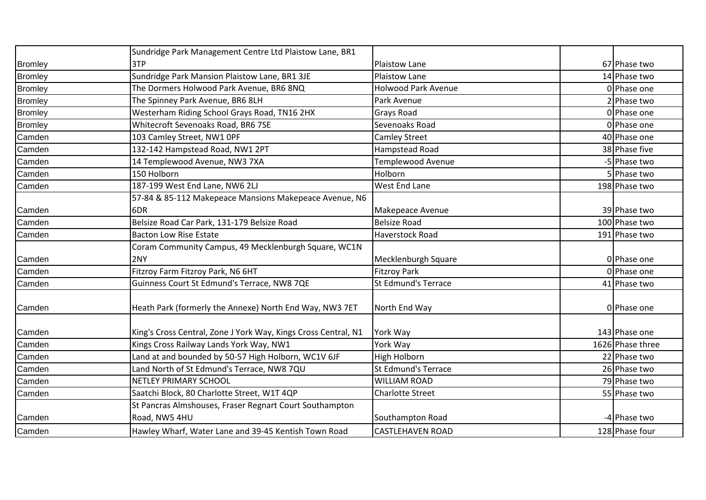|                | Sundridge Park Management Centre Ltd Plaistow Lane, BR1        |                            |                  |
|----------------|----------------------------------------------------------------|----------------------------|------------------|
| <b>Bromley</b> | 3TP                                                            | <b>Plaistow Lane</b>       | 67 Phase two     |
| <b>Bromley</b> | Sundridge Park Mansion Plaistow Lane, BR1 3JE                  | <b>Plaistow Lane</b>       | 14 Phase two     |
| <b>Bromley</b> | The Dormers Holwood Park Avenue, BR6 8NQ                       | <b>Holwood Park Avenue</b> | 0 Phase one      |
| <b>Bromley</b> | The Spinney Park Avenue, BR6 8LH                               | Park Avenue                | 2 Phase two      |
| <b>Bromley</b> | Westerham Riding School Grays Road, TN16 2HX                   | <b>Grays Road</b>          | 0 Phase one      |
| <b>Bromley</b> | Whitecroft Sevenoaks Road, BR6 7SE                             | Sevenoaks Road             | 0 Phase one      |
| Camden         | 103 Camley Street, NW1 OPF                                     | <b>Camley Street</b>       | 40 Phase one     |
| Camden         | 132-142 Hampstead Road, NW1 2PT                                | Hampstead Road             | 38 Phase five    |
| Camden         | 14 Templewood Avenue, NW3 7XA                                  | Templewood Avenue          | -5 Phase two     |
| Camden         | 150 Holborn                                                    | Holborn                    | 5 Phase two      |
| Camden         | 187-199 West End Lane, NW6 2LJ                                 | <b>West End Lane</b>       | 198 Phase two    |
|                | 57-84 & 85-112 Makepeace Mansions Makepeace Avenue, N6         |                            |                  |
| Camden         | 6DR                                                            | Makepeace Avenue           | 39 Phase two     |
| Camden         | Belsize Road Car Park, 131-179 Belsize Road                    | <b>Belsize Road</b>        | 100 Phase two    |
| Camden         | <b>Bacton Low Rise Estate</b>                                  | Haverstock Road            | 191 Phase two    |
|                | Coram Community Campus, 49 Mecklenburgh Square, WC1N           |                            |                  |
| Camden         | 2NY                                                            | Mecklenburgh Square        | 0 Phase one      |
| Camden         | Fitzroy Farm Fitzroy Park, N6 6HT                              | <b>Fitzroy Park</b>        | 0 Phase one      |
| Camden         | Guinness Court St Edmund's Terrace, NW8 7QE                    | St Edmund's Terrace        | 41 Phase two     |
| Camden         | Heath Park (formerly the Annexe) North End Way, NW3 7ET        | North End Way              | 0 Phase one      |
| Camden         | King's Cross Central, Zone J York Way, Kings Cross Central, N1 | York Way                   | 143 Phase one    |
| Camden         | Kings Cross Railway Lands York Way, NW1                        | York Way                   | 1626 Phase three |
| Camden         | Land at and bounded by 50-57 High Holborn, WC1V 6JF            | High Holborn               | 22 Phase two     |
| Camden         | Land North of St Edmund's Terrace, NW8 7QU                     | St Edmund's Terrace        | 26 Phase two     |
| Camden         | NETLEY PRIMARY SCHOOL                                          | <b>WILLIAM ROAD</b>        | 79 Phase two     |
| Camden         | Saatchi Block, 80 Charlotte Street, W1T 4QP                    | <b>Charlotte Street</b>    | 55 Phase two     |
|                | St Pancras Almshouses, Fraser Regnart Court Southampton        |                            |                  |
| Camden         | Road, NW5 4HU                                                  | Southampton Road           | -4 Phase two     |
| Camden         | Hawley Wharf, Water Lane and 39-45 Kentish Town Road           | <b>CASTLEHAVEN ROAD</b>    | 128 Phase four   |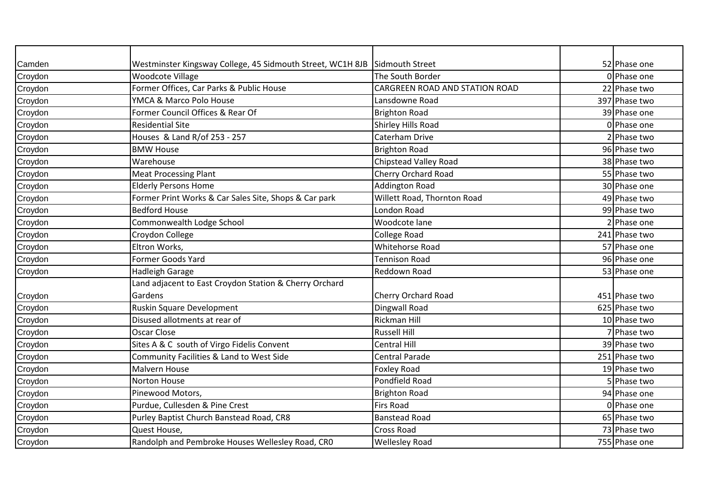| Camden  | Westminster Kingsway College, 45 Sidmouth Street, WC1H 8JB Sidmouth Street |                                       | 52 Phase one  |
|---------|----------------------------------------------------------------------------|---------------------------------------|---------------|
| Croydon | <b>Woodcote Village</b>                                                    | The South Border                      | 0 Phase one   |
| Croydon | Former Offices, Car Parks & Public House                                   | <b>CARGREEN ROAD AND STATION ROAD</b> | 22 Phase two  |
| Croydon | YMCA & Marco Polo House                                                    | Lansdowne Road                        | 397 Phase two |
| Croydon | Former Council Offices & Rear Of                                           | <b>Brighton Road</b>                  | 39 Phase one  |
| Croydon | <b>Residential Site</b>                                                    | Shirley Hills Road                    | 0 Phase one   |
| Croydon | Houses & Land R/of 253 - 257                                               | Caterham Drive                        | Phase two     |
| Croydon | <b>BMW House</b>                                                           | <b>Brighton Road</b>                  | 96 Phase two  |
| Croydon | Warehouse                                                                  | Chipstead Valley Road                 | 38 Phase two  |
| Croydon | <b>Meat Processing Plant</b>                                               | <b>Cherry Orchard Road</b>            | 55 Phase two  |
| Croydon | <b>Elderly Persons Home</b>                                                | <b>Addington Road</b>                 | 30 Phase one  |
| Croydon | Former Print Works & Car Sales Site, Shops & Car park                      | Willett Road, Thornton Road           | 49 Phase two  |
| Croydon | <b>Bedford House</b>                                                       | London Road                           | 99 Phase two  |
| Croydon | Commonwealth Lodge School                                                  | Woodcote lane                         | 2 Phase one   |
| Croydon | Croydon College                                                            | <b>College Road</b>                   | 241 Phase two |
| Croydon | Eltron Works,                                                              | <b>Whitehorse Road</b>                | 57 Phase one  |
| Croydon | <b>Former Goods Yard</b>                                                   | <b>Tennison Road</b>                  | 96 Phase one  |
| Croydon | <b>Hadleigh Garage</b>                                                     | Reddown Road                          | 53 Phase one  |
|         | Land adjacent to East Croydon Station & Cherry Orchard                     |                                       |               |
| Croydon | Gardens                                                                    | <b>Cherry Orchard Road</b>            | 451 Phase two |
| Croydon | Ruskin Square Development                                                  | Dingwall Road                         | 625 Phase two |
| Croydon | Disused allotments at rear of                                              | <b>Rickman Hill</b>                   | 10 Phase two  |
| Croydon | Oscar Close                                                                | <b>Russell Hill</b>                   | Phase two     |
| Croydon | Sites A & C south of Virgo Fidelis Convent                                 | <b>Central Hill</b>                   | 39 Phase two  |
| Croydon | Community Facilities & Land to West Side                                   | <b>Central Parade</b>                 | 251 Phase two |
| Croydon | Malvern House                                                              | <b>Foxley Road</b>                    | 19 Phase two  |
| Croydon | Norton House                                                               | Pondfield Road                        | 5 Phase two   |
| Croydon | Pinewood Motors,                                                           | <b>Brighton Road</b>                  | 94 Phase one  |
| Croydon | Purdue, Cullesden & Pine Crest                                             | <b>Firs Road</b>                      | 0 Phase one   |
| Croydon | Purley Baptist Church Banstead Road, CR8                                   | <b>Banstead Road</b>                  | 65 Phase two  |
| Croydon | Quest House,                                                               | <b>Cross Road</b>                     | 73 Phase two  |
| Croydon | Randolph and Pembroke Houses Wellesley Road, CRO                           | <b>Wellesley Road</b>                 | 755 Phase one |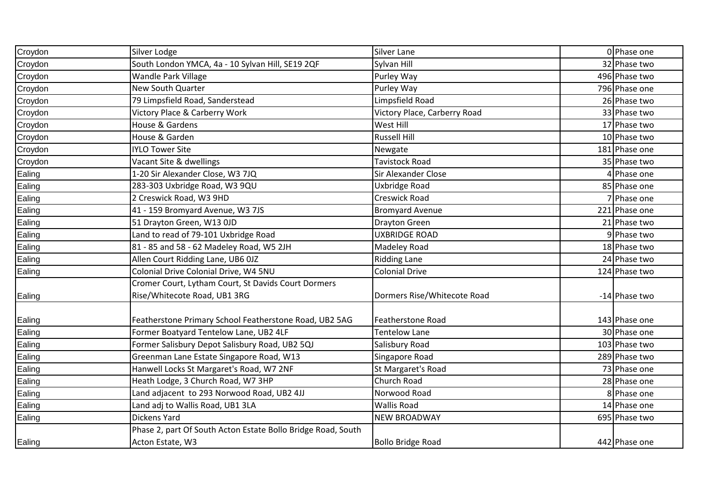| Croydon | Silver Lodge                                                 | <b>Silver Lane</b>           | 0 Phase one   |
|---------|--------------------------------------------------------------|------------------------------|---------------|
| Croydon | South London YMCA, 4a - 10 Sylvan Hill, SE19 2QF             | Sylvan Hill                  | 32 Phase two  |
| Croydon | Wandle Park Village                                          | Purley Way                   | 496 Phase two |
| Croydon | New South Quarter                                            | Purley Way                   | 796 Phase one |
| Croydon | 79 Limpsfield Road, Sanderstead                              | Limpsfield Road              | 26 Phase two  |
| Croydon | Victory Place & Carberry Work                                | Victory Place, Carberry Road | 33 Phase two  |
| Croydon | House & Gardens                                              | West Hill                    | 17 Phase two  |
| Croydon | House & Garden                                               | <b>Russell Hill</b>          | 10 Phase two  |
| Croydon | <b>IYLO Tower Site</b>                                       | Newgate                      | 181 Phase one |
| Croydon | Vacant Site & dwellings                                      | <b>Tavistock Road</b>        | 35 Phase two  |
| Ealing  | 1-20 Sir Alexander Close, W3 7JQ                             | <b>Sir Alexander Close</b>   | 4 Phase one   |
| Ealing  | 283-303 Uxbridge Road, W3 9QU                                | Uxbridge Road                | 85 Phase one  |
| Ealing  | 2 Creswick Road, W3 9HD                                      | Creswick Road                | 7 Phase one   |
| Ealing  | 41 - 159 Bromyard Avenue, W3 7JS                             | <b>Bromyard Avenue</b>       | 221 Phase one |
| Ealing  | 51 Drayton Green, W13 OJD                                    | <b>Drayton Green</b>         | 21 Phase two  |
| Ealing  | Land to read of 79-101 Uxbridge Road                         | <b>UXBRIDGE ROAD</b>         | 9 Phase two   |
| Ealing  | 81 - 85 and 58 - 62 Madeley Road, W5 2JH                     | Madeley Road                 | 18 Phase two  |
| Ealing  | Allen Court Ridding Lane, UB6 0JZ                            | <b>Ridding Lane</b>          | 24 Phase two  |
| Ealing  | Colonial Drive Colonial Drive, W4 5NU                        | <b>Colonial Drive</b>        | 124 Phase two |
|         | Cromer Court, Lytham Court, St Davids Court Dormers          |                              |               |
| Ealing  | Rise/Whitecote Road, UB1 3RG                                 | Dormers Rise/Whitecote Road  | -14 Phase two |
|         |                                                              |                              |               |
| Ealing  | Featherstone Primary School Featherstone Road, UB2 5AG       | <b>Featherstone Road</b>     | 143 Phase one |
| Ealing  | Former Boatyard Tentelow Lane, UB2 4LF                       | <b>Tentelow Lane</b>         | 30 Phase one  |
| Ealing  | Former Salisbury Depot Salisbury Road, UB2 5QJ               | Salisbury Road               | 103 Phase two |
| Ealing  | Greenman Lane Estate Singapore Road, W13                     | Singapore Road               | 289 Phase two |
| Ealing  | Hanwell Locks St Margaret's Road, W7 2NF                     | St Margaret's Road           | 73 Phase one  |
| Ealing  | Heath Lodge, 3 Church Road, W7 3HP                           | Church Road                  | 28 Phase one  |
| Ealing  | Land adjacent to 293 Norwood Road, UB2 4JJ                   | Norwood Road                 | 8 Phase one   |
| Ealing  | Land adj to Wallis Road, UB1 3LA                             | <b>Wallis Road</b>           | 14 Phase one  |
| Ealing  | Dickens Yard                                                 | <b>NEW BROADWAY</b>          | 695 Phase two |
|         | Phase 2, part Of South Acton Estate Bollo Bridge Road, South |                              |               |
| Ealing  | Acton Estate, W3                                             | <b>Bollo Bridge Road</b>     | 442 Phase one |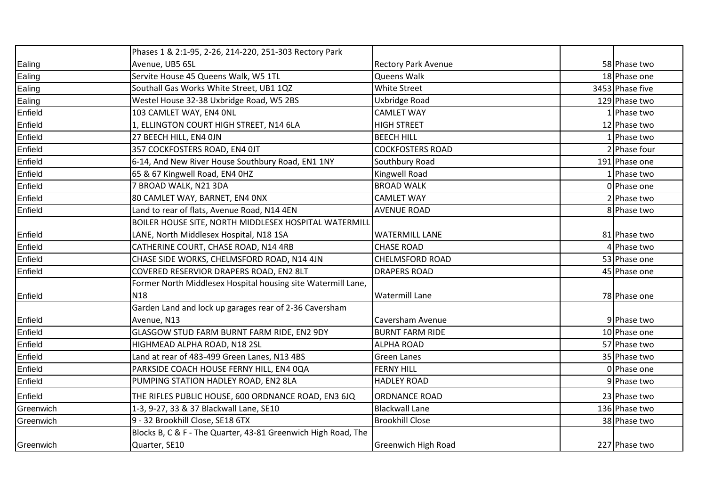|           | Phases 1 & 2:1-95, 2-26, 214-220, 251-303 Rectory Park        |                            |                 |
|-----------|---------------------------------------------------------------|----------------------------|-----------------|
| Ealing    | Avenue, UB5 6SL                                               | <b>Rectory Park Avenue</b> | 58 Phase two    |
| Ealing    | Servite House 45 Queens Walk, W5 1TL                          | Queens Walk                | 18 Phase one    |
| Ealing    | Southall Gas Works White Street, UB1 1QZ                      | <b>White Street</b>        | 3453 Phase five |
| Ealing    | Westel House 32-38 Uxbridge Road, W5 2BS                      | Uxbridge Road              | 129 Phase two   |
| Enfield   | 103 CAMLET WAY, EN4 ONL                                       | <b>CAMLET WAY</b>          | Phase two       |
| Enfield   | 1, ELLINGTON COURT HIGH STREET, N14 6LA                       | <b>HIGH STREET</b>         | 12 Phase two    |
| Enfield   | 27 BEECH HILL, EN4 OJN                                        | <b>BEECH HILL</b>          | LPhase two      |
| Enfield   | 357 COCKFOSTERS ROAD, EN4 OJT                                 | <b>COCKFOSTERS ROAD</b>    | 2 Phase four    |
| Enfield   | 6-14, And New River House Southbury Road, EN1 1NY             | Southbury Road             | 191 Phase one   |
| Enfield   | 65 & 67 Kingwell Road, EN4 OHZ                                | Kingwell Road              | Phase two       |
| Enfield   | 7 BROAD WALK, N21 3DA                                         | <b>BROAD WALK</b>          | 0 Phase one     |
| Enfield   | 80 CAMLET WAY, BARNET, EN4 ONX                                | <b>CAMLET WAY</b>          | 2 Phase two     |
| Enfield   | Land to rear of flats, Avenue Road, N14 4EN                   | <b>AVENUE ROAD</b>         | 8 Phase two     |
|           | BOILER HOUSE SITE, NORTH MIDDLESEX HOSPITAL WATERMILL         |                            |                 |
| Enfield   | LANE, North Middlesex Hospital, N18 1SA                       | <b>WATERMILL LANE</b>      | 81 Phase two    |
| Enfield   | CATHERINE COURT, CHASE ROAD, N14 4RB                          | <b>CHASE ROAD</b>          | 4 Phase two     |
| Enfield   | CHASE SIDE WORKS, CHELMSFORD ROAD, N14 4JN                    | <b>CHELMSFORD ROAD</b>     | 53 Phase one    |
| Enfield   | COVERED RESERVIOR DRAPERS ROAD, EN2 8LT                       | <b>DRAPERS ROAD</b>        | 45 Phase one    |
|           | Former North Middlesex Hospital housing site Watermill Lane,  |                            |                 |
| Enfield   | <b>N18</b>                                                    | <b>Watermill Lane</b>      | 78 Phase one    |
|           | Garden Land and lock up garages rear of 2-36 Caversham        |                            |                 |
| Enfield   | Avenue, N13                                                   | Caversham Avenue           | 9 Phase two     |
| Enfield   | GLASGOW STUD FARM BURNT FARM RIDE, EN2 9DY                    | <b>BURNT FARM RIDE</b>     | 10 Phase one    |
| Enfield   | HIGHMEAD ALPHA ROAD, N18 2SL                                  | <b>ALPHA ROAD</b>          | 57 Phase two    |
| Enfield   | Land at rear of 483-499 Green Lanes, N13 4BS                  | <b>Green Lanes</b>         | 35 Phase two    |
| Enfield   | PARKSIDE COACH HOUSE FERNY HILL, EN4 0QA                      | <b>FERNY HILL</b>          | 0 Phase one     |
| Enfield   | PUMPING STATION HADLEY ROAD, EN2 8LA                          | <b>HADLEY ROAD</b>         | 9 Phase two     |
| Enfield   | THE RIFLES PUBLIC HOUSE, 600 ORDNANCE ROAD, EN3 6JQ           | <b>ORDNANCE ROAD</b>       | 23 Phase two    |
| Greenwich | 1-3, 9-27, 33 & 37 Blackwall Lane, SE10                       | <b>Blackwall Lane</b>      | 136 Phase two   |
| Greenwich | 9 - 32 Brookhill Close, SE18 6TX                              | <b>Brookhill Close</b>     | 38 Phase two    |
|           | Blocks B, C & F - The Quarter, 43-81 Greenwich High Road, The |                            |                 |
| Greenwich | Quarter, SE10                                                 | <b>Greenwich High Road</b> | 227 Phase two   |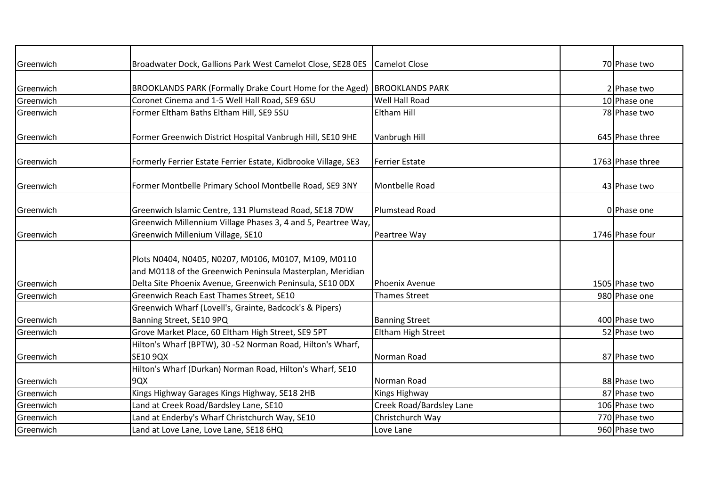| Greenwich | Broadwater Dock, Gallions Park West Camelot Close, SE28 0ES    | <b>Camelot Close</b>     | 70 Phase two     |
|-----------|----------------------------------------------------------------|--------------------------|------------------|
|           |                                                                |                          |                  |
| Greenwich | BROOKLANDS PARK (Formally Drake Court Home for the Aged)       | <b>BROOKLANDS PARK</b>   | 2 Phase two      |
| Greenwich | Coronet Cinema and 1-5 Well Hall Road, SE9 6SU                 | Well Hall Road           | 10 Phase one     |
| Greenwich | Former Eltham Baths Eltham Hill, SE9 5SU                       | <b>Eltham Hill</b>       | 78 Phase two     |
| Greenwich | Former Greenwich District Hospital Vanbrugh Hill, SE10 9HE     | Vanbrugh Hill            | 645 Phase three  |
|           |                                                                |                          |                  |
| Greenwich | Formerly Ferrier Estate Ferrier Estate, Kidbrooke Village, SE3 | <b>Ferrier Estate</b>    | 1763 Phase three |
| Greenwich | Former Montbelle Primary School Montbelle Road, SE9 3NY        | Montbelle Road           | 43 Phase two     |
| Greenwich | Greenwich Islamic Centre, 131 Plumstead Road, SE18 7DW         | Plumstead Road           | 0 Phase one      |
|           | Greenwich Millennium Village Phases 3, 4 and 5, Peartree Way,  |                          |                  |
| Greenwich | Greenwich Millenium Village, SE10                              | Peartree Way             | 1746 Phase four  |
|           |                                                                |                          |                  |
|           | Plots N0404, N0405, N0207, M0106, M0107, M109, M0110           |                          |                  |
|           | and M0118 of the Greenwich Peninsula Masterplan, Meridian      |                          |                  |
| Greenwich | Delta Site Phoenix Avenue, Greenwich Peninsula, SE10 0DX       | <b>Phoenix Avenue</b>    | 1505 Phase two   |
| Greenwich | Greenwich Reach East Thames Street, SE10                       | <b>Thames Street</b>     | 980 Phase one    |
|           | Greenwich Wharf (Lovell's, Grainte, Badcock's & Pipers)        |                          |                  |
| Greenwich | Banning Street, SE10 9PQ                                       | <b>Banning Street</b>    | 400 Phase two    |
| Greenwich | Grove Market Place, 60 Eltham High Street, SE9 5PT             | Eltham High Street       | 52 Phase two     |
|           | Hilton's Wharf (BPTW), 30 -52 Norman Road, Hilton's Wharf,     |                          |                  |
| Greenwich | SE10 9QX                                                       | Norman Road              | 87 Phase two     |
|           | Hilton's Wharf (Durkan) Norman Road, Hilton's Wharf, SE10      |                          |                  |
| Greenwich | 9QX                                                            | Norman Road              | 88 Phase two     |
| Greenwich | Kings Highway Garages Kings Highway, SE18 2HB                  | Kings Highway            | 87 Phase two     |
| Greenwich | Land at Creek Road/Bardsley Lane, SE10                         | Creek Road/Bardsley Lane | 106 Phase two    |
| Greenwich | Land at Enderby's Wharf Christchurch Way, SE10                 | Christchurch Way         | 770 Phase two    |
| Greenwich | Land at Love Lane, Love Lane, SE18 6HQ                         | Love Lane                | 960 Phase two    |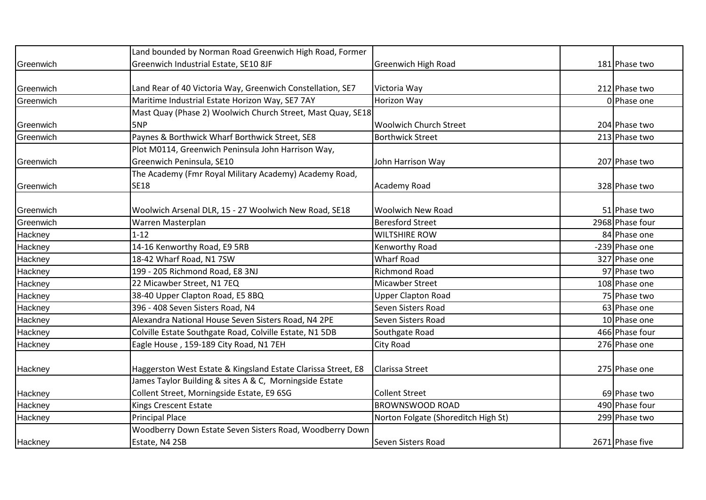|           | Land bounded by Norman Road Greenwich High Road, Former       |                                     |                 |
|-----------|---------------------------------------------------------------|-------------------------------------|-----------------|
| Greenwich | Greenwich Industrial Estate, SE10 8JF                         | <b>Greenwich High Road</b>          | 181 Phase two   |
|           |                                                               |                                     |                 |
| Greenwich | Land Rear of 40 Victoria Way, Greenwich Constellation, SE7    | Victoria Way                        | 212 Phase two   |
| Greenwich | Maritime Industrial Estate Horizon Way, SE7 7AY               | <b>Horizon Way</b>                  | 0 Phase one     |
|           | Mast Quay (Phase 2) Woolwich Church Street, Mast Quay, SE18   |                                     |                 |
| Greenwich | 5NP                                                           | <b>Woolwich Church Street</b>       | 204 Phase two   |
| Greenwich | Paynes & Borthwick Wharf Borthwick Street, SE8                | <b>Borthwick Street</b>             | 213 Phase two   |
|           | Plot M0114, Greenwich Peninsula John Harrison Way,            |                                     |                 |
| Greenwich | Greenwich Peninsula, SE10                                     | John Harrison Way                   | 207 Phase two   |
|           | The Academy (Fmr Royal Military Academy) Academy Road,        |                                     |                 |
| Greenwich | <b>SE18</b>                                                   | Academy Road                        | 328 Phase two   |
|           |                                                               |                                     |                 |
| Greenwich | Woolwich Arsenal DLR, 15 - 27 Woolwich New Road, SE18         | <b>Woolwich New Road</b>            | 51 Phase two    |
| Greenwich | Warren Masterplan                                             | <b>Beresford Street</b>             | 2968 Phase four |
| Hackney   | $1 - 12$                                                      | <b>WILTSHIRE ROW</b>                | 84 Phase one    |
| Hackney   | 14-16 Kenworthy Road, E9 5RB                                  | Kenworthy Road                      | -239 Phase one  |
| Hackney   | 18-42 Wharf Road, N1 7SW                                      | <b>Wharf Road</b>                   | 327 Phase one   |
| Hackney   | 199 - 205 Richmond Road, E8 3NJ                               | <b>Richmond Road</b>                | 97 Phase two    |
| Hackney   | 22 Micawber Street, N1 7EQ                                    | Micawber Street                     | 108 Phase one   |
| Hackney   | 38-40 Upper Clapton Road, E5 8BQ                              | <b>Upper Clapton Road</b>           | 75 Phase two    |
| Hackney   | 396 - 408 Seven Sisters Road, N4                              | Seven Sisters Road                  | 63 Phase one    |
| Hackney   | Alexandra National House Seven Sisters Road, N4 2PE           | Seven Sisters Road                  | 10 Phase one    |
| Hackney   | Colville Estate Southgate Road, Colville Estate, N1 5DB       | Southgate Road                      | 466 Phase four  |
| Hackney   | Eagle House, 159-189 City Road, N1 7EH                        | City Road                           | 276 Phase one   |
|           |                                                               |                                     |                 |
| Hackney   | Haggerston West Estate & Kingsland Estate Clarissa Street, E8 | <b>Clarissa Street</b>              | 275 Phase one   |
|           | James Taylor Building & sites A & C, Morningside Estate       |                                     |                 |
| Hackney   | Collent Street, Morningside Estate, E9 6SG                    | <b>Collent Street</b>               | 69 Phase two    |
| Hackney   | Kings Crescent Estate                                         | <b>BROWNSWOOD ROAD</b>              | 490 Phase four  |
| Hackney   | <b>Principal Place</b>                                        | Norton Folgate (Shoreditch High St) | 299 Phase two   |
|           | Woodberry Down Estate Seven Sisters Road, Woodberry Down      |                                     |                 |
| Hackney   | Estate, N4 2SB                                                | Seven Sisters Road                  | 2671 Phase five |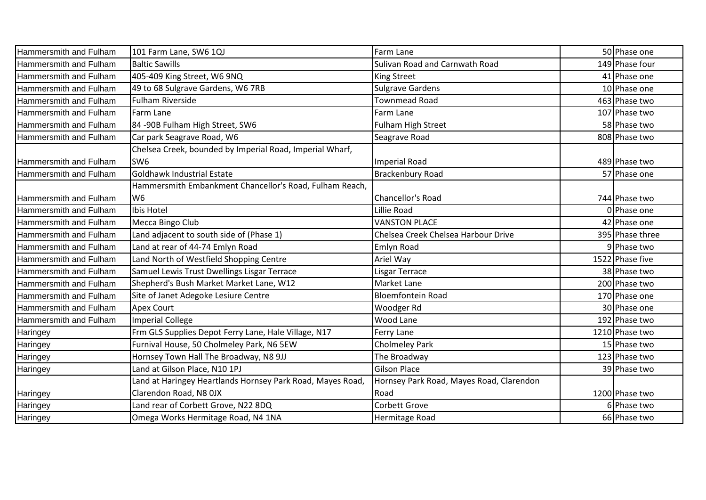| Hammersmith and Fulham        | 101 Farm Lane, SW6 1QJ                                     | Farm Lane                                | 50 Phase one    |
|-------------------------------|------------------------------------------------------------|------------------------------------------|-----------------|
| Hammersmith and Fulham        | <b>Baltic Sawills</b>                                      | Sulivan Road and Carnwath Road           | 149 Phase four  |
| Hammersmith and Fulham        | 405-409 King Street, W6 9NQ                                | King Street                              | 41 Phase one    |
| <b>Hammersmith and Fulham</b> | 49 to 68 Sulgrave Gardens, W6 7RB                          | <b>Sulgrave Gardens</b>                  | 10 Phase one    |
| Hammersmith and Fulham        | <b>Fulham Riverside</b>                                    | <b>Townmead Road</b>                     | 463 Phase two   |
| Hammersmith and Fulham        | Farm Lane                                                  | Farm Lane                                | 107 Phase two   |
| Hammersmith and Fulham        | 84 -90B Fulham High Street, SW6                            | <b>Fulham High Street</b>                | 58 Phase two    |
| Hammersmith and Fulham        | Car park Seagrave Road, W6                                 | Seagrave Road                            | 808 Phase two   |
|                               | Chelsea Creek, bounded by Imperial Road, Imperial Wharf,   |                                          |                 |
| Hammersmith and Fulham        | SW <sub>6</sub>                                            | <b>Imperial Road</b>                     | 489 Phase two   |
| Hammersmith and Fulham        | Goldhawk Industrial Estate                                 | <b>Brackenbury Road</b>                  | 57 Phase one    |
|                               | Hammersmith Embankment Chancellor's Road, Fulham Reach,    |                                          |                 |
| <b>Hammersmith and Fulham</b> | W <sub>6</sub>                                             | <b>Chancellor's Road</b>                 | 744 Phase two   |
| Hammersmith and Fulham        | Ibis Hotel                                                 | Lillie Road                              | 0 Phase one     |
| Hammersmith and Fulham        | Mecca Bingo Club                                           | <b>VANSTON PLACE</b>                     | 42 Phase one    |
| Hammersmith and Fulham        | Land adjacent to south side of (Phase 1)                   | Chelsea Creek Chelsea Harbour Drive      | 395 Phase three |
| Hammersmith and Fulham        | Land at rear of 44-74 Emlyn Road                           | Emlyn Road                               | 9 Phase two     |
| Hammersmith and Fulham        | Land North of Westfield Shopping Centre                    | Ariel Way                                | 1522 Phase five |
| Hammersmith and Fulham        | Samuel Lewis Trust Dwellings Lisgar Terrace                | <b>Lisgar Terrace</b>                    | 38 Phase two    |
| Hammersmith and Fulham        | Shepherd's Bush Market Market Lane, W12                    | Market Lane                              | 200 Phase two   |
| Hammersmith and Fulham        | Site of Janet Adegoke Lesiure Centre                       | <b>Bloemfontein Road</b>                 | 170 Phase one   |
| Hammersmith and Fulham        | <b>Apex Court</b>                                          | Woodger Rd                               | 30 Phase one    |
| Hammersmith and Fulham        | Imperial College                                           | <b>Wood Lane</b>                         | 192 Phase two   |
| Haringey                      | Frm GLS Supplies Depot Ferry Lane, Hale Village, N17       | Ferry Lane                               | 1210 Phase two  |
| Haringey                      | Furnival House, 50 Cholmeley Park, N6 5EW                  | <b>Cholmeley Park</b>                    | 15 Phase two    |
| Haringey                      | Hornsey Town Hall The Broadway, N8 9JJ                     | The Broadway                             | 123 Phase two   |
| Haringey                      | Land at Gilson Place, N10 1PJ                              | <b>Gilson Place</b>                      | 39 Phase two    |
|                               | Land at Haringey Heartlands Hornsey Park Road, Mayes Road, | Hornsey Park Road, Mayes Road, Clarendon |                 |
| Haringey                      | Clarendon Road, N8 OJX                                     | Road                                     | 1200 Phase two  |
| Haringey                      | Land rear of Corbett Grove, N22 8DQ                        | Corbett Grove                            | 6 Phase two     |
| Haringey                      | Omega Works Hermitage Road, N4 1NA                         | <b>Hermitage Road</b>                    | 66 Phase two    |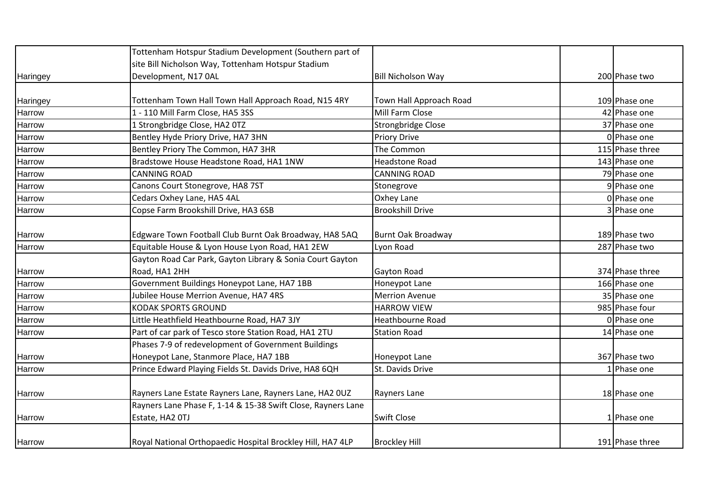|          | Tottenham Hotspur Stadium Development (Southern part of      |                           |                 |
|----------|--------------------------------------------------------------|---------------------------|-----------------|
|          | site Bill Nicholson Way, Tottenham Hotspur Stadium           |                           |                 |
| Haringey | Development, N17 0AL                                         | <b>Bill Nicholson Way</b> | 200 Phase two   |
|          |                                                              |                           |                 |
| Haringey | Tottenham Town Hall Town Hall Approach Road, N15 4RY         | Town Hall Approach Road   | 109 Phase one   |
| Harrow   | 1 - 110 Mill Farm Close, HA5 3SS                             | Mill Farm Close           | 42 Phase one    |
| Harrow   | 1 Strongbridge Close, HA2 0TZ                                | Strongbridge Close        | 37 Phase one    |
| Harrow   | Bentley Hyde Priory Drive, HA7 3HN                           | <b>Priory Drive</b>       | 0 Phase one     |
| Harrow   | Bentley Priory The Common, HA7 3HR                           | The Common                | 115 Phase three |
| Harrow   | Bradstowe House Headstone Road, HA1 1NW                      | <b>Headstone Road</b>     | 143 Phase one   |
| Harrow   | <b>CANNING ROAD</b>                                          | <b>CANNING ROAD</b>       | 79 Phase one    |
| Harrow   | Canons Court Stonegrove, HA8 7ST                             | Stonegrove                | 9 Phase one     |
| Harrow   | Cedars Oxhey Lane, HA5 4AL                                   | Oxhey Lane                | 0 Phase one     |
| Harrow   | Copse Farm Brookshill Drive, HA3 6SB                         | <b>Brookshill Drive</b>   | 3 Phase one     |
|          |                                                              |                           |                 |
| Harrow   | Edgware Town Football Club Burnt Oak Broadway, HA8 5AQ       | <b>Burnt Oak Broadway</b> | 189 Phase two   |
| Harrow   | Equitable House & Lyon House Lyon Road, HA1 2EW              | Lyon Road                 | 287 Phase two   |
|          | Gayton Road Car Park, Gayton Library & Sonia Court Gayton    |                           |                 |
| Harrow   | Road, HA1 2HH                                                | Gayton Road               | 374 Phase three |
| Harrow   | Government Buildings Honeypot Lane, HA7 1BB                  | Honeypot Lane             | 166 Phase one   |
| Harrow   | Jubilee House Merrion Avenue, HA7 4RS                        | <b>Merrion Avenue</b>     | 35 Phase one    |
| Harrow   | <b>KODAK SPORTS GROUND</b>                                   | <b>HARROW VIEW</b>        | 985 Phase four  |
| Harrow   | Little Heathfield Heathbourne Road, HA7 3JY                  | <b>Heathbourne Road</b>   | 0 Phase one     |
| Harrow   | Part of car park of Tesco store Station Road, HA1 2TU        | <b>Station Road</b>       | 14 Phase one    |
|          | Phases 7-9 of redevelopment of Government Buildings          |                           |                 |
| Harrow   | Honeypot Lane, Stanmore Place, HA7 1BB                       | Honeypot Lane             | 367 Phase two   |
| Harrow   | Prince Edward Playing Fields St. Davids Drive, HA8 6QH       | St. Davids Drive          | Phase one       |
|          |                                                              |                           |                 |
| Harrow   | Rayners Lane Estate Rayners Lane, Rayners Lane, HA2 OUZ      | Rayners Lane              | 18 Phase one    |
|          | Rayners Lane Phase F, 1-14 & 15-38 Swift Close, Rayners Lane |                           |                 |
| Harrow   | Estate, HA2 OTJ                                              | Swift Close               | 1 Phase one     |
| Harrow   | Royal National Orthopaedic Hospital Brockley Hill, HA7 4LP   | <b>Brockley Hill</b>      | 191 Phase three |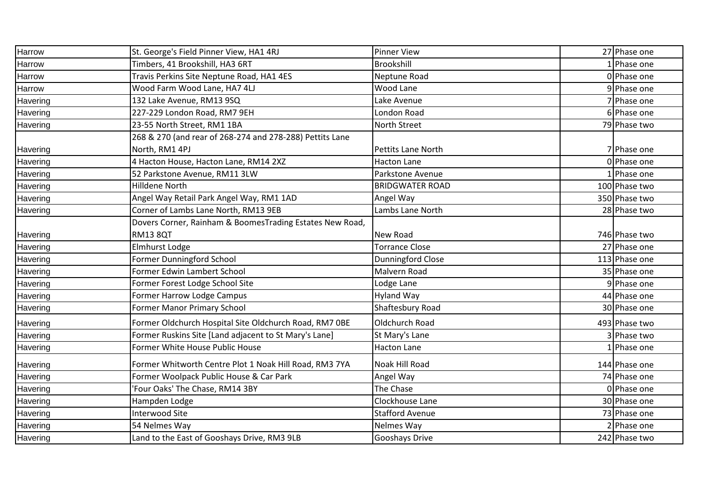| Harrow   | St. George's Field Pinner View, HA1 4RJ                  | <b>Pinner View</b>        | 27 Phase one  |
|----------|----------------------------------------------------------|---------------------------|---------------|
| Harrow   | Timbers, 41 Brookshill, HA3 6RT                          | Brookshill                | 1 Phase one   |
| Harrow   | Travis Perkins Site Neptune Road, HA1 4ES                | Neptune Road              | 0 Phase one   |
| Harrow   | Wood Farm Wood Lane, HA7 4LJ                             | Wood Lane                 | 9 Phase one   |
| Havering | 132 Lake Avenue, RM13 9SQ                                | Lake Avenue               | 7 Phase one   |
| Havering | 227-229 London Road, RM7 9EH                             | London Road               | 6 Phase one   |
| Havering | 23-55 North Street, RM1 1BA                              | North Street              | 79 Phase two  |
|          | 268 & 270 (and rear of 268-274 and 278-288) Pettits Lane |                           |               |
| Havering | North, RM1 4PJ                                           | <b>Pettits Lane North</b> | 7 Phase one   |
| Havering | 4 Hacton House, Hacton Lane, RM14 2XZ                    | <b>Hacton Lane</b>        | 0 Phase one   |
| Havering | 52 Parkstone Avenue, RM11 3LW                            | Parkstone Avenue          | Phase one     |
| Havering | Hilldene North                                           | <b>BRIDGWATER ROAD</b>    | 100 Phase two |
| Havering | Angel Way Retail Park Angel Way, RM1 1AD                 | Angel Way                 | 350 Phase two |
| Havering | Corner of Lambs Lane North, RM13 9EB                     | Lambs Lane North          | 28 Phase two  |
|          | Dovers Corner, Rainham & BoomesTrading Estates New Road, |                           |               |
| Havering | <b>RM13 8QT</b>                                          | New Road                  | 746 Phase two |
| Havering | Elmhurst Lodge                                           | <b>Torrance Close</b>     | 27 Phase one  |
| Havering | Former Dunningford School                                | Dunningford Close         | 113 Phase one |
| Havering | Former Edwin Lambert School                              | Malvern Road              | 35 Phase one  |
| Havering | Former Forest Lodge School Site                          | Lodge Lane                | 9 Phase one   |
| Havering | Former Harrow Lodge Campus                               | Hyland Way                | 44 Phase one  |
| Havering | Former Manor Primary School                              | Shaftesbury Road          | 30 Phase one  |
| Havering | Former Oldchurch Hospital Site Oldchurch Road, RM7 OBE   | Oldchurch Road            | 493 Phase two |
| Havering | Former Ruskins Site [Land adjacent to St Mary's Lane]    | St Mary's Lane            | Phase two     |
| Havering | Former White House Public House                          | Hacton Lane               | 1 Phase one   |
| Havering | Former Whitworth Centre Plot 1 Noak Hill Road, RM3 7YA   | Noak Hill Road            | 144 Phase one |
| Havering | Former Woolpack Public House & Car Park                  | Angel Way                 | 74 Phase one  |
| Havering | Four Oaks' The Chase, RM14 3BY                           | The Chase                 | 0 Phase one   |
| Havering | Hampden Lodge                                            | Clockhouse Lane           | 30 Phase one  |
| Havering | <b>Interwood Site</b>                                    | <b>Stafford Avenue</b>    | 73 Phase one  |
| Havering | 54 Nelmes Way                                            | Nelmes Way                | 2 Phase one   |
| Havering | Land to the East of Gooshays Drive, RM3 9LB              | Gooshays Drive            | 242 Phase two |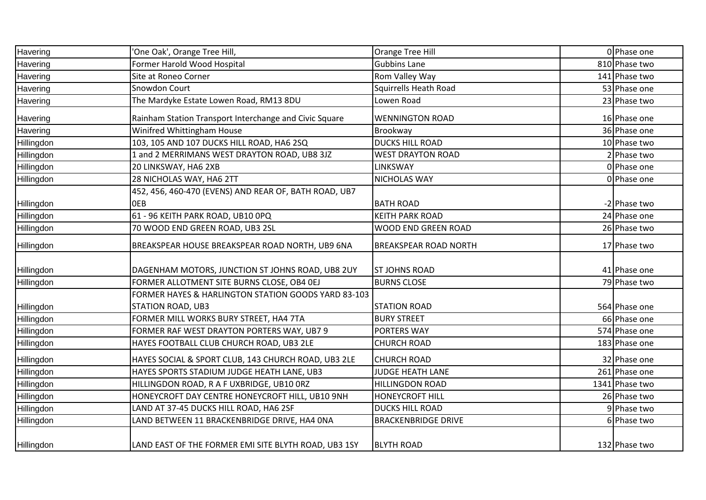| Havering   | 'One Oak', Orange Tree Hill,                                 | Orange Tree Hill             | 0 Phase one    |
|------------|--------------------------------------------------------------|------------------------------|----------------|
| Havering   | Former Harold Wood Hospital                                  | <b>Gubbins Lane</b>          | 810 Phase two  |
| Havering   | Site at Roneo Corner                                         | Rom Valley Way               | 141 Phase two  |
| Havering   | Snowdon Court                                                | <b>Squirrells Heath Road</b> | 53 Phase one   |
| Havering   | The Mardyke Estate Lowen Road, RM13 8DU                      | Lowen Road                   | 23 Phase two   |
| Havering   | Rainham Station Transport Interchange and Civic Square       | <b>WENNINGTON ROAD</b>       | 16 Phase one   |
| Havering   | Winifred Whittingham House                                   | Brookway                     | 36 Phase one   |
| Hillingdon | 103, 105 AND 107 DUCKS HILL ROAD, HA6 2SQ                    | <b>DUCKS HILL ROAD</b>       | 10 Phase two   |
| Hillingdon | 1 and 2 MERRIMANS WEST DRAYTON ROAD, UB8 3JZ                 | <b>WEST DRAYTON ROAD</b>     | Phase two      |
| Hillingdon | 20 LINKSWAY, HA6 2XB                                         | <b>LINKSWAY</b>              | 0 Phase one    |
| Hillingdon | 28 NICHOLAS WAY, HA6 2TT                                     | <b>NICHOLAS WAY</b>          | 0 Phase one    |
| Hillingdon | 452, 456, 460-470 (EVENS) AND REAR OF, BATH ROAD, UB7<br>0EB | <b>BATH ROAD</b>             | -2 Phase two   |
| Hillingdon | 61 - 96 KEITH PARK ROAD, UB10 OPQ                            | <b>KEITH PARK ROAD</b>       | 24 Phase one   |
| Hillingdon | 70 WOOD END GREEN ROAD, UB3 2SL                              | WOOD END GREEN ROAD          | 26 Phase two   |
| Hillingdon | BREAKSPEAR HOUSE BREAKSPEAR ROAD NORTH, UB9 6NA              | <b>BREAKSPEAR ROAD NORTH</b> | 17 Phase two   |
| Hillingdon | DAGENHAM MOTORS, JUNCTION ST JOHNS ROAD, UB8 2UY             | <b>ST JOHNS ROAD</b>         | 41 Phase one   |
| Hillingdon | FORMER ALLOTMENT SITE BURNS CLOSE, OB4 OEJ                   | <b>BURNS CLOSE</b>           | 79 Phase two   |
|            | FORMER HAYES & HARLINGTON STATION GOODS YARD 83-103          |                              |                |
| Hillingdon | <b>STATION ROAD, UB3</b>                                     | <b>STATION ROAD</b>          | 564 Phase one  |
| Hillingdon | FORMER MILL WORKS BURY STREET, HA4 7TA                       | <b>BURY STREET</b>           | 66 Phase one   |
| Hillingdon | FORMER RAF WEST DRAYTON PORTERS WAY, UB7 9                   | <b>PORTERS WAY</b>           | 574 Phase one  |
| Hillingdon | HAYES FOOTBALL CLUB CHURCH ROAD, UB3 2LE                     | <b>CHURCH ROAD</b>           | 183 Phase one  |
| Hillingdon | HAYES SOCIAL & SPORT CLUB, 143 CHURCH ROAD, UB3 2LE          | <b>CHURCH ROAD</b>           | 32 Phase one   |
| Hillingdon | HAYES SPORTS STADIUM JUDGE HEATH LANE, UB3                   | <b>JUDGE HEATH LANE</b>      | 261 Phase one  |
| Hillingdon | HILLINGDON ROAD, R A F UXBRIDGE, UB10 ORZ                    | <b>HILLINGDON ROAD</b>       | 1341 Phase two |
| Hillingdon | HONEYCROFT DAY CENTRE HONEYCROFT HILL, UB10 9NH              | <b>HONEYCROFT HILL</b>       | 26 Phase two   |
| Hillingdon | LAND AT 37-45 DUCKS HILL ROAD, HA6 2SF                       | <b>DUCKS HILL ROAD</b>       | 9 Phase two    |
| Hillingdon | LAND BETWEEN 11 BRACKENBRIDGE DRIVE, HA4 ONA                 | <b>BRACKENBRIDGE DRIVE</b>   | 6 Phase two    |
| Hillingdon | LAND EAST OF THE FORMER EMI SITE BLYTH ROAD, UB3 1SY         | <b>BLYTH ROAD</b>            | 132 Phase two  |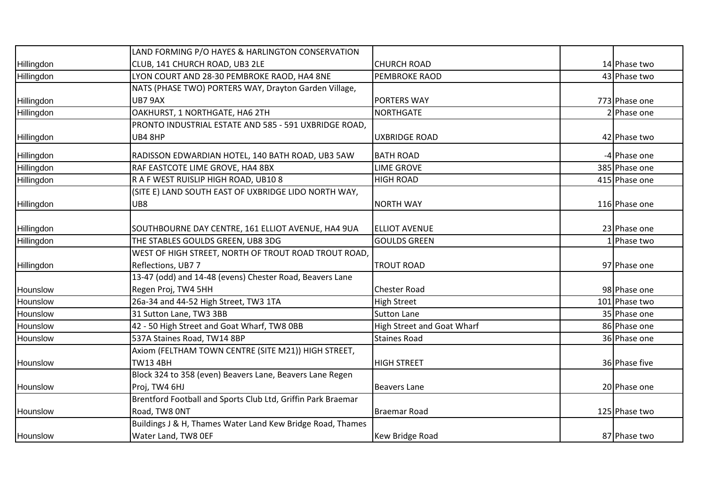|            | LAND FORMING P/O HAYES & HARLINGTON CONSERVATION             |                                   |               |
|------------|--------------------------------------------------------------|-----------------------------------|---------------|
| Hillingdon | CLUB, 141 CHURCH ROAD, UB3 2LE                               | <b>CHURCH ROAD</b>                | 14 Phase two  |
| Hillingdon | LYON COURT AND 28-30 PEMBROKE RAOD, HA4 8NE                  | <b>PEMBROKE RAOD</b>              | 43 Phase two  |
|            | NATS (PHASE TWO) PORTERS WAY, Drayton Garden Village,        |                                   |               |
| Hillingdon | UB7 9AX                                                      | <b>PORTERS WAY</b>                | 773 Phase one |
| Hillingdon | OAKHURST, 1 NORTHGATE, HA6 2TH                               | <b>NORTHGATE</b>                  | 2 Phase one   |
|            | PRONTO INDUSTRIAL ESTATE AND 585 - 591 UXBRIDGE ROAD,        |                                   |               |
| Hillingdon | UB4 8HP                                                      | <b>UXBRIDGE ROAD</b>              | 42 Phase two  |
| Hillingdon | RADISSON EDWARDIAN HOTEL, 140 BATH ROAD, UB3 5AW             | <b>BATH ROAD</b>                  | -4 Phase one  |
| Hillingdon | RAF EASTCOTE LIME GROVE, HA4 8BX                             | <b>LIME GROVE</b>                 | 385 Phase one |
| Hillingdon | R A F WEST RUISLIP HIGH ROAD, UB10 8                         | <b>HIGH ROAD</b>                  | 415 Phase one |
|            | (SITE E) LAND SOUTH EAST OF UXBRIDGE LIDO NORTH WAY,         |                                   |               |
| Hillingdon | UB8                                                          | <b>NORTH WAY</b>                  | 116 Phase one |
|            |                                                              |                                   |               |
| Hillingdon | SOUTHBOURNE DAY CENTRE, 161 ELLIOT AVENUE, HA4 9UA           | <b>ELLIOT AVENUE</b>              | 23 Phase one  |
| Hillingdon | THE STABLES GOULDS GREEN, UB8 3DG                            | <b>GOULDS GREEN</b>               | 1 Phase two   |
|            | WEST OF HIGH STREET, NORTH OF TROUT ROAD TROUT ROAD,         |                                   |               |
| Hillingdon | Reflections, UB7 7                                           | <b>TROUT ROAD</b>                 | 97 Phase one  |
|            | 13-47 (odd) and 14-48 (evens) Chester Road, Beavers Lane     |                                   |               |
| Hounslow   | Regen Proj, TW4 5HH                                          | <b>Chester Road</b>               | 98 Phase one  |
| Hounslow   | 26a-34 and 44-52 High Street, TW3 1TA                        | <b>High Street</b>                | 101 Phase two |
| Hounslow   | 31 Sutton Lane, TW3 3BB                                      | <b>Sutton Lane</b>                | 35 Phase one  |
| Hounslow   | 42 - 50 High Street and Goat Wharf, TW8 OBB                  | <b>High Street and Goat Wharf</b> | 86 Phase one  |
| Hounslow   | 537A Staines Road, TW14 8BP                                  | <b>Staines Road</b>               | 36 Phase one  |
|            | Axiom (FELTHAM TOWN CENTRE (SITE M21)) HIGH STREET,          |                                   |               |
| Hounslow   | TW13 4BH                                                     | <b>HIGH STREET</b>                | 36 Phase five |
|            | Block 324 to 358 (even) Beavers Lane, Beavers Lane Regen     |                                   |               |
| Hounslow   | Proj, TW4 6HJ                                                | <b>Beavers Lane</b>               | 20 Phase one  |
|            | Brentford Football and Sports Club Ltd, Griffin Park Braemar |                                   |               |
| Hounslow   | Road, TW8 ONT                                                | <b>Braemar Road</b>               | 125 Phase two |
|            | Buildings J & H, Thames Water Land Kew Bridge Road, Thames   |                                   |               |
| Hounslow   | Water Land, TW8 OEF                                          | Kew Bridge Road                   | 87 Phase two  |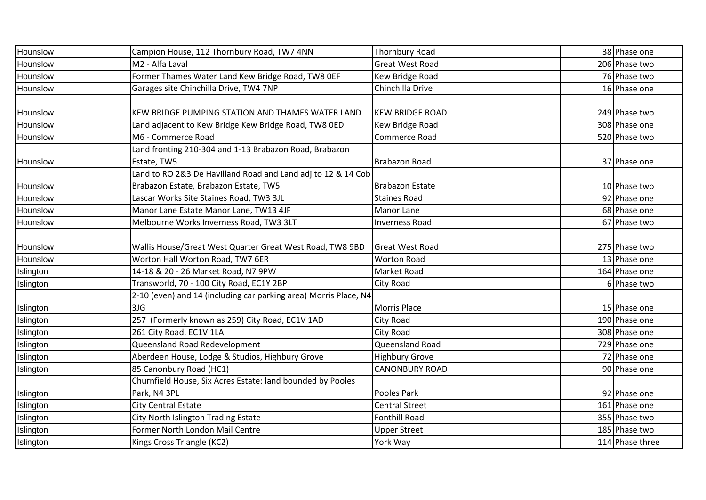| Hounslow  | Campion House, 112 Thornbury Road, TW7 4NN                       | Thornbury Road         | 38 Phase one    |
|-----------|------------------------------------------------------------------|------------------------|-----------------|
| Hounslow  | M2 - Alfa Laval                                                  | <b>Great West Road</b> | 206 Phase two   |
| Hounslow  | Former Thames Water Land Kew Bridge Road, TW8 OEF                | Kew Bridge Road        | 76 Phase two    |
| Hounslow  | Garages site Chinchilla Drive, TW4 7NP                           | Chinchilla Drive       | 16 Phase one    |
|           |                                                                  |                        |                 |
| Hounslow  | KEW BRIDGE PUMPING STATION AND THAMES WATER LAND                 | <b>KEW BRIDGE ROAD</b> | 249 Phase two   |
| Hounslow  | Land adjacent to Kew Bridge Kew Bridge Road, TW8 0ED             | Kew Bridge Road        | 308 Phase one   |
| Hounslow  | M6 - Commerce Road                                               | Commerce Road          | 520 Phase two   |
|           | Land fronting 210-304 and 1-13 Brabazon Road, Brabazon           |                        |                 |
| Hounslow  | Estate, TW5                                                      | <b>Brabazon Road</b>   | 37 Phase one    |
|           | Land to RO 2&3 De Havilland Road and Land adj to 12 & 14 Cob     |                        |                 |
| Hounslow  | Brabazon Estate, Brabazon Estate, TW5                            | <b>Brabazon Estate</b> | 10 Phase two    |
| Hounslow  | Lascar Works Site Staines Road, TW3 3JL                          | <b>Staines Road</b>    | 92 Phase one    |
| Hounslow  | Manor Lane Estate Manor Lane, TW13 4JF                           | Manor Lane             | 68 Phase one    |
| Hounslow  | Melbourne Works Inverness Road, TW3 3LT                          | <b>Inverness Road</b>  | 67 Phase two    |
|           |                                                                  |                        |                 |
| Hounslow  | Wallis House/Great West Quarter Great West Road, TW8 9BD         | <b>Great West Road</b> | 275 Phase two   |
| Hounslow  | Worton Hall Worton Road, TW7 6ER                                 | <b>Worton Road</b>     | 13 Phase one    |
| Islington | 14-18 & 20 - 26 Market Road, N7 9PW                              | Market Road            | 164 Phase one   |
| Islington | Transworld, 70 - 100 City Road, EC1Y 2BP                         | City Road              | 6 Phase two     |
|           | 2-10 (even) and 14 (including car parking area) Morris Place, N4 |                        |                 |
| Islington | 3JG                                                              | <b>Morris Place</b>    | 15 Phase one    |
| Islington | 257 (Formerly known as 259) City Road, EC1V 1AD                  | City Road              | 190 Phase one   |
| Islington | 261 City Road, EC1V 1LA                                          | City Road              | 308 Phase one   |
| Islington | Queensland Road Redevelopment                                    | Queensland Road        | 729 Phase one   |
| Islington | Aberdeen House, Lodge & Studios, Highbury Grove                  | <b>Highbury Grove</b>  | 72 Phase one    |
| Islington | 85 Canonbury Road (HC1)                                          | <b>CANONBURY ROAD</b>  | 90 Phase one    |
|           | Churnfield House, Six Acres Estate: land bounded by Pooles       |                        |                 |
| Islington | Park, N4 3PL                                                     | Pooles Park            | 92 Phase one    |
| Islington | City Central Estate                                              | <b>Central Street</b>  | 161 Phase one   |
| Islington | City North Islington Trading Estate                              | <b>Fonthill Road</b>   | 355 Phase two   |
| Islington | Former North London Mail Centre                                  | <b>Upper Street</b>    | 185 Phase two   |
| Islington | Kings Cross Triangle (KC2)                                       | York Way               | 114 Phase three |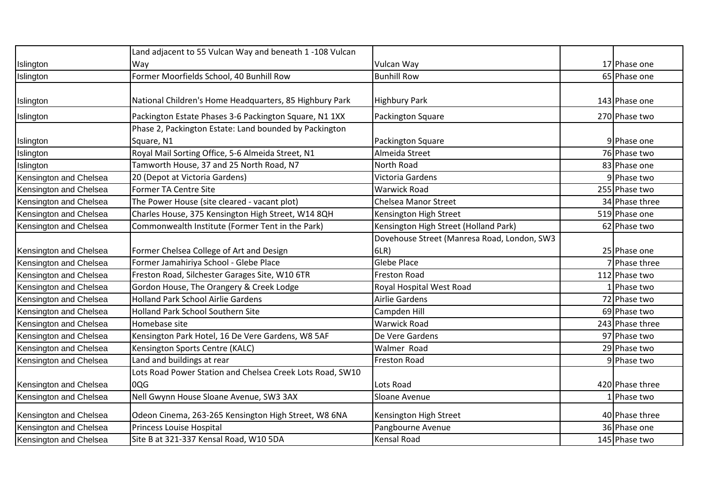|                        | Land adjacent to 55 Vulcan Way and beneath 1 -108 Vulcan  |                                             |                 |
|------------------------|-----------------------------------------------------------|---------------------------------------------|-----------------|
| Islington              | Way                                                       | Vulcan Way                                  | 17 Phase one    |
| Islington              | Former Moorfields School, 40 Bunhill Row                  | <b>Bunhill Row</b>                          | 65 Phase one    |
|                        |                                                           |                                             |                 |
| Islington              | National Children's Home Headquarters, 85 Highbury Park   | <b>Highbury Park</b>                        | 143 Phase one   |
| Islington              | Packington Estate Phases 3-6 Packington Square, N1 1XX    | Packington Square                           | 270 Phase two   |
|                        | Phase 2, Packington Estate: Land bounded by Packington    |                                             |                 |
| Islington              | Square, N1                                                | Packington Square                           | 9 Phase one     |
| Islington              | Royal Mail Sorting Office, 5-6 Almeida Street, N1         | Almeida Street                              | 76 Phase two    |
| Islington              | Tamworth House, 37 and 25 North Road, N7                  | North Road                                  | 83 Phase one    |
| Kensington and Chelsea | 20 (Depot at Victoria Gardens)                            | Victoria Gardens                            | 9 Phase two     |
| Kensington and Chelsea | Former TA Centre Site                                     | <b>Warwick Road</b>                         | 255 Phase two   |
| Kensington and Chelsea | The Power House (site cleared - vacant plot)              | <b>Chelsea Manor Street</b>                 | 34 Phase three  |
| Kensington and Chelsea | Charles House, 375 Kensington High Street, W14 8QH        | Kensington High Street                      | 519 Phase one   |
| Kensington and Chelsea | Commonwealth Institute (Former Tent in the Park)          | Kensington High Street (Holland Park)       | 62 Phase two    |
|                        |                                                           | Dovehouse Street (Manresa Road, London, SW3 |                 |
| Kensington and Chelsea | Former Chelsea College of Art and Design                  | 6LR)                                        | 25 Phase one    |
| Kensington and Chelsea | Former Jamahiriya School - Glebe Place                    | <b>Glebe Place</b>                          | 7 Phase three   |
| Kensington and Chelsea | Freston Road, Silchester Garages Site, W10 6TR            | <b>Freston Road</b>                         | 112 Phase two   |
| Kensington and Chelsea | Gordon House, The Orangery & Creek Lodge                  | Royal Hospital West Road                    | 1 Phase two     |
| Kensington and Chelsea | <b>Holland Park School Airlie Gardens</b>                 | <b>Airlie Gardens</b>                       | 72 Phase two    |
| Kensington and Chelsea | <b>Holland Park School Southern Site</b>                  | Campden Hill                                | 69 Phase two    |
| Kensington and Chelsea | Homebase site                                             | <b>Warwick Road</b>                         | 243 Phase three |
| Kensington and Chelsea | Kensington Park Hotel, 16 De Vere Gardens, W8 5AF         | De Vere Gardens                             | 97 Phase two    |
| Kensington and Chelsea | Kensington Sports Centre (KALC)                           | Walmer Road                                 | 29 Phase two    |
| Kensington and Chelsea | Land and buildings at rear                                | <b>Freston Road</b>                         | 9 Phase two     |
|                        | Lots Road Power Station and Chelsea Creek Lots Road, SW10 |                                             |                 |
| Kensington and Chelsea | 0QG                                                       | Lots Road                                   | 420 Phase three |
| Kensington and Chelsea | Nell Gwynn House Sloane Avenue, SW3 3AX                   | Sloane Avenue                               | 1 Phase two     |
| Kensington and Chelsea | Odeon Cinema, 263-265 Kensington High Street, W8 6NA      | Kensington High Street                      | 40 Phase three  |
| Kensington and Chelsea | Princess Louise Hospital                                  | Pangbourne Avenue                           | 36 Phase one    |
| Kensington and Chelsea | Site B at 321-337 Kensal Road, W10 5DA                    | <b>Kensal Road</b>                          | 145 Phase two   |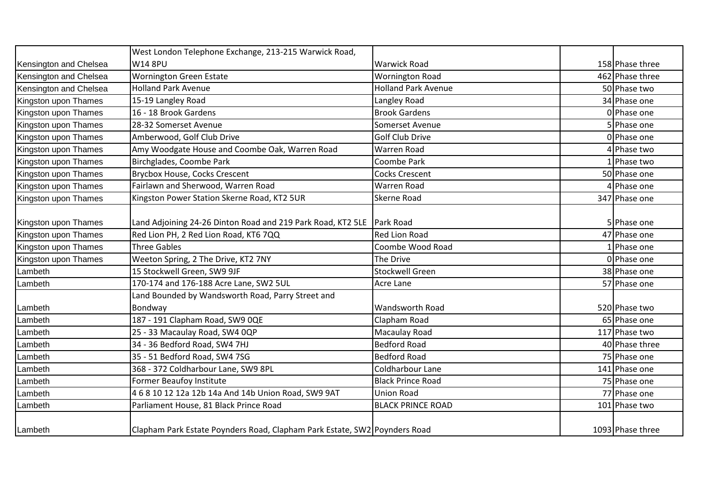|                        | West London Telephone Exchange, 213-215 Warwick Road,                     |                            |                  |
|------------------------|---------------------------------------------------------------------------|----------------------------|------------------|
| Kensington and Chelsea | <b>W14 8PU</b>                                                            | <b>Warwick Road</b>        | 158 Phase three  |
| Kensington and Chelsea | <b>Wornington Green Estate</b>                                            | <b>Wornington Road</b>     | 462 Phase three  |
| Kensington and Chelsea | <b>Holland Park Avenue</b>                                                | <b>Holland Park Avenue</b> | 50 Phase two     |
| Kingston upon Thames   | 15-19 Langley Road                                                        | Langley Road               | 34 Phase one     |
| Kingston upon Thames   | 16 - 18 Brook Gardens                                                     | <b>Brook Gardens</b>       | 0 Phase one      |
| Kingston upon Thames   | 28-32 Somerset Avenue                                                     | Somerset Avenue            | 5 Phase one      |
| Kingston upon Thames   | Amberwood, Golf Club Drive                                                | <b>Golf Club Drive</b>     | 0 Phase one      |
| Kingston upon Thames   | Amy Woodgate House and Coombe Oak, Warren Road                            | <b>Warren Road</b>         | 4 Phase two      |
| Kingston upon Thames   | Birchglades, Coombe Park                                                  | Coombe Park                | Phase two        |
| Kingston upon Thames   | <b>Brycbox House, Cocks Crescent</b>                                      | <b>Cocks Crescent</b>      | 50 Phase one     |
| Kingston upon Thames   | Fairlawn and Sherwood, Warren Road                                        | <b>Warren Road</b>         | 4 Phase one      |
| Kingston upon Thames   | Kingston Power Station Skerne Road, KT2 5UR                               | <b>Skerne Road</b>         | 347 Phase one    |
|                        |                                                                           |                            |                  |
| Kingston upon Thames   | Land Adjoining 24-26 Dinton Road and 219 Park Road, KT2 5LE Park Road     |                            | 5 Phase one      |
| Kingston upon Thames   | Red Lion PH, 2 Red Lion Road, KT6 7QQ                                     | <b>Red Lion Road</b>       | 47 Phase one     |
| Kingston upon Thames   | <b>Three Gables</b>                                                       | Coombe Wood Road           | 1 Phase one      |
| Kingston upon Thames   | Weeton Spring, 2 The Drive, KT2 7NY                                       | The Drive                  | 0 Phase one      |
| Lambeth                | 15 Stockwell Green, SW9 9JF                                               | <b>Stockwell Green</b>     | 38 Phase one     |
| Lambeth                | 170-174 and 176-188 Acre Lane, SW2 5UL                                    | <b>Acre Lane</b>           | 57 Phase one     |
|                        | Land Bounded by Wandsworth Road, Parry Street and                         |                            |                  |
| Lambeth                | Bondway                                                                   | <b>Wandsworth Road</b>     | 520 Phase two    |
| Lambeth                | 187 - 191 Clapham Road, SW9 OQE                                           | Clapham Road               | 65 Phase one     |
| Lambeth                | 25 - 33 Macaulay Road, SW4 0QP                                            | Macaulay Road              | 117 Phase two    |
| Lambeth                | 34 - 36 Bedford Road, SW4 7HJ                                             | <b>Bedford Road</b>        | 40 Phase three   |
| Lambeth                | 35 - 51 Bedford Road, SW4 7SG                                             | <b>Bedford Road</b>        | 75 Phase one     |
| Lambeth                | 368 - 372 Coldharbour Lane, SW9 8PL                                       | Coldharbour Lane           | 141 Phase one    |
| Lambeth                | Former Beaufoy Institute                                                  | <b>Black Prince Road</b>   | 75 Phase one     |
| Lambeth                | 4 6 8 10 12 12a 12b 14a And 14b Union Road, SW9 9AT                       | <b>Union Road</b>          | 77 Phase one     |
| Lambeth                | Parliament House, 81 Black Prince Road                                    | <b>BLACK PRINCE ROAD</b>   | 101 Phase two    |
| Lambeth                | Clapham Park Estate Poynders Road, Clapham Park Estate, SW2 Poynders Road |                            | 1093 Phase three |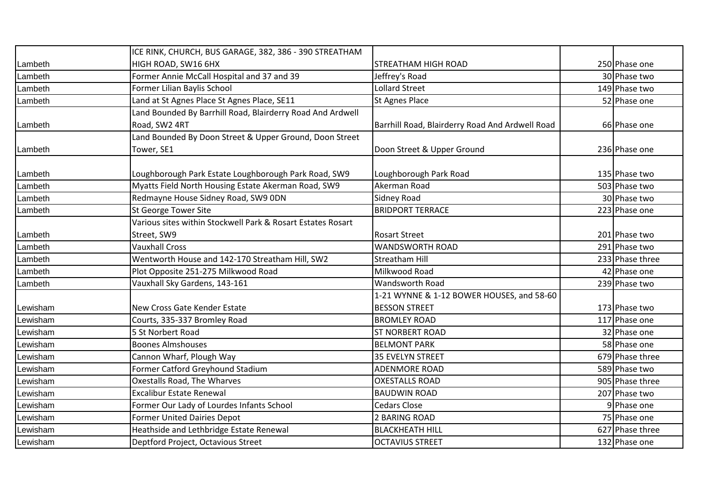|          | ICE RINK, CHURCH, BUS GARAGE, 382, 386 - 390 STREATHAM      |                                                 |                 |
|----------|-------------------------------------------------------------|-------------------------------------------------|-----------------|
| Lambeth  | HIGH ROAD, SW16 6HX                                         | <b>STREATHAM HIGH ROAD</b>                      | 250 Phase one   |
| Lambeth  | Former Annie McCall Hospital and 37 and 39                  | Jeffrey's Road                                  | 30 Phase two    |
| Lambeth  | Former Lilian Baylis School                                 | <b>Lollard Street</b>                           | 149 Phase two   |
| Lambeth  | Land at St Agnes Place St Agnes Place, SE11                 | St Agnes Place                                  | 52 Phase one    |
|          | Land Bounded By Barrhill Road, Blairderry Road And Ardwell  |                                                 |                 |
| Lambeth  | Road, SW2 4RT                                               | Barrhill Road, Blairderry Road And Ardwell Road | 66 Phase one    |
|          | Land Bounded By Doon Street & Upper Ground, Doon Street     |                                                 |                 |
| Lambeth  | Tower, SE1                                                  | Doon Street & Upper Ground                      | 236 Phase one   |
|          |                                                             |                                                 |                 |
| Lambeth  | Loughborough Park Estate Loughborough Park Road, SW9        | Loughborough Park Road                          | 135 Phase two   |
| Lambeth  | Myatts Field North Housing Estate Akerman Road, SW9         | Akerman Road                                    | 503 Phase two   |
| Lambeth  | Redmayne House Sidney Road, SW9 ODN                         | <b>Sidney Road</b>                              | 30 Phase two    |
| Lambeth  | <b>St George Tower Site</b>                                 | <b>BRIDPORT TERRACE</b>                         | 223 Phase one   |
|          | Various sites within Stockwell Park & Rosart Estates Rosart |                                                 |                 |
| Lambeth  | Street, SW9                                                 | <b>Rosart Street</b>                            | 201 Phase two   |
| Lambeth  | <b>Vauxhall Cross</b>                                       | <b>WANDSWORTH ROAD</b>                          | 291 Phase two   |
| Lambeth  | Wentworth House and 142-170 Streatham Hill, SW2             | <b>Streatham Hill</b>                           | 233 Phase three |
| Lambeth  | Plot Opposite 251-275 Milkwood Road                         | Milkwood Road                                   | 42 Phase one    |
| Lambeth  | Vauxhall Sky Gardens, 143-161                               | <b>Wandsworth Road</b>                          | 239 Phase two   |
|          |                                                             | 1-21 WYNNE & 1-12 BOWER HOUSES, and 58-60       |                 |
| Lewisham | New Cross Gate Kender Estate                                | <b>BESSON STREET</b>                            | 173 Phase two   |
| Lewisham | Courts, 335-337 Bromley Road                                | <b>BROMLEY ROAD</b>                             | 117 Phase one   |
| Lewisham | 5 St Norbert Road                                           | <b>ST NORBERT ROAD</b>                          | 32 Phase one    |
| Lewisham | <b>Boones Almshouses</b>                                    | <b>BELMONT PARK</b>                             | 58 Phase one    |
| Lewisham | Cannon Wharf, Plough Way                                    | 35 EVELYN STREET                                | 679 Phase three |
| Lewisham | Former Catford Greyhound Stadium                            | <b>ADENMORE ROAD</b>                            | 589 Phase two   |
| Lewisham | Oxestalls Road, The Wharves                                 | <b>OXESTALLS ROAD</b>                           | 905 Phase three |
| Lewisham | <b>Excalibur Estate Renewal</b>                             | <b>BAUDWIN ROAD</b>                             | 207 Phase two   |
| Lewisham | Former Our Lady of Lourdes Infants School                   | <b>Cedars Close</b>                             | 9 Phase one     |
| Lewisham | <b>Former United Dairies Depot</b>                          | 2 BARING ROAD                                   | 75 Phase one    |
| Lewisham | Heathside and Lethbridge Estate Renewal                     | <b>BLACKHEATH HILL</b>                          | 627 Phase three |
| Lewisham | Deptford Project, Octavious Street                          | <b>OCTAVIUS STREET</b>                          | 132 Phase one   |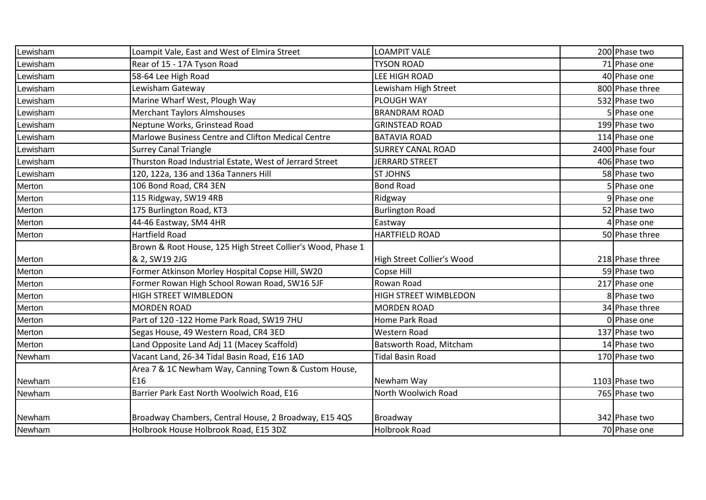| Lewisham | Loampit Vale, East and West of Elmira Street                | <b>LOAMPIT VALE</b>          | 200 Phase two   |
|----------|-------------------------------------------------------------|------------------------------|-----------------|
| Lewisham | Rear of 15 - 17A Tyson Road                                 | <b>TYSON ROAD</b>            | 71 Phase one    |
| Lewisham | 58-64 Lee High Road                                         | LEE HIGH ROAD                | 40 Phase one    |
| Lewisham | Lewisham Gateway                                            | Lewisham High Street         | 800 Phase three |
| Lewisham | Marine Wharf West, Plough Way                               | PLOUGH WAY                   | 532 Phase two   |
| Lewisham | <b>Merchant Taylors Almshouses</b>                          | <b>BRANDRAM ROAD</b>         | 5 Phase one     |
| Lewisham | Neptune Works, Grinstead Road                               | <b>GRINSTEAD ROAD</b>        | 199 Phase two   |
| Lewisham | Marlowe Business Centre and Clifton Medical Centre          | <b>BATAVIA ROAD</b>          | 114 Phase one   |
| Lewisham | <b>Surrey Canal Triangle</b>                                | <b>SURREY CANAL ROAD</b>     | 2400 Phase four |
| Lewisham | Thurston Road Industrial Estate, West of Jerrard Street     | <b>JERRARD STREET</b>        | 406 Phase two   |
| Lewisham | 120, 122a, 136 and 136a Tanners Hill                        | <b>ST JOHNS</b>              | 58 Phase two    |
| Merton   | 106 Bond Road, CR4 3EN                                      | <b>Bond Road</b>             | 5 Phase one     |
| Merton   | 115 Ridgway, SW19 4RB                                       | Ridgway                      | 9 Phase one     |
| Merton   | 175 Burlington Road, KT3                                    | <b>Burlington Road</b>       | 52 Phase two    |
| Merton   | 44-46 Eastway, SM4 4HR                                      | Eastway                      | 4 Phase one     |
| Merton   | Hartfield Road                                              | <b>HARTFIELD ROAD</b>        | 50 Phase three  |
|          | Brown & Root House, 125 High Street Collier's Wood, Phase 1 |                              |                 |
| Merton   | & 2, SW19 2JG                                               | High Street Collier's Wood   | 218 Phase three |
| Merton   | Former Atkinson Morley Hospital Copse Hill, SW20            | Copse Hill                   | 59 Phase two    |
| Merton   | Former Rowan High School Rowan Road, SW16 5JF               | Rowan Road                   | 217 Phase one   |
| Merton   | <b>HIGH STREET WIMBLEDON</b>                                | <b>HIGH STREET WIMBLEDON</b> | 8 Phase two     |
| Merton   | <b>MORDEN ROAD</b>                                          | <b>MORDEN ROAD</b>           | 34 Phase three  |
| Merton   | Part of 120 -122 Home Park Road, SW19 7HU                   | Home Park Road               | 0 Phase one     |
| Merton   | Segas House, 49 Western Road, CR4 3ED                       | Western Road                 | 137 Phase two   |
| Merton   | Land Opposite Land Adj 11 (Macey Scaffold)                  | Batsworth Road, Mitcham      | 14 Phase two    |
| Newham   | Vacant Land, 26-34 Tidal Basin Road, E16 1AD                | <b>Tidal Basin Road</b>      | 170 Phase two   |
|          | Area 7 & 1C Newham Way, Canning Town & Custom House,        |                              |                 |
| Newham   | E16                                                         | Newham Way                   | 1103 Phase two  |
| Newham   | Barrier Park East North Woolwich Road, E16                  | North Woolwich Road          | 765 Phase two   |
|          |                                                             |                              |                 |
|          |                                                             |                              |                 |
| Newham   | Broadway Chambers, Central House, 2 Broadway, E15 4QS       | Broadway                     | 342 Phase two   |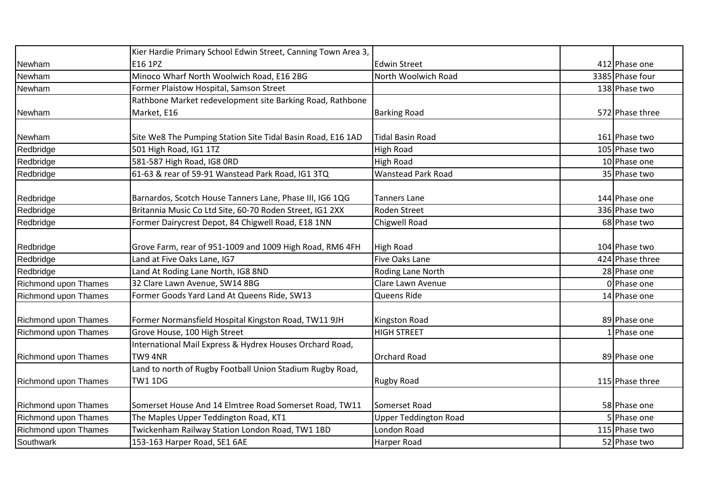|                      | Kier Hardie Primary School Edwin Street, Canning Town Area 3, |                              |                 |
|----------------------|---------------------------------------------------------------|------------------------------|-----------------|
| Newham               | E16 1PZ                                                       | <b>Edwin Street</b>          | 412 Phase one   |
| Newham               | Minoco Wharf North Woolwich Road, E16 2BG                     | North Woolwich Road          | 3385 Phase four |
| Newham               | Former Plaistow Hospital, Samson Street                       |                              | 138 Phase two   |
|                      | Rathbone Market redevelopment site Barking Road, Rathbone     |                              |                 |
| Newham               | Market, E16                                                   | <b>Barking Road</b>          | 572 Phase three |
|                      |                                                               |                              |                 |
| Newham               | Site We8 The Pumping Station Site Tidal Basin Road, E16 1AD   | Tidal Basin Road             | 161 Phase two   |
| Redbridge            | 501 High Road, IG1 1TZ                                        | <b>High Road</b>             | 105 Phase two   |
| Redbridge            | 581-587 High Road, IG8 ORD                                    | <b>High Road</b>             | 10 Phase one    |
| Redbridge            | 61-63 & rear of 59-91 Wanstead Park Road, IG1 3TQ             | <b>Wanstead Park Road</b>    | 35 Phase two    |
|                      |                                                               |                              |                 |
| Redbridge            | Barnardos, Scotch House Tanners Lane, Phase III, IG6 1QG      | <b>Tanners Lane</b>          | 144 Phase one   |
| Redbridge            | Britannia Music Co Ltd Site, 60-70 Roden Street, IG1 2XX      | <b>Roden Street</b>          | 336 Phase two   |
| Redbridge            | Former Dairycrest Depot, 84 Chigwell Road, E18 1NN            | Chigwell Road                | 68 Phase two    |
|                      |                                                               |                              |                 |
| Redbridge            | Grove Farm, rear of 951-1009 and 1009 High Road, RM6 4FH      | <b>High Road</b>             | 104 Phase two   |
| Redbridge            | Land at Five Oaks Lane, IG7                                   | <b>Five Oaks Lane</b>        | 424 Phase three |
| Redbridge            | Land At Roding Lane North, IG8 8ND                            | Roding Lane North            | 28 Phase one    |
| Richmond upon Thames | 32 Clare Lawn Avenue, SW14 8BG                                | Clare Lawn Avenue            | 0 Phase one     |
| Richmond upon Thames | Former Goods Yard Land At Queens Ride, SW13                   | Queens Ride                  | 14 Phase one    |
|                      |                                                               |                              |                 |
| Richmond upon Thames | Former Normansfield Hospital Kingston Road, TW11 9JH          | Kingston Road                | 89 Phase one    |
| Richmond upon Thames | Grove House, 100 High Street                                  | <b>HIGH STREET</b>           | Phase one       |
|                      | International Mail Express & Hydrex Houses Orchard Road,      |                              |                 |
| Richmond upon Thames | TW9 4NR                                                       | <b>Orchard Road</b>          | 89 Phase one    |
|                      | Land to north of Rugby Football Union Stadium Rugby Road,     |                              |                 |
| Richmond upon Thames | <b>TW1 1DG</b>                                                | <b>Rugby Road</b>            | 115 Phase three |
|                      |                                                               |                              |                 |
| Richmond upon Thames | Somerset House And 14 Elmtree Road Somerset Road, TW11        | Somerset Road                | 58 Phase one    |
| Richmond upon Thames | The Maples Upper Teddington Road, KT1                         | <b>Upper Teddington Road</b> | 5 Phase one     |
| Richmond upon Thames | Twickenham Railway Station London Road, TW1 1BD               | London Road                  | 115 Phase two   |
| Southwark            | 153-163 Harper Road, SE1 6AE                                  | Harper Road                  | 52 Phase two    |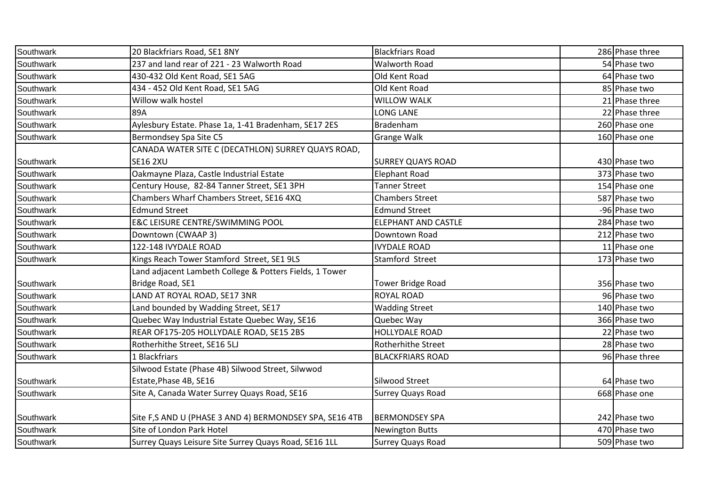| Southwark | 20 Blackfriars Road, SE1 8NY                            | <b>Blackfriars Road</b>    | 286 Phase three |
|-----------|---------------------------------------------------------|----------------------------|-----------------|
| Southwark | 237 and land rear of 221 - 23 Walworth Road             | <b>Walworth Road</b>       | 54 Phase two    |
| Southwark | 430-432 Old Kent Road, SE1 5AG                          | Old Kent Road              | 64 Phase two    |
| Southwark | 434 - 452 Old Kent Road, SE1 5AG                        | Old Kent Road              | 85 Phase two    |
| Southwark | Willow walk hostel                                      | <b>WILLOW WALK</b>         | 21 Phase three  |
| Southwark | 89A                                                     | <b>LONG LANE</b>           | 22 Phase three  |
| Southwark | Aylesbury Estate. Phase 1a, 1-41 Bradenham, SE17 2ES    | Bradenham                  | 260 Phase one   |
| Southwark | Bermondsey Spa Site C5                                  | <b>Grange Walk</b>         | 160 Phase one   |
|           | CANADA WATER SITE C (DECATHLON) SURREY QUAYS ROAD,      |                            |                 |
| Southwark | <b>SE16 2XU</b>                                         | <b>SURREY QUAYS ROAD</b>   | 430 Phase two   |
| Southwark | Oakmayne Plaza, Castle Industrial Estate                | <b>Elephant Road</b>       | 373 Phase two   |
| Southwark | Century House, 82-84 Tanner Street, SE1 3PH             | <b>Tanner Street</b>       | 154 Phase one   |
| Southwark | Chambers Wharf Chambers Street, SE16 4XQ                | <b>Chambers Street</b>     | 587 Phase two   |
| Southwark | <b>Edmund Street</b>                                    | <b>Edmund Street</b>       | -96 Phase two   |
| Southwark | <b>E&amp;C LEISURE CENTRE/SWIMMING POOL</b>             | <b>ELEPHANT AND CASTLE</b> | 284 Phase two   |
| Southwark | Downtown (CWAAP 3)                                      | Downtown Road              | 212 Phase two   |
| Southwark | 122-148 IVYDALE ROAD                                    | <b>IVYDALE ROAD</b>        | 11 Phase one    |
| Southwark | Kings Reach Tower Stamford Street, SE1 9LS              | Stamford Street            | 173 Phase two   |
|           | Land adjacent Lambeth College & Potters Fields, 1 Tower |                            |                 |
| Southwark | Bridge Road, SE1                                        | <b>Tower Bridge Road</b>   | 356 Phase two   |
| Southwark | LAND AT ROYAL ROAD, SE17 3NR                            | <b>ROYAL ROAD</b>          | 96 Phase two    |
| Southwark | Land bounded by Wadding Street, SE17                    | <b>Wadding Street</b>      | 140 Phase two   |
| Southwark | Quebec Way Industrial Estate Quebec Way, SE16           | Quebec Way                 | 366 Phase two   |
| Southwark | REAR OF175-205 HOLLYDALE ROAD, SE15 2BS                 | <b>HOLLYDALE ROAD</b>      | 22 Phase two    |
| Southwark | Rotherhithe Street, SE16 5LJ                            | Rotherhithe Street         | 28 Phase two    |
| Southwark | 1 Blackfriars                                           | <b>BLACKFRIARS ROAD</b>    | 96 Phase three  |
|           | Silwood Estate (Phase 4B) Silwood Street, Silwwod       |                            |                 |
| Southwark | Estate, Phase 4B, SE16                                  | Silwood Street             | 64 Phase two    |
| Southwark | Site A, Canada Water Surrey Quays Road, SE16            | <b>Surrey Quays Road</b>   | 668 Phase one   |
|           |                                                         |                            |                 |
| Southwark | Site F,S AND U (PHASE 3 AND 4) BERMONDSEY SPA, SE16 4TB | <b>BERMONDSEY SPA</b>      | 242 Phase two   |
| Southwark | Site of London Park Hotel                               | <b>Newington Butts</b>     | 470 Phase two   |
| Southwark | Surrey Quays Leisure Site Surrey Quays Road, SE16 1LL   | <b>Surrey Quays Road</b>   | 509 Phase two   |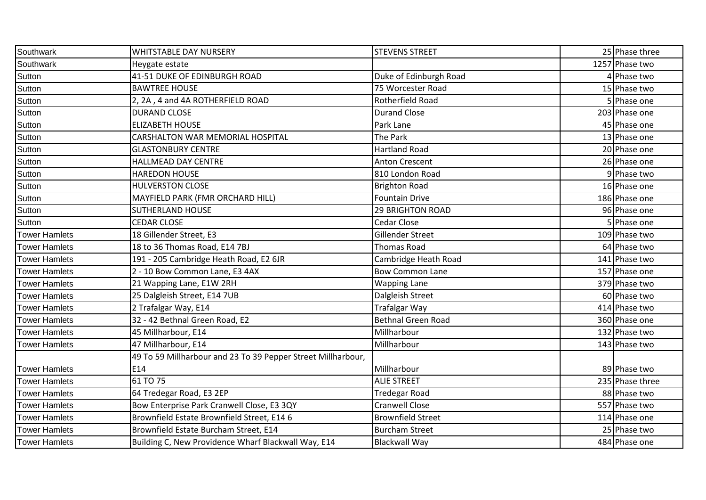| Southwark            | <b>WHITSTABLE DAY NURSERY</b>                                | <b>STEVENS STREET</b>     | 25 Phase three  |
|----------------------|--------------------------------------------------------------|---------------------------|-----------------|
| Southwark            | Heygate estate                                               |                           | 1257 Phase two  |
| Sutton               | 41-51 DUKE OF EDINBURGH ROAD                                 | Duke of Edinburgh Road    | 4 Phase two     |
| Sutton               | <b>BAWTREE HOUSE</b>                                         | 75 Worcester Road         | 15 Phase two    |
| Sutton               | 2, 2A, 4 and 4A ROTHERFIELD ROAD                             | Rotherfield Road          | 5 Phase one     |
| Sutton               | <b>DURAND CLOSE</b>                                          | <b>Durand Close</b>       | 203 Phase one   |
| Sutton               | <b>ELIZABETH HOUSE</b>                                       | Park Lane                 | 45 Phase one    |
| Sutton               | CARSHALTON WAR MEMORIAL HOSPITAL                             | The Park                  | 13 Phase one    |
| Sutton               | <b>GLASTONBURY CENTRE</b>                                    | <b>Hartland Road</b>      | 20 Phase one    |
| Sutton               | HALLMEAD DAY CENTRE                                          | <b>Anton Crescent</b>     | 26 Phase one    |
| Sutton               | <b>HAREDON HOUSE</b>                                         | 810 London Road           | 9 Phase two     |
| Sutton               | <b>HULVERSTON CLOSE</b>                                      | <b>Brighton Road</b>      | 16 Phase one    |
| Sutton               | MAYFIELD PARK (FMR ORCHARD HILL)                             | <b>Fountain Drive</b>     | 186 Phase one   |
| Sutton               | <b>SUTHERLAND HOUSE</b>                                      | <b>29 BRIGHTON ROAD</b>   | 96 Phase one    |
| Sutton               | <b>CEDAR CLOSE</b>                                           | Cedar Close               | 5 Phase one     |
| <b>Tower Hamlets</b> | 18 Gillender Street, E3                                      | Gillender Street          | 109 Phase two   |
| <b>Tower Hamlets</b> | 18 to 36 Thomas Road, E14 7BJ                                | <b>Thomas Road</b>        | 64 Phase two    |
| <b>Tower Hamlets</b> | 191 - 205 Cambridge Heath Road, E2 6JR                       | Cambridge Heath Road      | 141 Phase two   |
| <b>Tower Hamlets</b> | 2 - 10 Bow Common Lane, E3 4AX                               | <b>Bow Common Lane</b>    | 157 Phase one   |
| <b>Tower Hamlets</b> | 21 Wapping Lane, E1W 2RH                                     | <b>Wapping Lane</b>       | 379 Phase two   |
| <b>Tower Hamlets</b> | 25 Dalgleish Street, E14 7UB                                 | Dalgleish Street          | 60 Phase two    |
| <b>Tower Hamlets</b> | 2 Trafalgar Way, E14                                         | <b>Trafalgar Way</b>      | 414 Phase two   |
| <b>Tower Hamlets</b> | 32 - 42 Bethnal Green Road, E2                               | <b>Bethnal Green Road</b> | 360 Phase one   |
| <b>Tower Hamlets</b> | 45 Millharbour, E14                                          | Millharbour               | 132 Phase two   |
| <b>Tower Hamlets</b> | 47 Millharbour, E14                                          | Millharbour               | 143 Phase two   |
|                      | 49 To 59 Millharbour and 23 To 39 Pepper Street Millharbour, |                           |                 |
| <b>Tower Hamlets</b> | E14                                                          | Millharbour               | 89 Phase two    |
| <b>Tower Hamlets</b> | 61 TO 75                                                     | <b>ALIE STREET</b>        | 235 Phase three |
| <b>Tower Hamlets</b> | 64 Tredegar Road, E3 2EP                                     | <b>Tredegar Road</b>      | 88 Phase two    |
| <b>Tower Hamlets</b> | Bow Enterprise Park Cranwell Close, E3 3QY                   | <b>Cranwell Close</b>     | 557 Phase two   |
| <b>Tower Hamlets</b> | Brownfield Estate Brownfield Street, E14 6                   | <b>Brownfield Street</b>  | 114 Phase one   |
| <b>Tower Hamlets</b> | Brownfield Estate Burcham Street, E14                        | <b>Burcham Street</b>     | 25 Phase two    |
| <b>Tower Hamlets</b> | Building C, New Providence Wharf Blackwall Way, E14          | <b>Blackwall Way</b>      | 484 Phase one   |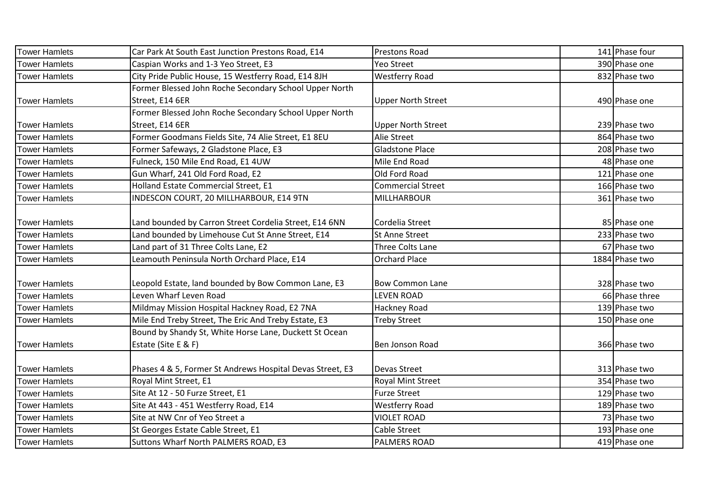| Tower Hamlets        | Car Park At South East Junction Prestons Road, E14        | <b>Prestons Road</b>      | 141 Phase four |
|----------------------|-----------------------------------------------------------|---------------------------|----------------|
| <b>Tower Hamlets</b> | Caspian Works and 1-3 Yeo Street, E3                      | Yeo Street                | 390 Phase one  |
| <b>Tower Hamlets</b> | City Pride Public House, 15 Westferry Road, E14 8JH       | <b>Westferry Road</b>     | 832 Phase two  |
|                      | Former Blessed John Roche Secondary School Upper North    |                           |                |
| <b>Tower Hamlets</b> | Street, E14 6ER                                           | <b>Upper North Street</b> | 490 Phase one  |
|                      | Former Blessed John Roche Secondary School Upper North    |                           |                |
| <b>Tower Hamlets</b> | Street, E14 6ER                                           | Upper North Street        | 239 Phase two  |
| <b>Tower Hamlets</b> | Former Goodmans Fields Site, 74 Alie Street, E1 8EU       | <b>Alie Street</b>        | 864 Phase two  |
| <b>Tower Hamlets</b> | Former Safeways, 2 Gladstone Place, E3                    | <b>Gladstone Place</b>    | 208 Phase two  |
| <b>Tower Hamlets</b> | Fulneck, 150 Mile End Road, E1 4UW                        | Mile End Road             | 48 Phase one   |
| <b>Tower Hamlets</b> | Gun Wharf, 241 Old Ford Road, E2                          | Old Ford Road             | 121 Phase one  |
| <b>Tower Hamlets</b> | Holland Estate Commercial Street, E1                      | <b>Commercial Street</b>  | 166 Phase two  |
| <b>Tower Hamlets</b> | INDESCON COURT, 20 MILLHARBOUR, E14 9TN                   | <b>MILLHARBOUR</b>        | 361 Phase two  |
|                      |                                                           |                           |                |
| <b>Tower Hamlets</b> | Land bounded by Carron Street Cordelia Street, E14 6NN    | Cordelia Street           | 85 Phase one   |
| <b>Tower Hamlets</b> | Land bounded by Limehouse Cut St Anne Street, E14         | <b>St Anne Street</b>     | 233 Phase two  |
| <b>Tower Hamlets</b> | Land part of 31 Three Colts Lane, E2                      | Three Colts Lane          | 67 Phase two   |
| <b>Tower Hamlets</b> | Leamouth Peninsula North Orchard Place, E14               | <b>Orchard Place</b>      | 1884 Phase two |
|                      |                                                           |                           |                |
| <b>Tower Hamlets</b> | Leopold Estate, land bounded by Bow Common Lane, E3       | <b>Bow Common Lane</b>    | 328 Phase two  |
| <b>Tower Hamlets</b> | Leven Wharf Leven Road                                    | <b>LEVEN ROAD</b>         | 66 Phase three |
| <b>Tower Hamlets</b> | Mildmay Mission Hospital Hackney Road, E2 7NA             | Hackney Road              | 139 Phase two  |
| <b>Tower Hamlets</b> | Mile End Treby Street, The Eric And Treby Estate, E3      | <b>Treby Street</b>       | 150 Phase one  |
|                      | Bound by Shandy St, White Horse Lane, Duckett St Ocean    |                           |                |
| <b>Tower Hamlets</b> | Estate (Site E & F)                                       | Ben Jonson Road           | 366 Phase two  |
|                      |                                                           |                           |                |
| <b>Tower Hamlets</b> | Phases 4 & 5, Former St Andrews Hospital Devas Street, E3 | <b>Devas Street</b>       | 313 Phase two  |
| <b>Tower Hamlets</b> | Royal Mint Street, E1                                     | <b>Royal Mint Street</b>  | 354 Phase two  |
| <b>Tower Hamlets</b> | Site At 12 - 50 Furze Street, E1                          | <b>Furze Street</b>       | 129 Phase two  |
| <b>Tower Hamlets</b> | Site At 443 - 451 Westferry Road, E14                     | <b>Westferry Road</b>     | 189 Phase two  |
| <b>Tower Hamlets</b> | Site at NW Cnr of Yeo Street a                            | <b>VIOLET ROAD</b>        | 73 Phase two   |
| <b>Tower Hamlets</b> | St Georges Estate Cable Street, E1                        | Cable Street              | 193 Phase one  |
| <b>Tower Hamlets</b> | Suttons Wharf North PALMERS ROAD, E3                      | <b>PALMERS ROAD</b>       | 419 Phase one  |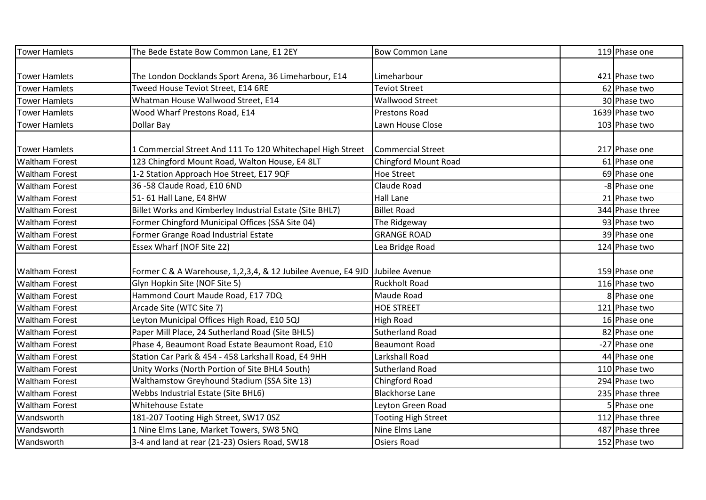| <b>Tower Hamlets</b>  | The Bede Estate Bow Common Lane, E1 2EY                                     | <b>Bow Common Lane</b>      | 119 Phase one   |
|-----------------------|-----------------------------------------------------------------------------|-----------------------------|-----------------|
|                       |                                                                             |                             |                 |
| <b>Tower Hamlets</b>  | The London Docklands Sport Arena, 36 Limeharbour, E14                       | Limeharbour                 | 421 Phase two   |
| <b>Tower Hamlets</b>  | Tweed House Teviot Street, E14 6RE                                          | Teviot Street               | 62 Phase two    |
| <b>Tower Hamlets</b>  | Whatman House Wallwood Street, E14                                          | Wallwood Street             | 30 Phase two    |
| <b>Tower Hamlets</b>  | Wood Wharf Prestons Road, E14                                               | <b>Prestons Road</b>        | 1639 Phase two  |
| <b>Tower Hamlets</b>  | Dollar Bay                                                                  | Lawn House Close            | 103 Phase two   |
|                       |                                                                             |                             |                 |
| Tower Hamlets         | 1 Commercial Street And 111 To 120 Whitechapel High Street                  | Commercial Street           | 217 Phase one   |
| <b>Waltham Forest</b> | 123 Chingford Mount Road, Walton House, E4 8LT                              | <b>Chingford Mount Road</b> | 61 Phase one    |
| <b>Waltham Forest</b> | 1-2 Station Approach Hoe Street, E17 9QF                                    | <b>Hoe Street</b>           | 69 Phase one    |
| <b>Waltham Forest</b> | 36 -58 Claude Road, E10 6ND                                                 | Claude Road                 | -8 Phase one    |
| <b>Waltham Forest</b> | 51-61 Hall Lane, E4 8HW                                                     | Hall Lane                   | 21 Phase two    |
| <b>Waltham Forest</b> | Billet Works and Kimberley Industrial Estate (Site BHL7)                    | <b>Billet Road</b>          | 344 Phase three |
| <b>Waltham Forest</b> | Former Chingford Municipal Offices (SSA Site 04)                            | The Ridgeway                | 93 Phase two    |
| <b>Waltham Forest</b> | Former Grange Road Industrial Estate                                        | <b>GRANGE ROAD</b>          | 39 Phase one    |
| <b>Waltham Forest</b> | Essex Wharf (NOF Site 22)                                                   | Lea Bridge Road             | 124 Phase two   |
|                       |                                                                             |                             |                 |
| <b>Waltham Forest</b> | Former C & A Warehouse, 1,2,3,4, & 12 Jubilee Avenue, E4 9JD Jubilee Avenue |                             | 159 Phase one   |
| <b>Waltham Forest</b> | Glyn Hopkin Site (NOF Site 5)                                               | <b>Ruckholt Road</b>        | 116 Phase two   |
| <b>Waltham Forest</b> | Hammond Court Maude Road, E17 7DQ                                           | Maude Road                  | 8 Phase one     |
| <b>Waltham Forest</b> | Arcade Site (WTC Site 7)                                                    | <b>HOE STREET</b>           | 121 Phase two   |
| <b>Waltham Forest</b> | Leyton Municipal Offices High Road, E10 5QJ                                 | <b>High Road</b>            | 16 Phase one    |
| <b>Waltham Forest</b> | Paper Mill Place, 24 Sutherland Road (Site BHL5)                            | <b>Sutherland Road</b>      | 82 Phase one    |
| <b>Waltham Forest</b> | Phase 4, Beaumont Road Estate Beaumont Road, E10                            | <b>Beaumont Road</b>        | -27 Phase one   |
| <b>Waltham Forest</b> | Station Car Park & 454 - 458 Larkshall Road, E4 9HH                         | Larkshall Road              | 44 Phase one    |
| <b>Waltham Forest</b> | Unity Works (North Portion of Site BHL4 South)                              | <b>Sutherland Road</b>      | 110 Phase two   |
| <b>Waltham Forest</b> | Walthamstow Greyhound Stadium (SSA Site 13)                                 | Chingford Road              | 294 Phase two   |
| <b>Waltham Forest</b> | Webbs Industrial Estate (Site BHL6)                                         | <b>Blackhorse Lane</b>      | 235 Phase three |
| <b>Waltham Forest</b> | Whitehouse Estate                                                           | Leyton Green Road           | 5 Phase one     |
| Wandsworth            | 181-207 Tooting High Street, SW17 0SZ                                       | <b>Tooting High Street</b>  | 112 Phase three |
| Wandsworth            | 1 Nine Elms Lane, Market Towers, SW8 5NQ                                    | Nine Elms Lane              | 487 Phase three |
| Wandsworth            | 3-4 and land at rear (21-23) Osiers Road, SW18                              | <b>Osiers Road</b>          | 152 Phase two   |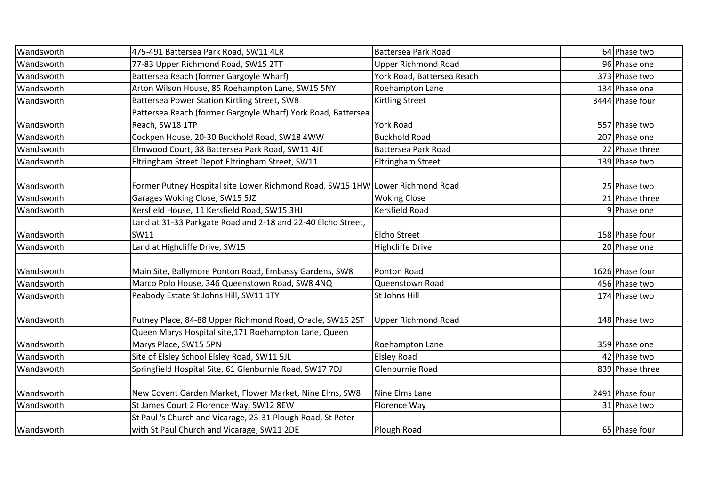| Wandsworth | 475-491 Battersea Park Road, SW11 4LR                                         | Battersea Park Road        | 64 Phase two    |
|------------|-------------------------------------------------------------------------------|----------------------------|-----------------|
| Wandsworth | 77-83 Upper Richmond Road, SW15 2TT                                           | <b>Upper Richmond Road</b> | 96 Phase one    |
| Wandsworth | Battersea Reach (former Gargoyle Wharf)                                       | York Road, Battersea Reach | 373 Phase two   |
| Wandsworth | Arton Wilson House, 85 Roehampton Lane, SW15 5NY                              | Roehampton Lane            | 134 Phase one   |
| Wandsworth | Battersea Power Station Kirtling Street, SW8                                  | <b>Kirtling Street</b>     | 3444 Phase four |
|            | Battersea Reach (former Gargoyle Wharf) York Road, Battersea                  |                            |                 |
| Wandsworth | Reach, SW18 1TP                                                               | <b>York Road</b>           | 557 Phase two   |
| Wandsworth | Cockpen House, 20-30 Buckhold Road, SW18 4WW                                  | <b>Buckhold Road</b>       | 207 Phase one   |
| Wandsworth | Elmwood Court, 38 Battersea Park Road, SW11 4JE                               | <b>Battersea Park Road</b> | 22 Phase three  |
| Wandsworth | Eltringham Street Depot Eltringham Street, SW11                               | Eltringham Street          | 139 Phase two   |
|            |                                                                               |                            |                 |
| Wandsworth | Former Putney Hospital site Lower Richmond Road, SW15 1HW Lower Richmond Road |                            | 25 Phase two    |
| Wandsworth | Garages Woking Close, SW15 5JZ                                                | <b>Woking Close</b>        | 21 Phase three  |
| Wandsworth | Kersfield House, 11 Kersfield Road, SW15 3HJ                                  | <b>Kersfield Road</b>      | 9 Phase one     |
|            | Land at 31-33 Parkgate Road and 2-18 and 22-40 Elcho Street,                  |                            |                 |
| Wandsworth | <b>SW11</b>                                                                   | <b>Elcho Street</b>        | 158 Phase four  |
| Wandsworth | Land at Highcliffe Drive, SW15                                                | <b>Highcliffe Drive</b>    | 20 Phase one    |
|            |                                                                               |                            |                 |
| Wandsworth | Main Site, Ballymore Ponton Road, Embassy Gardens, SW8                        | Ponton Road                | 1626 Phase four |
| Wandsworth | Marco Polo House, 346 Queenstown Road, SW8 4NQ                                | Queenstown Road            | 456 Phase two   |
| Wandsworth | Peabody Estate St Johns Hill, SW11 1TY                                        | St Johns Hill              | 174 Phase two   |
|            |                                                                               |                            |                 |
| Wandsworth | Putney Place, 84-88 Upper Richmond Road, Oracle, SW15 2ST                     | <b>Upper Richmond Road</b> | 148 Phase two   |
|            | Queen Marys Hospital site, 171 Roehampton Lane, Queen                         |                            |                 |
| Wandsworth | Marys Place, SW15 5PN                                                         | Roehampton Lane            | 359 Phase one   |
| Wandsworth | Site of Elsley School Elsley Road, SW11 5JL                                   | <b>Elsley Road</b>         | 42 Phase two    |
| Wandsworth | Springfield Hospital Site, 61 Glenburnie Road, SW17 7DJ                       | Glenburnie Road            | 839 Phase three |
|            |                                                                               |                            |                 |
| Wandsworth | New Covent Garden Market, Flower Market, Nine Elms, SW8                       | Nine Elms Lane             | 2491 Phase four |
| Wandsworth | St James Court 2 Florence Way, SW12 8EW                                       | Florence Way               | 31 Phase two    |
|            | St Paul 's Church and Vicarage, 23-31 Plough Road, St Peter                   |                            |                 |
| Wandsworth | with St Paul Church and Vicarage, SW11 2DE                                    | Plough Road                | 65 Phase four   |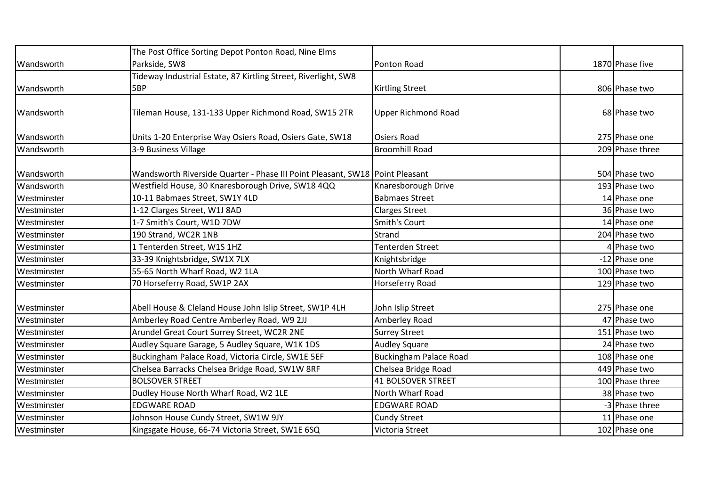|                            | The Post Office Sorting Depot Ponton Road, Nine Elms                                      |                               |                               |
|----------------------------|-------------------------------------------------------------------------------------------|-------------------------------|-------------------------------|
| Wandsworth                 | Parkside, SW8                                                                             | Ponton Road                   | 1870 Phase five               |
|                            | Tideway Industrial Estate, 87 Kirtling Street, Riverlight, SW8                            |                               |                               |
| Wandsworth                 | 5BP                                                                                       | <b>Kirtling Street</b>        | 806 Phase two                 |
|                            |                                                                                           |                               |                               |
| Wandsworth                 | Tileman House, 131-133 Upper Richmond Road, SW15 2TR                                      | <b>Upper Richmond Road</b>    | 68 Phase two                  |
|                            |                                                                                           |                               |                               |
| Wandsworth                 | Units 1-20 Enterprise Way Osiers Road, Osiers Gate, SW18                                  | <b>Osiers Road</b>            | 275 Phase one                 |
| Wandsworth                 | 3-9 Business Village                                                                      | <b>Broomhill Road</b>         | 209 Phase three               |
|                            |                                                                                           |                               |                               |
| Wandsworth                 | Wandsworth Riverside Quarter - Phase III Point Pleasant, SW18 Point Pleasant              |                               | 504 Phase two                 |
| Wandsworth                 | Westfield House, 30 Knaresborough Drive, SW18 4QQ                                         | Knaresborough Drive           | 193 Phase two                 |
| Westminster                | 10-11 Babmaes Street, SW1Y 4LD                                                            | <b>Babmaes Street</b>         | 14 Phase one                  |
| Westminster                | 1-12 Clarges Street, W1J 8AD                                                              | <b>Clarges Street</b>         | 36 Phase two                  |
| Westminster                | 1-7 Smith's Court, W1D 7DW                                                                | Smith's Court                 | 14 Phase one                  |
| Westminster                | 190 Strand, WC2R 1NB                                                                      | Strand                        | 204 Phase two                 |
| Westminster                | 1 Tenterden Street, W1S 1HZ                                                               | <b>Tenterden Street</b>       | 4 Phase two                   |
| Westminster                | 33-39 Knightsbridge, SW1X 7LX                                                             | Knightsbridge                 | -12 Phase one                 |
| Westminster                | 55-65 North Wharf Road, W2 1LA                                                            | North Wharf Road              | 100 Phase two                 |
| Westminster                | 70 Horseferry Road, SW1P 2AX                                                              | Horseferry Road               | 129 Phase two                 |
| Westminster                | Abell House & Cleland House John Islip Street, SW1P 4LH                                   | John Islip Street             | 275 Phase one                 |
|                            |                                                                                           |                               |                               |
| Westminster                | Amberley Road Centre Amberley Road, W9 2JJ<br>Arundel Great Court Surrey Street, WC2R 2NE | Amberley Road                 | 47 Phase two                  |
| Westminster<br>Westminster |                                                                                           | <b>Surrey Street</b>          | 151 Phase two<br>24 Phase two |
|                            | Audley Square Garage, 5 Audley Square, W1K 1DS                                            | <b>Audley Square</b>          |                               |
| Westminster                | Buckingham Palace Road, Victoria Circle, SW1E 5EF                                         | <b>Buckingham Palace Road</b> | 108 Phase one                 |
| Westminster                | Chelsea Barracks Chelsea Bridge Road, SW1W 8RF                                            | Chelsea Bridge Road           | 449 Phase two                 |
| Westminster                | <b>BOLSOVER STREET</b>                                                                    | <b>41 BOLSOVER STREET</b>     | 100 Phase three               |
| Westminster                | Dudley House North Wharf Road, W2 1LE                                                     | North Wharf Road              | 38 Phase two                  |
| Westminster                | <b>EDGWARE ROAD</b>                                                                       | <b>EDGWARE ROAD</b>           | -3 Phase three                |
| Westminster                | Johnson House Cundy Street, SW1W 9JY                                                      | <b>Cundy Street</b>           | 11 Phase one                  |
| Westminster                | Kingsgate House, 66-74 Victoria Street, SW1E 6SQ                                          | Victoria Street               | 102 Phase one                 |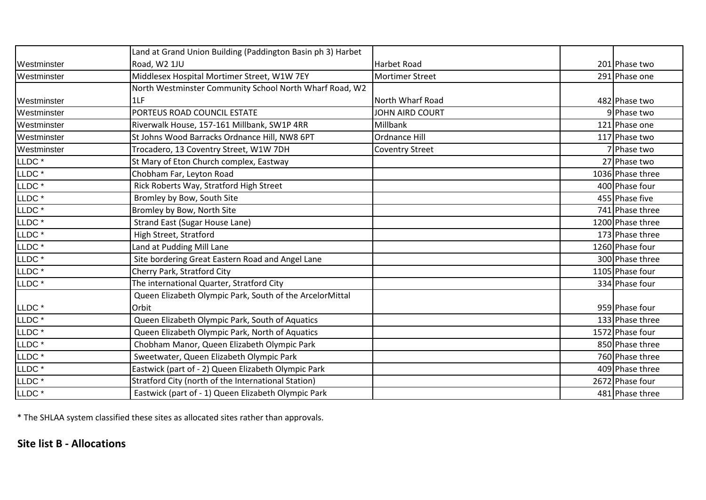|                                              | Land at Grand Union Building (Paddington Basin ph 3) Harbet |                        |                  |
|----------------------------------------------|-------------------------------------------------------------|------------------------|------------------|
| Westminster                                  | Road, W2 1JU                                                | <b>Harbet Road</b>     | 201 Phase two    |
| Westminster                                  | Middlesex Hospital Mortimer Street, W1W 7EY                 | <b>Mortimer Street</b> | 291 Phase one    |
|                                              | North Westminster Community School North Wharf Road, W2     |                        |                  |
| Westminster                                  | 1LF                                                         | North Wharf Road       | 482 Phase two    |
| Westminster                                  | PORTEUS ROAD COUNCIL ESTATE                                 | JOHN AIRD COURT        | 9 Phase two      |
| Westminster                                  | Riverwalk House, 157-161 Millbank, SW1P 4RR                 | Millbank               | 121 Phase one    |
| Westminster                                  | St Johns Wood Barracks Ordnance Hill, NW8 6PT               | Ordnance Hill          | 117 Phase two    |
| Westminster                                  | Trocadero, 13 Coventry Street, W1W 7DH                      | <b>Coventry Street</b> | 7 Phase two      |
| LLDC <sup>*</sup>                            | St Mary of Eton Church complex, Eastway                     |                        | 27 Phase two     |
| $LLDC^{\,*}$                                 | Chobham Far, Leyton Road                                    |                        | 1036 Phase three |
| LLDC <sup>*</sup>                            | Rick Roberts Way, Stratford High Street                     |                        | 400 Phase four   |
| LLDC <sup>*</sup>                            | Bromley by Bow, South Site                                  |                        | 455 Phase five   |
| LLDC <sup>*</sup>                            | Bromley by Bow, North Site                                  |                        | 741 Phase three  |
| LLDC <sup>*</sup>                            | <b>Strand East (Sugar House Lane)</b>                       |                        | 1200 Phase three |
| LLDC <sup>*</sup>                            | High Street, Stratford                                      |                        | 173 Phase three  |
| LLDC <sup>*</sup>                            | Land at Pudding Mill Lane                                   |                        | 1260 Phase four  |
| LLDC <sup>*</sup>                            | Site bordering Great Eastern Road and Angel Lane            |                        | 300 Phase three  |
| LLDC <sup>*</sup>                            | Cherry Park, Stratford City                                 |                        | 1105 Phase four  |
| LLDC <sup>*</sup>                            | The international Quarter, Stratford City                   |                        | 334 Phase four   |
|                                              | Queen Elizabeth Olympic Park, South of the ArcelorMittal    |                        |                  |
| LLDC <sup>*</sup>                            | Orbit                                                       |                        | 959 Phase four   |
| LLDC <sup>*</sup>                            | Queen Elizabeth Olympic Park, South of Aquatics             |                        | 133 Phase three  |
| LLDC <sup>*</sup>                            | Queen Elizabeth Olympic Park, North of Aquatics             |                        | 1572 Phase four  |
| $\ensuremath{\mathsf{LLDC}}\xspace$ $^\star$ | Chobham Manor, Queen Elizabeth Olympic Park                 |                        | 850 Phase three  |
| LLDC <sup>*</sup>                            | Sweetwater, Queen Elizabeth Olympic Park                    |                        | 760 Phase three  |
| LLDC <sup>*</sup>                            | Eastwick (part of - 2) Queen Elizabeth Olympic Park         |                        | 409 Phase three  |
| LLDC <sup>*</sup>                            | Stratford City (north of the International Station)         |                        | 2672 Phase four  |
| LLDC <sup>*</sup>                            | Eastwick (part of - 1) Queen Elizabeth Olympic Park         |                        | 481 Phase three  |

\* The SHLAA system classified these sites as allocated sites rather than approvals.

## **Site list B - Allocations**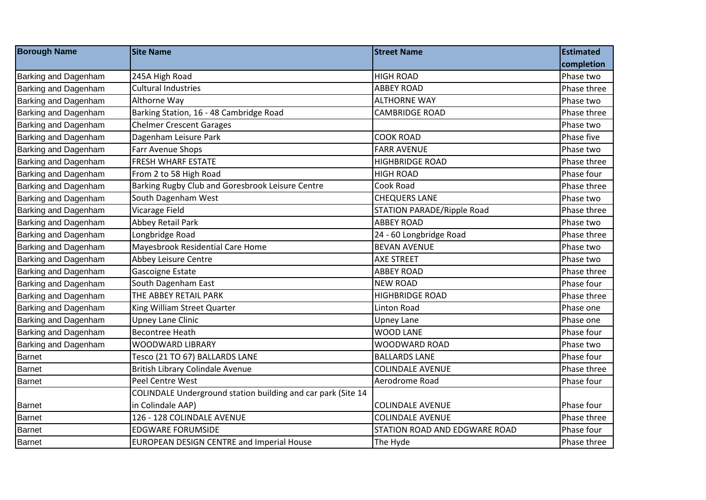| <b>Borough Name</b>  | <b>Site Name</b>                                             | <b>Street Name</b>                | <b>Estimated</b> |
|----------------------|--------------------------------------------------------------|-----------------------------------|------------------|
|                      |                                                              |                                   | completion       |
| Barking and Dagenham | 245A High Road                                               | <b>HIGH ROAD</b>                  | Phase two        |
| Barking and Dagenham | <b>Cultural Industries</b>                                   | <b>ABBEY ROAD</b>                 | Phase three      |
| Barking and Dagenham | Althorne Way                                                 | <b>ALTHORNE WAY</b>               | Phase two        |
| Barking and Dagenham | Barking Station, 16 - 48 Cambridge Road                      | <b>CAMBRIDGE ROAD</b>             | Phase three      |
| Barking and Dagenham | <b>Chelmer Crescent Garages</b>                              |                                   | Phase two        |
| Barking and Dagenham | Dagenham Leisure Park                                        | <b>COOK ROAD</b>                  | Phase five       |
| Barking and Dagenham | Farr Avenue Shops                                            | <b>FARR AVENUE</b>                | Phase two        |
| Barking and Dagenham | FRESH WHARF ESTATE                                           | <b>HIGHBRIDGE ROAD</b>            | Phase three      |
| Barking and Dagenham | From 2 to 58 High Road                                       | <b>HIGH ROAD</b>                  | Phase four       |
| Barking and Dagenham | Barking Rugby Club and Goresbrook Leisure Centre             | Cook Road                         | Phase three      |
| Barking and Dagenham | South Dagenham West                                          | <b>CHEQUERS LANE</b>              | Phase two        |
| Barking and Dagenham | Vicarage Field                                               | <b>STATION PARADE/Ripple Road</b> | Phase three      |
| Barking and Dagenham | Abbey Retail Park                                            | <b>ABBEY ROAD</b>                 | Phase two        |
| Barking and Dagenham | Longbridge Road                                              | 24 - 60 Longbridge Road           | Phase three      |
| Barking and Dagenham | Mayesbrook Residential Care Home                             | <b>BEVAN AVENUE</b>               | Phase two        |
| Barking and Dagenham | Abbey Leisure Centre                                         | <b>AXE STREET</b>                 | Phase two        |
| Barking and Dagenham | Gascoigne Estate                                             | <b>ABBEY ROAD</b>                 | Phase three      |
| Barking and Dagenham | South Dagenham East                                          | <b>NEW ROAD</b>                   | Phase four       |
| Barking and Dagenham | THE ABBEY RETAIL PARK                                        | <b>HIGHBRIDGE ROAD</b>            | Phase three      |
| Barking and Dagenham | King William Street Quarter                                  | <b>Linton Road</b>                | Phase one        |
| Barking and Dagenham | <b>Upney Lane Clinic</b>                                     | <b>Upney Lane</b>                 | Phase one        |
| Barking and Dagenham | <b>Becontree Heath</b>                                       | <b>WOOD LANE</b>                  | Phase four       |
| Barking and Dagenham | <b>WOODWARD LIBRARY</b>                                      | WOODWARD ROAD                     | Phase two        |
| <b>Barnet</b>        | Tesco (21 TO 67) BALLARDS LANE                               | <b>BALLARDS LANE</b>              | Phase four       |
| Barnet               | British Library Colindale Avenue                             | <b>COLINDALE AVENUE</b>           | Phase three      |
| <b>Barnet</b>        | Peel Centre West                                             | Aerodrome Road                    | Phase four       |
|                      | COLINDALE Underground station building and car park (Site 14 |                                   |                  |
| <b>Barnet</b>        | in Colindale AAP)                                            | <b>COLINDALE AVENUE</b>           | Phase four       |
| <b>Barnet</b>        | 126 - 128 COLINDALE AVENUE                                   | <b>COLINDALE AVENUE</b>           | Phase three      |
| <b>Barnet</b>        | <b>EDGWARE FORUMSIDE</b>                                     | STATION ROAD AND EDGWARE ROAD     | Phase four       |
| <b>Barnet</b>        | <b>EUROPEAN DESIGN CENTRE and Imperial House</b>             | The Hyde                          | Phase three      |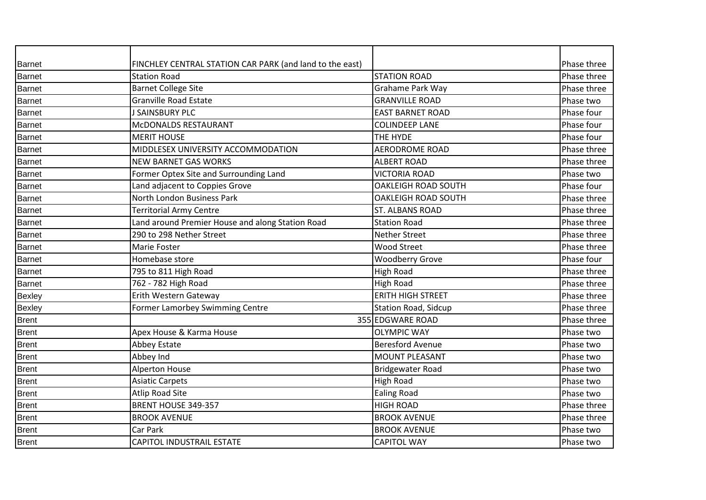| <b>Barnet</b> | FINCHLEY CENTRAL STATION CAR PARK (and land to the east) |                             | Phase three |
|---------------|----------------------------------------------------------|-----------------------------|-------------|
| Barnet        | <b>Station Road</b>                                      | <b>STATION ROAD</b>         | Phase three |
| <b>Barnet</b> | <b>Barnet College Site</b>                               | Grahame Park Way            | Phase three |
| Barnet        | <b>Granville Road Estate</b>                             | <b>GRANVILLE ROAD</b>       | Phase two   |
| <b>Barnet</b> | J SAINSBURY PLC                                          | <b>EAST BARNET ROAD</b>     | Phase four  |
| <b>Barnet</b> | McDONALDS RESTAURANT                                     | <b>COLINDEEP LANE</b>       | Phase four  |
| <b>Barnet</b> | <b>MERIT HOUSE</b>                                       | THE HYDE                    | Phase four  |
| <b>Barnet</b> | MIDDLESEX UNIVERSITY ACCOMMODATION                       | <b>AERODROME ROAD</b>       | Phase three |
| <b>Barnet</b> | <b>NEW BARNET GAS WORKS</b>                              | <b>ALBERT ROAD</b>          | Phase three |
| <b>Barnet</b> | Former Optex Site and Surrounding Land                   | <b>VICTORIA ROAD</b>        | Phase two   |
| <b>Barnet</b> | Land adjacent to Coppies Grove                           | <b>OAKLEIGH ROAD SOUTH</b>  | Phase four  |
| <b>Barnet</b> | North London Business Park                               | <b>OAKLEIGH ROAD SOUTH</b>  | Phase three |
| <b>Barnet</b> | <b>Territorial Army Centre</b>                           | <b>ST. ALBANS ROAD</b>      | Phase three |
| <b>Barnet</b> | Land around Premier House and along Station Road         | <b>Station Road</b>         | Phase three |
| <b>Barnet</b> | 290 to 298 Nether Street                                 | <b>Nether Street</b>        | Phase three |
| <b>Barnet</b> | Marie Foster                                             | <b>Wood Street</b>          | Phase three |
| <b>Barnet</b> | Homebase store                                           | <b>Woodberry Grove</b>      | Phase four  |
| <b>Barnet</b> | 795 to 811 High Road                                     | <b>High Road</b>            | Phase three |
| <b>Barnet</b> | 762 - 782 High Road                                      | <b>High Road</b>            | Phase three |
| Bexley        | Erith Western Gateway                                    | <b>ERITH HIGH STREET</b>    | Phase three |
| Bexley        | Former Lamorbey Swimming Centre                          | <b>Station Road, Sidcup</b> | Phase three |
| <b>Brent</b>  |                                                          | 355 EDGWARE ROAD            | Phase three |
| <b>Brent</b>  | Apex House & Karma House                                 | <b>OLYMPIC WAY</b>          | Phase two   |
| <b>Brent</b>  | Abbey Estate                                             | <b>Beresford Avenue</b>     | Phase two   |
| <b>Brent</b>  | Abbey Ind                                                | <b>MOUNT PLEASANT</b>       | Phase two   |
| <b>Brent</b>  | <b>Alperton House</b>                                    | <b>Bridgewater Road</b>     | Phase two   |
| <b>Brent</b>  | <b>Asiatic Carpets</b>                                   | <b>High Road</b>            | Phase two   |
| Brent         | <b>Atlip Road Site</b>                                   | <b>Ealing Road</b>          | Phase two   |
| <b>Brent</b>  | BRENT HOUSE 349-357                                      | <b>HIGH ROAD</b>            | Phase three |
| <b>Brent</b>  | <b>BROOK AVENUE</b>                                      | <b>BROOK AVENUE</b>         | Phase three |
| <b>Brent</b>  | Car Park                                                 | <b>BROOK AVENUE</b>         | Phase two   |
| <b>Brent</b>  | <b>CAPITOL INDUSTRAIL ESTATE</b>                         | <b>CAPITOL WAY</b>          | Phase two   |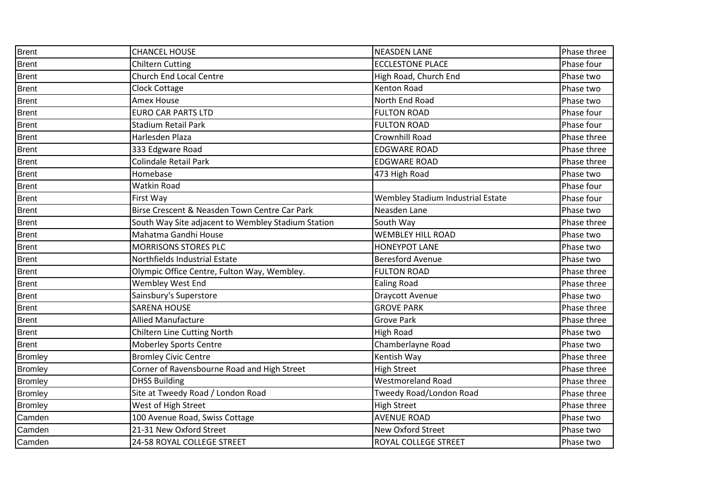| <b>Brent</b>   | <b>CHANCEL HOUSE</b>                               | <b>NEASDEN LANE</b>               | Phase three |
|----------------|----------------------------------------------------|-----------------------------------|-------------|
| <b>Brent</b>   | <b>Chiltern Cutting</b>                            | <b>ECCLESTONE PLACE</b>           | Phase four  |
| <b>Brent</b>   | Church End Local Centre                            | High Road, Church End             | Phase two   |
| <b>Brent</b>   | <b>Clock Cottage</b>                               | Kenton Road                       | Phase two   |
| <b>Brent</b>   | Amex House                                         | North End Road                    | Phase two   |
| <b>Brent</b>   | <b>EURO CAR PARTS LTD</b>                          | <b>FULTON ROAD</b>                | Phase four  |
| Brent          | <b>Stadium Retail Park</b>                         | <b>FULTON ROAD</b>                | Phase four  |
| <b>Brent</b>   | Harlesden Plaza                                    | Crownhill Road                    | Phase three |
| <b>Brent</b>   | 333 Edgware Road                                   | <b>EDGWARE ROAD</b>               | Phase three |
| <b>Brent</b>   | Colindale Retail Park                              | <b>EDGWARE ROAD</b>               | Phase three |
| <b>Brent</b>   | Homebase                                           | 473 High Road                     | Phase two   |
| <b>Brent</b>   | Watkin Road                                        |                                   | Phase four  |
| <b>Brent</b>   | First Way                                          | Wembley Stadium Industrial Estate | Phase four  |
| <b>Brent</b>   | Birse Crescent & Neasden Town Centre Car Park      | Neasden Lane                      | Phase two   |
| <b>Brent</b>   | South Way Site adjacent to Wembley Stadium Station | South Way                         | Phase three |
| <b>Brent</b>   | Mahatma Gandhi House                               | <b>WEMBLEY HILL ROAD</b>          | Phase two   |
| <b>Brent</b>   | <b>MORRISONS STORES PLC</b>                        | <b>HONEYPOT LANE</b>              | Phase two   |
| Brent          | Northfields Industrial Estate                      | <b>Beresford Avenue</b>           | Phase two   |
| <b>Brent</b>   | Olympic Office Centre, Fulton Way, Wembley.        | <b>FULTON ROAD</b>                | Phase three |
| <b>Brent</b>   | Wembley West End                                   | <b>Ealing Road</b>                | Phase three |
| <b>Brent</b>   | Sainsbury's Superstore                             | <b>Draycott Avenue</b>            | Phase two   |
| <b>Brent</b>   | <b>SARENA HOUSE</b>                                | <b>GROVE PARK</b>                 | Phase three |
| <b>Brent</b>   | <b>Allied Manufacture</b>                          | <b>Grove Park</b>                 | Phase three |
| <b>Brent</b>   | Chiltern Line Cutting North                        | <b>High Road</b>                  | Phase two   |
| <b>Brent</b>   | <b>Moberley Sports Centre</b>                      | Chamberlayne Road                 | Phase two   |
| <b>Bromley</b> | <b>Bromley Civic Centre</b>                        | Kentish Way                       | Phase three |
| <b>Bromley</b> | Corner of Ravensbourne Road and High Street        | <b>High Street</b>                | Phase three |
| <b>Bromley</b> | <b>DHSS Building</b>                               | <b>Westmoreland Road</b>          | Phase three |
| <b>Bromley</b> | Site at Tweedy Road / London Road                  | Tweedy Road/London Road           | Phase three |
| <b>Bromley</b> | West of High Street                                | <b>High Street</b>                | Phase three |
| Camden         | 100 Avenue Road, Swiss Cottage                     | <b>AVENUE ROAD</b>                | Phase two   |
| Camden         | 21-31 New Oxford Street                            | <b>New Oxford Street</b>          | Phase two   |
| Camden         | 24-58 ROYAL COLLEGE STREET                         | <b>ROYAL COLLEGE STREET</b>       | Phase two   |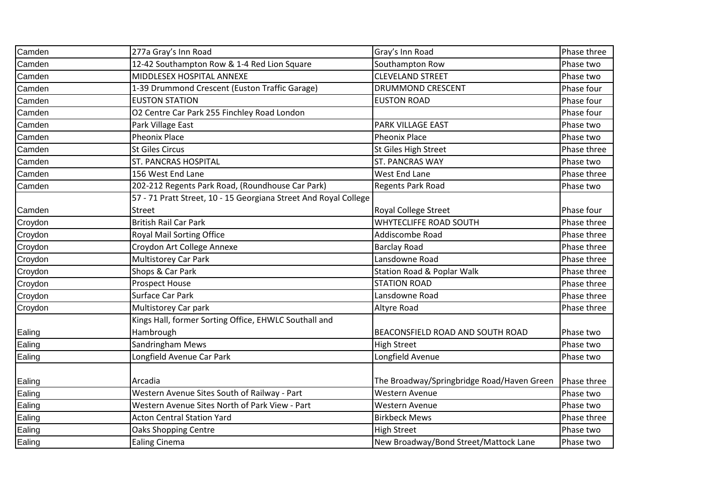| Camden  | 277a Gray's Inn Road                                             | Gray's Inn Road                            | Phase three |
|---------|------------------------------------------------------------------|--------------------------------------------|-------------|
| Camden  | 12-42 Southampton Row & 1-4 Red Lion Square                      | Southampton Row                            | Phase two   |
| Camden  | MIDDLESEX HOSPITAL ANNEXE                                        | <b>CLEVELAND STREET</b>                    | Phase two   |
| Camden  | 1-39 Drummond Crescent (Euston Traffic Garage)                   | <b>DRUMMOND CRESCENT</b>                   | Phase four  |
| Camden  | <b>EUSTON STATION</b>                                            | <b>EUSTON ROAD</b>                         | Phase four  |
| Camden  | O2 Centre Car Park 255 Finchley Road London                      |                                            | Phase four  |
| Camden  | Park Village East                                                | PARK VILLAGE EAST                          | Phase two   |
| Camden  | <b>Pheonix Place</b>                                             | <b>Pheonix Place</b>                       | Phase two   |
| Camden  | <b>St Giles Circus</b>                                           | St Giles High Street                       | Phase three |
| Camden  | <b>ST. PANCRAS HOSPITAL</b>                                      | <b>ST. PANCRAS WAY</b>                     | Phase two   |
| Camden  | 156 West End Lane                                                | West End Lane                              | Phase three |
| Camden  | 202-212 Regents Park Road, (Roundhouse Car Park)                 | Regents Park Road                          | Phase two   |
|         | 57 - 71 Pratt Street, 10 - 15 Georgiana Street And Royal College |                                            |             |
| Camden  | <b>Street</b>                                                    | <b>Royal College Street</b>                | Phase four  |
| Croydon | <b>British Rail Car Park</b>                                     | WHYTECLIFFE ROAD SOUTH                     | Phase three |
| Croydon | Royal Mail Sorting Office                                        | Addiscombe Road                            | Phase three |
| Croydon | Croydon Art College Annexe                                       | <b>Barclay Road</b>                        | Phase three |
| Croydon | <b>Multistorey Car Park</b>                                      | Lansdowne Road                             | Phase three |
| Croydon | Shops & Car Park                                                 | <b>Station Road &amp; Poplar Walk</b>      | Phase three |
| Croydon | <b>Prospect House</b>                                            | <b>STATION ROAD</b>                        | Phase three |
| Croydon | Surface Car Park                                                 | Lansdowne Road                             | Phase three |
| Croydon | Multistorey Car park                                             | Altyre Road                                | Phase three |
|         | Kings Hall, former Sorting Office, EHWLC Southall and            |                                            |             |
| Ealing  | Hambrough                                                        | BEACONSFIELD ROAD AND SOUTH ROAD           | Phase two   |
| Ealing  | Sandringham Mews                                                 | <b>High Street</b>                         | Phase two   |
| Ealing  | Longfield Avenue Car Park                                        | Longfield Avenue                           | Phase two   |
|         |                                                                  |                                            |             |
| Ealing  | Arcadia                                                          | The Broadway/Springbridge Road/Haven Green | Phase three |
| Ealing  | Western Avenue Sites South of Railway - Part                     | Western Avenue                             | Phase two   |
| Ealing  | Western Avenue Sites North of Park View - Part                   | Western Avenue                             | Phase two   |
| Ealing  | <b>Acton Central Station Yard</b>                                | <b>Birkbeck Mews</b>                       | Phase three |
| Ealing  | <b>Oaks Shopping Centre</b>                                      | <b>High Street</b>                         | Phase two   |
| Ealing  | <b>Ealing Cinema</b>                                             | New Broadway/Bond Street/Mattock Lane      | Phase two   |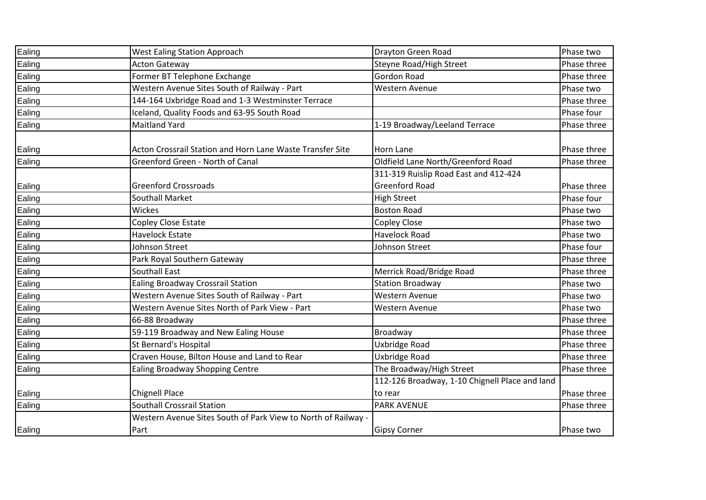| Ealing | <b>West Ealing Station Approach</b>                           | Drayton Green Road                             | Phase two   |
|--------|---------------------------------------------------------------|------------------------------------------------|-------------|
| Ealing | <b>Acton Gateway</b>                                          | Steyne Road/High Street                        | Phase three |
| Ealing | Former BT Telephone Exchange                                  | Gordon Road                                    | Phase three |
| Ealing | Western Avenue Sites South of Railway - Part                  | <b>Western Avenue</b>                          | Phase two   |
| Ealing | 144-164 Uxbridge Road and 1-3 Westminster Terrace             |                                                | Phase three |
| Ealing | Iceland, Quality Foods and 63-95 South Road                   |                                                | Phase four  |
| Ealing | <b>Maitland Yard</b>                                          | 1-19 Broadway/Leeland Terrace                  | Phase three |
| Ealing | Acton Crossrail Station and Horn Lane Waste Transfer Site     | Horn Lane                                      | Phase three |
| Ealing | Greenford Green - North of Canal                              | Oldfield Lane North/Greenford Road             | Phase three |
|        |                                                               | 311-319 Ruislip Road East and 412-424          |             |
| Ealing | <b>Greenford Crossroads</b>                                   | <b>Greenford Road</b>                          | Phase three |
| Ealing | <b>Southall Market</b>                                        | <b>High Street</b>                             | Phase four  |
| Ealing | <b>Wickes</b>                                                 | <b>Boston Road</b>                             | Phase two   |
| Ealing | Copley Close Estate                                           | Copley Close                                   | Phase two   |
| Ealing | <b>Havelock Estate</b>                                        | Havelock Road                                  | Phase two   |
| Ealing | Johnson Street                                                | Johnson Street                                 | Phase four  |
| Ealing | Park Royal Southern Gateway                                   |                                                | Phase three |
| Ealing | <b>Southall East</b>                                          | Merrick Road/Bridge Road                       | Phase three |
| Ealing | <b>Ealing Broadway Crossrail Station</b>                      | <b>Station Broadway</b>                        | Phase two   |
| Ealing | Western Avenue Sites South of Railway - Part                  | Western Avenue                                 | Phase two   |
| Ealing | Western Avenue Sites North of Park View - Part                | <b>Western Avenue</b>                          | Phase two   |
| Ealing | 66-88 Broadway                                                |                                                | Phase three |
| Ealing | 59-119 Broadway and New Ealing House                          | Broadway                                       | Phase three |
| Ealing | <b>St Bernard's Hospital</b>                                  | Uxbridge Road                                  | Phase three |
| Ealing | Craven House, Bilton House and Land to Rear                   | Uxbridge Road                                  | Phase three |
| Ealing | <b>Ealing Broadway Shopping Centre</b>                        | The Broadway/High Street                       | Phase three |
|        |                                                               | 112-126 Broadway, 1-10 Chignell Place and land |             |
| Ealing | <b>Chignell Place</b>                                         | to rear                                        | Phase three |
| Ealing | <b>Southall Crossrail Station</b>                             | <b>PARK AVENUE</b>                             | Phase three |
|        | Western Avenue Sites South of Park View to North of Railway - |                                                |             |
| Ealing | Part                                                          | <b>Gipsy Corner</b>                            | Phase two   |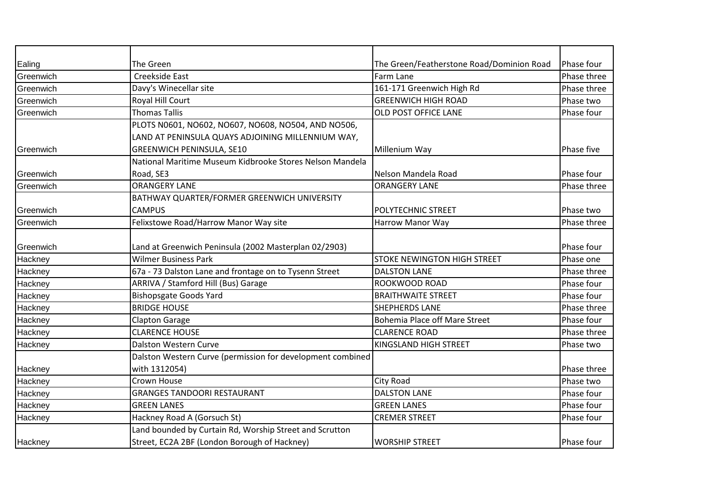| Ealing    | The Green                                                  | The Green/Featherstone Road/Dominion Road | Phase four  |
|-----------|------------------------------------------------------------|-------------------------------------------|-------------|
| Greenwich | Creekside East                                             | Farm Lane                                 | Phase three |
| Greenwich | Davy's Winecellar site                                     | 161-171 Greenwich High Rd                 | Phase three |
| Greenwich | Royal Hill Court                                           | <b>GREENWICH HIGH ROAD</b>                | Phase two   |
| Greenwich | <b>Thomas Tallis</b>                                       | OLD POST OFFICE LANE                      | Phase four  |
|           | PLOTS N0601, NO602, NO607, NO608, NO504, AND NO506,        |                                           |             |
|           | LAND AT PENINSULA QUAYS ADJOINING MILLENNIUM WAY,          |                                           |             |
| Greenwich | <b>GREENWICH PENINSULA, SE10</b>                           | Millenium Way                             | Phase five  |
|           | National Maritime Museum Kidbrooke Stores Nelson Mandela   |                                           |             |
| Greenwich | Road, SE3                                                  | Nelson Mandela Road                       | Phase four  |
| Greenwich | <b>ORANGERY LANE</b>                                       | <b>ORANGERY LANE</b>                      | Phase three |
|           | BATHWAY QUARTER/FORMER GREENWICH UNIVERSITY                |                                           |             |
| Greenwich | <b>CAMPUS</b>                                              | POLYTECHNIC STREET                        | Phase two   |
| Greenwich | Felixstowe Road/Harrow Manor Way site                      | <b>Harrow Manor Way</b>                   | Phase three |
|           |                                                            |                                           |             |
| Greenwich | Land at Greenwich Peninsula (2002 Masterplan 02/2903)      |                                           | Phase four  |
| Hackney   | <b>Wilmer Business Park</b>                                | <b>STOKE NEWINGTON HIGH STREET</b>        | Phase one   |
| Hackney   | 67a - 73 Dalston Lane and frontage on to Tysenn Street     | <b>DALSTON LANE</b>                       | Phase three |
| Hackney   | ARRIVA / Stamford Hill (Bus) Garage                        | ROOKWOOD ROAD                             | Phase four  |
| Hackney   | <b>Bishopsgate Goods Yard</b>                              | <b>BRAITHWAITE STREET</b>                 | Phase four  |
| Hackney   | <b>BRIDGE HOUSE</b>                                        | <b>SHEPHERDS LANE</b>                     | Phase three |
| Hackney   | <b>Clapton Garage</b>                                      | <b>Bohemia Place off Mare Street</b>      | Phase four  |
| Hackney   | <b>CLARENCE HOUSE</b>                                      | <b>CLARENCE ROAD</b>                      | Phase three |
| Hackney   | <b>Dalston Western Curve</b>                               | KINGSLAND HIGH STREET                     | Phase two   |
|           | Dalston Western Curve (permission for development combined |                                           |             |
| Hackney   | with 1312054)                                              |                                           | Phase three |
| Hackney   | <b>Crown House</b>                                         | City Road                                 | Phase two   |
| Hackney   | <b>GRANGES TANDOORI RESTAURANT</b>                         | <b>DALSTON LANE</b>                       | Phase four  |
| Hackney   | <b>GREEN LANES</b>                                         | <b>GREEN LANES</b>                        | Phase four  |
| Hackney   | Hackney Road A (Gorsuch St)                                | <b>CREMER STREET</b>                      | Phase four  |
|           | Land bounded by Curtain Rd, Worship Street and Scrutton    |                                           |             |
| Hackney   | Street, EC2A 2BF (London Borough of Hackney)               | <b>WORSHIP STREET</b>                     | Phase four  |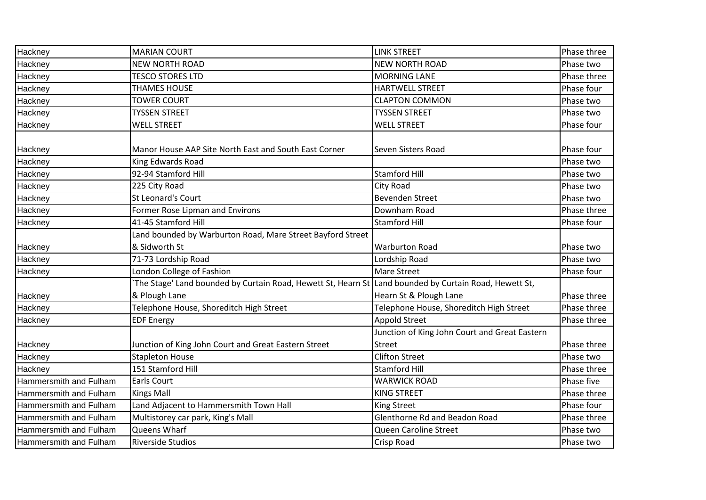| Hackney                | <b>MARIAN COURT</b>                                                                                   | <b>LINK STREET</b>                            | Phase three |
|------------------------|-------------------------------------------------------------------------------------------------------|-----------------------------------------------|-------------|
| Hackney                | <b>NEW NORTH ROAD</b>                                                                                 | <b>NEW NORTH ROAD</b>                         | Phase two   |
| Hackney                | <b>TESCO STORES LTD</b>                                                                               | <b>MORNING LANE</b>                           | Phase three |
| Hackney                | <b>THAMES HOUSE</b>                                                                                   | <b>HARTWELL STREET</b>                        | Phase four  |
| Hackney                | <b>TOWER COURT</b>                                                                                    | <b>CLAPTON COMMON</b>                         | Phase two   |
| Hackney                | <b>TYSSEN STREET</b>                                                                                  | <b>TYSSEN STREET</b>                          | Phase two   |
| Hackney                | <b>WELL STREET</b>                                                                                    | <b>WELL STREET</b>                            | Phase four  |
|                        |                                                                                                       |                                               |             |
| Hackney                | Manor House AAP Site North East and South East Corner                                                 | Seven Sisters Road                            | Phase four  |
| Hackney                | King Edwards Road                                                                                     |                                               | Phase two   |
| Hackney                | 92-94 Stamford Hill                                                                                   | <b>Stamford Hill</b>                          | Phase two   |
| Hackney                | 225 City Road                                                                                         | City Road                                     | Phase two   |
| Hackney                | <b>St Leonard's Court</b>                                                                             | <b>Bevenden Street</b>                        | Phase two   |
| Hackney                | Former Rose Lipman and Environs                                                                       | Downham Road                                  | Phase three |
| Hackney                | 41-45 Stamford Hill                                                                                   | <b>Stamford Hill</b>                          | Phase four  |
|                        | Land bounded by Warburton Road, Mare Street Bayford Street                                            |                                               |             |
| Hackney                | & Sidworth St                                                                                         | <b>Warburton Road</b>                         | Phase two   |
| Hackney                | 71-73 Lordship Road                                                                                   | Lordship Road                                 | Phase two   |
| Hackney                | London College of Fashion                                                                             | Mare Street                                   | Phase four  |
|                        | The Stage' Land bounded by Curtain Road, Hewett St, Hearn St Land bounded by Curtain Road, Hewett St, |                                               |             |
| Hackney                | & Plough Lane                                                                                         | Hearn St & Plough Lane                        | Phase three |
| Hackney                | Telephone House, Shoreditch High Street                                                               | Telephone House, Shoreditch High Street       | Phase three |
| Hackney                | <b>EDF Energy</b>                                                                                     | <b>Appold Street</b>                          | Phase three |
|                        |                                                                                                       | Junction of King John Court and Great Eastern |             |
| Hackney                | Junction of King John Court and Great Eastern Street                                                  | <b>Street</b>                                 | Phase three |
| Hackney                | <b>Stapleton House</b>                                                                                | <b>Clifton Street</b>                         | Phase two   |
| Hackney                | 151 Stamford Hill                                                                                     | <b>Stamford Hill</b>                          | Phase three |
| Hammersmith and Fulham | <b>Earls Court</b>                                                                                    | <b>WARWICK ROAD</b>                           | Phase five  |
| Hammersmith and Fulham | <b>Kings Mall</b>                                                                                     | <b>KING STREET</b>                            | Phase three |
| Hammersmith and Fulham | Land Adjacent to Hammersmith Town Hall                                                                | King Street                                   | Phase four  |
| Hammersmith and Fulham | Multistorey car park, King's Mall                                                                     | Glenthorne Rd and Beadon Road                 | Phase three |
| Hammersmith and Fulham | Queens Wharf                                                                                          | Queen Caroline Street                         | Phase two   |
| Hammersmith and Fulham | <b>Riverside Studios</b>                                                                              | Crisp Road                                    | Phase two   |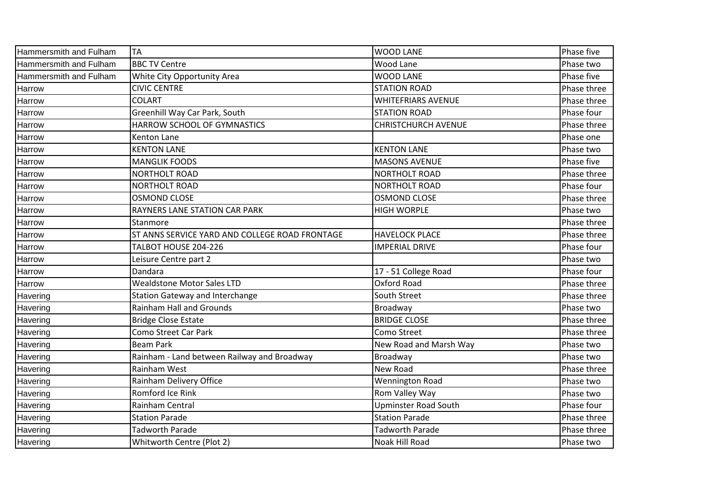| Hammersmith and Fulham | <b>TA</b>                                      | <b>WOOD LANE</b>            | Phase five  |
|------------------------|------------------------------------------------|-----------------------------|-------------|
| Hammersmith and Fulham | <b>BBC TV Centre</b>                           | <b>Wood Lane</b>            | Phase two   |
| Hammersmith and Fulham | White City Opportunity Area                    | <b>WOOD LANE</b>            | Phase five  |
| Harrow                 | <b>CIVIC CENTRE</b>                            | <b>STATION ROAD</b>         | Phase three |
| Harrow                 | <b>COLART</b>                                  | <b>WHITEFRIARS AVENUE</b>   | Phase three |
| Harrow                 | Greenhill Way Car Park, South                  | <b>STATION ROAD</b>         | Phase four  |
| Harrow                 | HARROW SCHOOL OF GYMNASTICS                    | <b>CHRISTCHURCH AVENUE</b>  | Phase three |
| Harrow                 | <b>Kenton Lane</b>                             |                             | Phase one   |
| Harrow                 | <b>KENTON LANE</b>                             | <b>KENTON LANE</b>          | Phase two   |
| Harrow                 | <b>MANGLIK FOODS</b>                           | <b>MASONS AVENUE</b>        | Phase five  |
| Harrow                 | <b>NORTHOLT ROAD</b>                           | <b>NORTHOLT ROAD</b>        | Phase three |
| Harrow                 | NORTHOLT ROAD                                  | <b>NORTHOLT ROAD</b>        | Phase four  |
| Harrow                 | <b>OSMOND CLOSE</b>                            | <b>OSMOND CLOSE</b>         | Phase three |
| Harrow                 | RAYNERS LANE STATION CAR PARK                  | <b>HIGH WORPLE</b>          | Phase two   |
| Harrow                 | Stanmore                                       |                             | Phase three |
| Harrow                 | ST ANNS SERVICE YARD AND COLLEGE ROAD FRONTAGE | <b>HAVELOCK PLACE</b>       | Phase three |
| Harrow                 | TALBOT HOUSE 204-226                           | <b>IMPERIAL DRIVE</b>       | Phase four  |
| Harrow                 | Leisure Centre part 2                          |                             | Phase two   |
| Harrow                 | Dandara                                        | 17 - 51 College Road        | Phase four  |
| Harrow                 | <b>Wealdstone Motor Sales LTD</b>              | Oxford Road                 | Phase three |
| Havering               | <b>Station Gateway and Interchange</b>         | South Street                | Phase three |
| Havering               | <b>Rainham Hall and Grounds</b>                | Broadway                    | Phase two   |
| Havering               | <b>Bridge Close Estate</b>                     | <b>BRIDGE CLOSE</b>         | Phase three |
| Havering               | Como Street Car Park                           | Como Street                 | Phase three |
| Havering               | <b>Beam Park</b>                               | New Road and Marsh Way      | Phase two   |
| Havering               | Rainham - Land between Railway and Broadway    | Broadway                    | Phase two   |
| Havering               | Rainham West                                   | New Road                    | Phase three |
| Havering               | Rainham Delivery Office                        | <b>Wennington Road</b>      | Phase two   |
| Havering               | Romford Ice Rink                               | Rom Valley Way              | Phase two   |
| Havering               | Rainham Central                                | <b>Upminster Road South</b> | Phase four  |
| Havering               | <b>Station Parade</b>                          | <b>Station Parade</b>       | Phase three |
| <b>Havering</b>        | <b>Tadworth Parade</b>                         | <b>Tadworth Parade</b>      | Phase three |
| Havering               | Whitworth Centre (Plot 2)                      | Noak Hill Road              | Phase two   |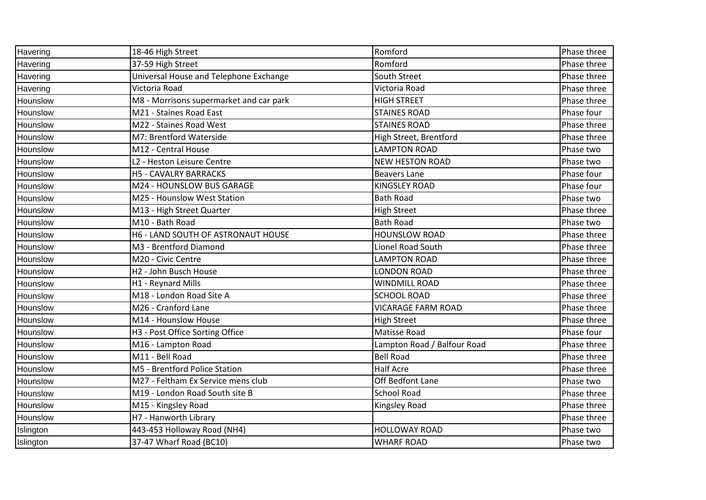| Havering  | 18-46 High Street                         | Romford                     | Phase three |
|-----------|-------------------------------------------|-----------------------------|-------------|
| Havering  | 37-59 High Street                         | Romford                     | Phase three |
| Havering  | Universal House and Telephone Exchange    | South Street                | Phase three |
| Havering  | Victoria Road                             | Victoria Road               | Phase three |
| Hounslow  | M8 - Morrisons supermarket and car park   | <b>HIGH STREET</b>          | Phase three |
| Hounslow  | M21 - Staines Road East                   | <b>STAINES ROAD</b>         | Phase four  |
| Hounslow  | M22 - Staines Road West                   | <b>STAINES ROAD</b>         | Phase three |
| Hounslow  | M7: Brentford Waterside                   | High Street, Brentford      | Phase three |
| Hounslow  | M12 - Central House                       | <b>LAMPTON ROAD</b>         | Phase two   |
| Hounslow  | L2 - Heston Leisure Centre                | <b>NEW HESTON ROAD</b>      | Phase two   |
| Hounslow  | <b>H5 - CAVALRY BARRACKS</b>              | <b>Beavers Lane</b>         | Phase four  |
| Hounslow  | M24 - HOUNSLOW BUS GARAGE                 | <b>KINGSLEY ROAD</b>        | Phase four  |
| Hounslow  | M25 - Hounslow West Station               | <b>Bath Road</b>            | Phase two   |
| Hounslow  | M13 - High Street Quarter                 | <b>High Street</b>          | Phase three |
| Hounslow  | M10 - Bath Road                           | <b>Bath Road</b>            | Phase two   |
| Hounslow  | H6 - LAND SOUTH OF ASTRONAUT HOUSE        | <b>HOUNSLOW ROAD</b>        | Phase three |
| Hounslow  | M3 - Brentford Diamond                    | <b>Lionel Road South</b>    | Phase three |
| Hounslow  | M20 - Civic Centre                        | <b>LAMPTON ROAD</b>         | Phase three |
| Hounslow  | H2 - John Busch House                     | LONDON ROAD                 | Phase three |
| Hounslow  | H1 - Reynard Mills                        | <b>WINDMILL ROAD</b>        | Phase three |
| Hounslow  | M18 - London Road Site A                  | <b>SCHOOL ROAD</b>          | Phase three |
| Hounslow  | M26 - Cranford Lane                       | <b>VICARAGE FARM ROAD</b>   | Phase three |
| Hounslow  | M14 - Hounslow House                      | <b>High Street</b>          | Phase three |
| Hounslow  | H3 - Post Office Sorting Office           | <b>Matisse Road</b>         | Phase four  |
| Hounslow  | M16 - Lampton Road                        | Lampton Road / Balfour Road | Phase three |
| Hounslow  | M11 - Bell Road                           | <b>Bell Road</b>            | Phase three |
| Hounslow  | M5 - Brentford Police Station             | <b>Half Acre</b>            | Phase three |
| Hounslow  | M27 - Feltham Ex Service mens club        | Off Bedfont Lane            | Phase two   |
| Hounslow  | M19 - London Road South site B            | <b>School Road</b>          | Phase three |
| Hounslow  | M15 - Kingsley Road                       | Kingsley Road               | Phase three |
| Hounslow  | H7 - Hanworth Library                     |                             | Phase three |
| Islington | $\overline{443}$ -453 Holloway Road (NH4) | <b>HOLLOWAY ROAD</b>        | Phase two   |
| Islington | 37-47 Wharf Road (BC10)                   | <b>WHARF ROAD</b>           | Phase two   |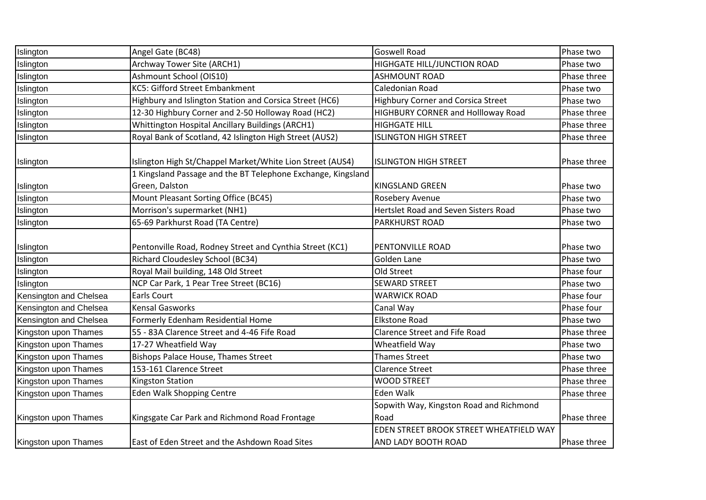| Islington              | Angel Gate (BC48)                                            | <b>Goswell Road</b>                             | Phase two   |
|------------------------|--------------------------------------------------------------|-------------------------------------------------|-------------|
| Islington              | Archway Tower Site (ARCH1)                                   | HIGHGATE HILL/JUNCTION ROAD                     | Phase two   |
| Islington              | Ashmount School (OIS10)                                      | <b>ASHMOUNT ROAD</b>                            | Phase three |
| Islington              | <b>KC5: Gifford Street Embankment</b>                        | Caledonian Road                                 | Phase two   |
| Islington              | Highbury and Islington Station and Corsica Street (HC6)      | <b>Highbury Corner and Corsica Street</b>       | Phase two   |
| Islington              | 12-30 Highbury Corner and 2-50 Holloway Road (HC2)           | HIGHBURY CORNER and Hollloway Road              | Phase three |
| Islington              | Whittington Hospital Ancillary Buildings (ARCH1)             | <b>HIGHGATE HILL</b>                            | Phase three |
| Islington              | Royal Bank of Scotland, 42 Islington High Street (AUS2)      | <b>ISLINGTON HIGH STREET</b>                    | Phase three |
| Islington              | Islington High St/Chappel Market/White Lion Street (AUS4)    | <b>ISLINGTON HIGH STREET</b>                    | Phase three |
|                        | 1 Kingsland Passage and the BT Telephone Exchange, Kingsland |                                                 |             |
| Islington              | Green, Dalston                                               | <b>KINGSLAND GREEN</b>                          | Phase two   |
| Islington              | Mount Pleasant Sorting Office (BC45)                         | Rosebery Avenue                                 | Phase two   |
| Islington              | Morrison's supermarket (NH1)                                 | Hertslet Road and Seven Sisters Road            | Phase two   |
| Islington              | 65-69 Parkhurst Road (TA Centre)                             | <b>PARKHURST ROAD</b>                           | Phase two   |
| Islington              | Pentonville Road, Rodney Street and Cynthia Street (KC1)     | PENTONVILLE ROAD                                | Phase two   |
| Islington              | Richard Cloudesley School (BC34)                             | Golden Lane                                     | Phase two   |
| Islington              | Royal Mail building, 148 Old Street                          | Old Street                                      | Phase four  |
| Islington              | NCP Car Park, 1 Pear Tree Street (BC16)                      | <b>SEWARD STREET</b>                            | Phase two   |
| Kensington and Chelsea | <b>Earls Court</b>                                           | <b>WARWICK ROAD</b>                             | Phase four  |
| Kensington and Chelsea | <b>Kensal Gasworks</b>                                       | Canal Way                                       | Phase four  |
| Kensington and Chelsea | Formerly Edenham Residential Home                            | <b>Elkstone Road</b>                            | Phase two   |
| Kingston upon Thames   | 55 - 83A Clarence Street and 4-46 Fife Road                  | <b>Clarence Street and Fife Road</b>            | Phase three |
| Kingston upon Thames   | 17-27 Wheatfield Way                                         | Wheatfield Way                                  | Phase two   |
| Kingston upon Thames   | Bishops Palace House, Thames Street                          | <b>Thames Street</b>                            | Phase two   |
| Kingston upon Thames   | 153-161 Clarence Street                                      | <b>Clarence Street</b>                          | Phase three |
| Kingston upon Thames   | <b>Kingston Station</b>                                      | <b>WOOD STREET</b>                              | Phase three |
| Kingston upon Thames   | <b>Eden Walk Shopping Centre</b>                             | Eden Walk                                       | Phase three |
| Kingston upon Thames   | Kingsgate Car Park and Richmond Road Frontage                | Sopwith Way, Kingston Road and Richmond<br>Road | Phase three |
|                        |                                                              | EDEN STREET BROOK STREET WHEATFIELD WAY         |             |
| Kingston upon Thames   | East of Eden Street and the Ashdown Road Sites               | AND LADY BOOTH ROAD                             | Phase three |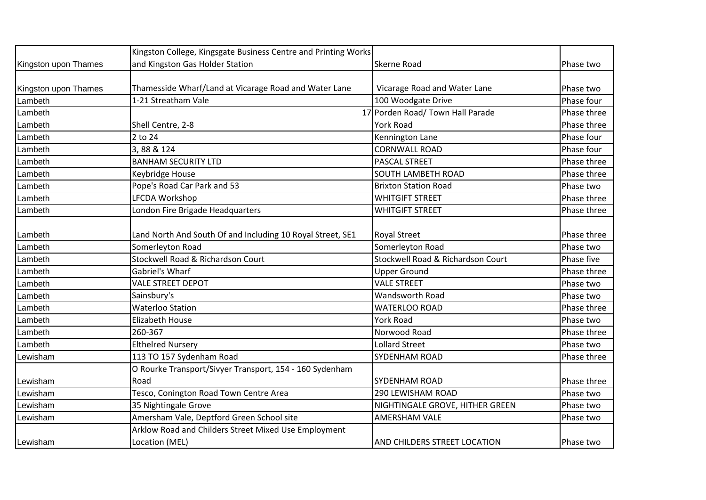|                      | Kingston College, Kingsgate Business Centre and Printing Works |                                     |             |
|----------------------|----------------------------------------------------------------|-------------------------------------|-------------|
| Kingston upon Thames | and Kingston Gas Holder Station                                | <b>Skerne Road</b>                  | Phase two   |
|                      |                                                                |                                     |             |
| Kingston upon Thames | Thamesside Wharf/Land at Vicarage Road and Water Lane          | Vicarage Road and Water Lane        | Phase two   |
| Lambeth              | 1-21 Streatham Vale                                            | 100 Woodgate Drive                  | Phase four  |
| Lambeth              |                                                                | 17 Porden Road/ Town Hall Parade    | Phase three |
| Lambeth              | Shell Centre, 2-8                                              | York Road                           | Phase three |
| Lambeth              | 2 to 24                                                        | Kennington Lane                     | Phase four  |
| Lambeth              | 3,88 & 124                                                     | <b>CORNWALL ROAD</b>                | Phase four  |
| Lambeth              | <b>BANHAM SECURITY LTD</b>                                     | PASCAL STREET                       | Phase three |
| Lambeth              | Keybridge House                                                | SOUTH LAMBETH ROAD                  | Phase three |
| Lambeth              | Pope's Road Car Park and 53                                    | <b>Brixton Station Road</b>         | Phase two   |
| Lambeth              | <b>LFCDA Workshop</b>                                          | <b>WHITGIFT STREET</b>              | Phase three |
| Lambeth              | London Fire Brigade Headquarters                               | <b>WHITGIFT STREET</b>              | Phase three |
|                      |                                                                |                                     |             |
| Lambeth              | Land North And South Of and Including 10 Royal Street, SE1     | <b>Royal Street</b>                 | Phase three |
| Lambeth              | Somerleyton Road                                               | Somerleyton Road                    | Phase two   |
| Lambeth              | Stockwell Road & Richardson Court                              | Stockwell Road & Richardson Court   | Phase five  |
| Lambeth              | Gabriel's Wharf                                                | <b>Upper Ground</b>                 | Phase three |
| Lambeth              | <b>VALE STREET DEPOT</b>                                       | <b>VALE STREET</b>                  | Phase two   |
| Lambeth              | Sainsbury's                                                    | Wandsworth Road                     | Phase two   |
| Lambeth              | <b>Waterloo Station</b>                                        | <b>WATERLOO ROAD</b>                | Phase three |
| Lambeth              | Elizabeth House                                                | <b>York Road</b>                    | Phase two   |
| Lambeth              | 260-367                                                        | Norwood Road                        | Phase three |
| Lambeth              | <b>Elthelred Nursery</b>                                       | <b>Lollard Street</b>               | Phase two   |
| Lewisham             | 113 TO 157 Sydenham Road                                       | <b>SYDENHAM ROAD</b>                | Phase three |
|                      | O Rourke Transport/Sivyer Transport, 154 - 160 Sydenham        |                                     |             |
| Lewisham             | Road                                                           | SYDENHAM ROAD                       | Phase three |
| Lewisham             | Tesco, Conington Road Town Centre Area                         | 290 LEWISHAM ROAD                   | Phase two   |
| Lewisham             | 35 Nightingale Grove                                           | NIGHTINGALE GROVE, HITHER GREEN     | Phase two   |
| Lewisham             | Amersham Vale, Deptford Green School site                      | <b>AMERSHAM VALE</b>                | Phase two   |
|                      | Arklow Road and Childers Street Mixed Use Employment           |                                     |             |
| Lewisham             | Location (MEL)                                                 | <b>AND CHILDERS STREET LOCATION</b> | Phase two   |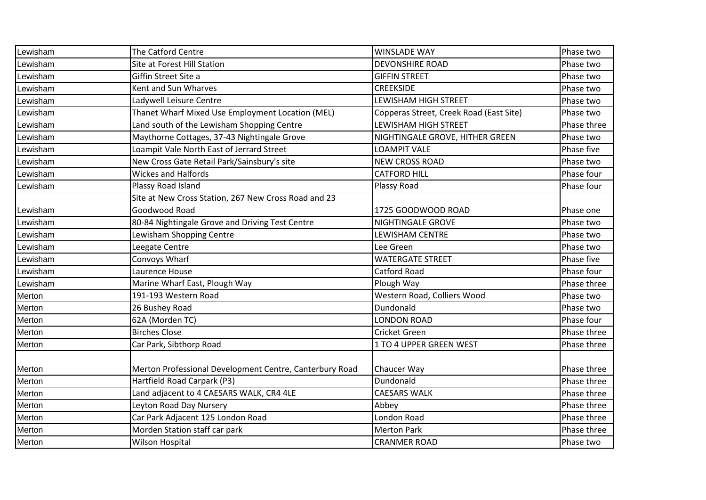| Lewisham | The Catford Centre                                      | <b>WINSLADE WAY</b>                     | Phase two   |
|----------|---------------------------------------------------------|-----------------------------------------|-------------|
| Lewisham | Site at Forest Hill Station                             | <b>DEVONSHIRE ROAD</b>                  | Phase two   |
| Lewisham | Giffin Street Site a                                    | <b>GIFFIN STREET</b>                    | Phase two   |
| Lewisham | Kent and Sun Wharves                                    | <b>CREEKSIDE</b>                        | Phase two   |
| Lewisham | Ladywell Leisure Centre                                 | LEWISHAM HIGH STREET                    | Phase two   |
| Lewisham | Thanet Wharf Mixed Use Employment Location (MEL)        | Copperas Street, Creek Road (East Site) | Phase two   |
| Lewisham | Land south of the Lewisham Shopping Centre              | <b>LEWISHAM HIGH STREET</b>             | Phase three |
| Lewisham | Maythorne Cottages, 37-43 Nightingale Grove             | NIGHTINGALE GROVE, HITHER GREEN         | Phase two   |
| Lewisham | Loampit Vale North East of Jerrard Street               | <b>LOAMPIT VALE</b>                     | Phase five  |
| Lewisham | New Cross Gate Retail Park/Sainsbury's site             | <b>NEW CROSS ROAD</b>                   | Phase two   |
| Lewisham | <b>Wickes and Halfords</b>                              | <b>CATFORD HILL</b>                     | Phase four  |
| Lewisham | Plassy Road Island                                      | Plassy Road                             | Phase four  |
|          | Site at New Cross Station, 267 New Cross Road and 23    |                                         |             |
| Lewisham | Goodwood Road                                           | 1725 GOODWOOD ROAD                      | Phase one   |
| Lewisham | 80-84 Nightingale Grove and Driving Test Centre         | NIGHTINGALE GROVE                       | Phase two   |
| Lewisham | Lewisham Shopping Centre                                | LEWISHAM CENTRE                         | Phase two   |
| Lewisham | Leegate Centre                                          | Lee Green                               | Phase two   |
| Lewisham | Convoys Wharf                                           | <b>WATERGATE STREET</b>                 | Phase five  |
| Lewisham | Laurence House                                          | <b>Catford Road</b>                     | Phase four  |
| Lewisham | Marine Wharf East, Plough Way                           | Plough Way                              | Phase three |
| Merton   | 191-193 Western Road                                    | Western Road, Colliers Wood             | Phase two   |
| Merton   | 26 Bushey Road                                          | Dundonald                               | Phase two   |
| Merton   | 62A (Morden TC)                                         | <b>LONDON ROAD</b>                      | Phase four  |
| Merton   | <b>Birches Close</b>                                    | Cricket Green                           | Phase three |
| Merton   | Car Park, Sibthorp Road                                 | 1 TO 4 UPPER GREEN WEST                 | Phase three |
|          |                                                         |                                         |             |
| Merton   | Merton Professional Development Centre, Canterbury Road | Chaucer Way                             | Phase three |
| Merton   | Hartfield Road Carpark (P3)                             | Dundonald                               | Phase three |
| Merton   | Land adjacent to 4 CAESARS WALK, CR4 4LE                | <b>CAESARS WALK</b>                     | Phase three |
| Merton   | Leyton Road Day Nursery                                 | Abbey                                   | Phase three |
| Merton   | Car Park Adjacent 125 London Road                       | London Road                             | Phase three |
| Merton   | Morden Station staff car park                           | <b>Merton Park</b>                      | Phase three |
| Merton   | <b>Wilson Hospital</b>                                  | <b>CRANMER ROAD</b>                     | Phase two   |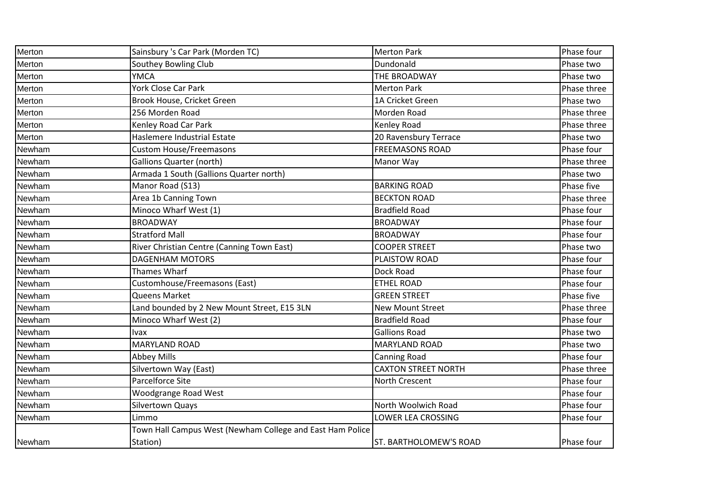| Merton | Sainsbury 's Car Park (Morden TC)                         | <b>Merton Park</b>            | Phase four  |
|--------|-----------------------------------------------------------|-------------------------------|-------------|
| Merton | Southey Bowling Club                                      | Dundonald                     | Phase two   |
| Merton | <b>YMCA</b>                                               | THE BROADWAY                  | Phase two   |
| Merton | York Close Car Park                                       | <b>Merton Park</b>            | Phase three |
| Merton | Brook House, Cricket Green                                | 1A Cricket Green              | Phase two   |
| Merton | 256 Morden Road                                           | Morden Road                   | Phase three |
| Merton | Kenley Road Car Park                                      | Kenley Road                   | Phase three |
| Merton | Haslemere Industrial Estate                               | 20 Ravensbury Terrace         | Phase two   |
| Newham | <b>Custom House/Freemasons</b>                            | <b>FREEMASONS ROAD</b>        | Phase four  |
| Newham | <b>Gallions Quarter (north)</b>                           | Manor Way                     | Phase three |
| Newham | Armada 1 South (Gallions Quarter north)                   |                               | Phase two   |
| Newham | Manor Road (S13)                                          | <b>BARKING ROAD</b>           | Phase five  |
| Newham | Area 1b Canning Town                                      | <b>BECKTON ROAD</b>           | Phase three |
| Newham | Minoco Wharf West (1)                                     | <b>Bradfield Road</b>         | Phase four  |
| Newham | <b>BROADWAY</b>                                           | <b>BROADWAY</b>               | Phase four  |
| Newham | <b>Stratford Mall</b>                                     | <b>BROADWAY</b>               | Phase four  |
| Newham | River Christian Centre (Canning Town East)                | <b>COOPER STREET</b>          | Phase two   |
| Newham | <b>DAGENHAM MOTORS</b>                                    | PLAISTOW ROAD                 | Phase four  |
| Newham | Thames Wharf                                              | Dock Road                     | Phase four  |
| Newham | Customhouse/Freemasons (East)                             | <b>ETHEL ROAD</b>             | Phase four  |
| Newham | <b>Queens Market</b>                                      | <b>GREEN STREET</b>           | Phase five  |
| Newham | Land bounded by 2 New Mount Street, E15 3LN               | <b>New Mount Street</b>       | Phase three |
| Newham | Minoco Wharf West (2)                                     | <b>Bradfield Road</b>         | Phase four  |
| Newham | Ivax                                                      | <b>Gallions Road</b>          | Phase two   |
| Newham | MARYLAND ROAD                                             | MARYLAND ROAD                 | Phase two   |
| Newham | <b>Abbey Mills</b>                                        | <b>Canning Road</b>           | Phase four  |
| Newham | Silvertown Way (East)                                     | <b>CAXTON STREET NORTH</b>    | Phase three |
| Newham | Parcelforce Site                                          | North Crescent                | Phase four  |
| Newham | <b>Woodgrange Road West</b>                               |                               | Phase four  |
| Newham | Silvertown Quays                                          | North Woolwich Road           | Phase four  |
| Newham | Limmo                                                     | LOWER LEA CROSSING            | Phase four  |
|        | Town Hall Campus West (Newham College and East Ham Police |                               |             |
| Newham | Station)                                                  | <b>ST. BARTHOLOMEW'S ROAD</b> | Phase four  |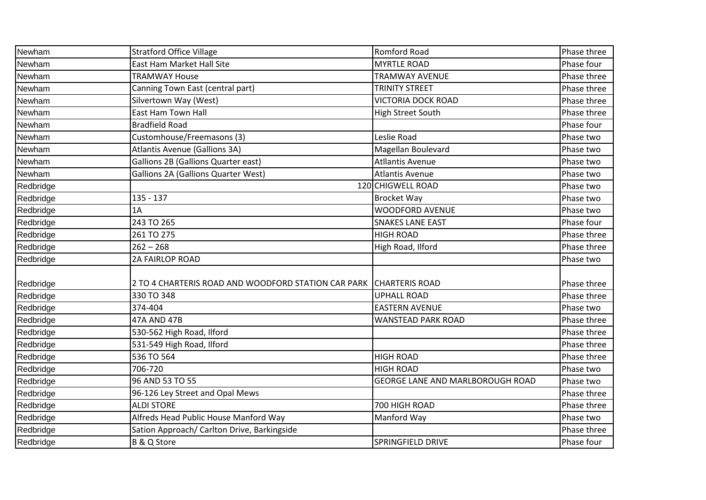| Newham    | <b>Stratford Office Village</b>                     | Romford Road                     | Phase three |
|-----------|-----------------------------------------------------|----------------------------------|-------------|
| Newham    | <b>East Ham Market Hall Site</b>                    | <b>MYRTLE ROAD</b>               | Phase four  |
| Newham    | <b>TRAMWAY House</b>                                | <b>TRAMWAY AVENUE</b>            | Phase three |
| Newham    | Canning Town East (central part)                    | <b>TRINITY STREET</b>            | Phase three |
| Newham    | Silvertown Way (West)                               | <b>VICTORIA DOCK ROAD</b>        | Phase three |
| Newham    | East Ham Town Hall                                  | <b>High Street South</b>         | Phase three |
| Newham    | <b>Bradfield Road</b>                               |                                  | Phase four  |
| Newham    | Customhouse/Freemasons (3)                          | Leslie Road                      | Phase two   |
| Newham    | Atlantis Avenue (Gallions 3A)                       | Magellan Boulevard               | Phase two   |
| Newham    | <b>Gallions 2B (Gallions Quarter east)</b>          | <b>Atllantis Avenue</b>          | Phase two   |
| Newham    | <b>Gallions 2A (Gallions Quarter West)</b>          | <b>Atlantis Avenue</b>           | Phase two   |
| Redbridge |                                                     | 120 CHIGWELL ROAD                | Phase two   |
| Redbridge | $135 - 137$                                         | <b>Brocket Way</b>               | Phase two   |
| Redbridge | 1A                                                  | WOODFORD AVENUE                  | Phase two   |
| Redbridge | 243 TO 265                                          | <b>SNAKES LANE EAST</b>          | Phase four  |
| Redbridge | 261 TO 275                                          | <b>HIGH ROAD</b>                 | Phase three |
| Redbridge | $262 - 268$                                         | High Road, Ilford                | Phase three |
| Redbridge | 2A FAIRLOP ROAD                                     |                                  | Phase two   |
|           |                                                     |                                  |             |
| Redbridge | 2 TO 4 CHARTERIS ROAD AND WOODFORD STATION CAR PARK | <b>CHARTERIS ROAD</b>            | Phase three |
| Redbridge | 330 TO 348                                          | <b>UPHALL ROAD</b>               | Phase three |
| Redbridge | 374-404                                             | <b>EASTERN AVENUE</b>            | Phase two   |
| Redbridge | 47A AND 47B                                         | WANSTEAD PARK ROAD               | Phase three |
| Redbridge | 530-562 High Road, Ilford                           |                                  | Phase three |
| Redbridge | 531-549 High Road, Ilford                           |                                  | Phase three |
| Redbridge | 536 TO 564                                          | <b>HIGH ROAD</b>                 | Phase three |
| Redbridge | 706-720                                             | <b>HIGH ROAD</b>                 | Phase two   |
| Redbridge | 96 AND 53 TO 55                                     | GEORGE LANE AND MARLBOROUGH ROAD | Phase two   |
| Redbridge | 96-126 Ley Street and Opal Mews                     |                                  | Phase three |
| Redbridge | <b>ALDI STORE</b>                                   | 700 HIGH ROAD                    | Phase three |
| Redbridge | Alfreds Head Public House Manford Way               | Manford Way                      | Phase two   |
| Redbridge | Sation Approach/ Carlton Drive, Barkingside         |                                  | Phase three |
| Redbridge | B & Q Store                                         | SPRINGFIELD DRIVE                | Phase four  |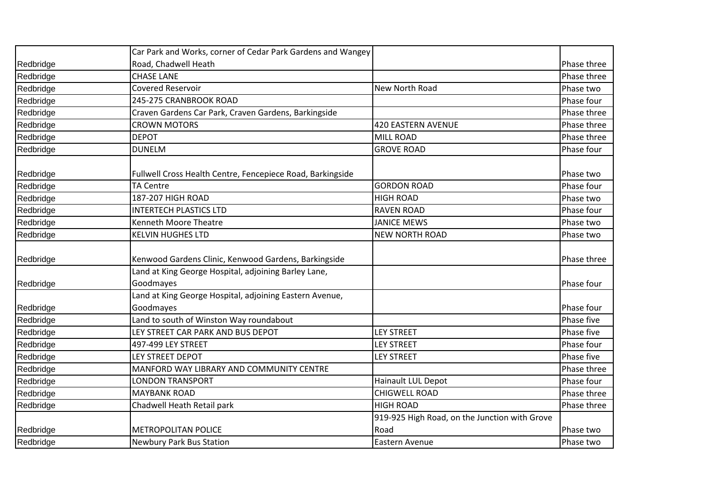|           | Car Park and Works, corner of Cedar Park Gardens and Wangey |                                               |             |
|-----------|-------------------------------------------------------------|-----------------------------------------------|-------------|
| Redbridge | Road, Chadwell Heath                                        |                                               | Phase three |
| Redbridge | <b>CHASE LANE</b>                                           |                                               | Phase three |
| Redbridge | <b>Covered Reservoir</b>                                    | New North Road                                | Phase two   |
| Redbridge | 245-275 CRANBROOK ROAD                                      |                                               | Phase four  |
| Redbridge | Craven Gardens Car Park, Craven Gardens, Barkingside        |                                               | Phase three |
| Redbridge | <b>CROWN MOTORS</b>                                         | <b>420 EASTERN AVENUE</b>                     | Phase three |
| Redbridge | <b>DEPOT</b>                                                | <b>MILL ROAD</b>                              | Phase three |
| Redbridge | <b>DUNELM</b>                                               | <b>GROVE ROAD</b>                             | Phase four  |
| Redbridge | Fullwell Cross Health Centre, Fencepiece Road, Barkingside  |                                               | Phase two   |
| Redbridge | <b>TA Centre</b>                                            | <b>GORDON ROAD</b>                            | Phase four  |
| Redbridge | 187-207 HIGH ROAD                                           | <b>HIGH ROAD</b>                              | Phase two   |
| Redbridge | <b>INTERTECH PLASTICS LTD</b>                               | <b>RAVEN ROAD</b>                             | Phase four  |
| Redbridge | Kenneth Moore Theatre                                       | <b>JANICE MEWS</b>                            | Phase two   |
| Redbridge | <b>KELVIN HUGHES LTD</b>                                    | <b>NEW NORTH ROAD</b>                         | Phase two   |
| Redbridge | Kenwood Gardens Clinic, Kenwood Gardens, Barkingside        |                                               | Phase three |
|           | Land at King George Hospital, adjoining Barley Lane,        |                                               |             |
| Redbridge | Goodmayes                                                   |                                               | Phase four  |
|           | Land at King George Hospital, adjoining Eastern Avenue,     |                                               |             |
| Redbridge | Goodmayes                                                   |                                               | Phase four  |
| Redbridge | Land to south of Winston Way roundabout                     |                                               | Phase five  |
| Redbridge | LEY STREET CAR PARK AND BUS DEPOT                           | <b>LEY STREET</b>                             | Phase five  |
| Redbridge | 497-499 LEY STREET                                          | <b>LEY STREET</b>                             | Phase four  |
| Redbridge | LEY STREET DEPOT                                            | <b>LEY STREET</b>                             | Phase five  |
| Redbridge | MANFORD WAY LIBRARY AND COMMUNITY CENTRE                    |                                               | Phase three |
| Redbridge | <b>LONDON TRANSPORT</b>                                     | Hainault LUL Depot                            | Phase four  |
| Redbridge | <b>MAYBANK ROAD</b>                                         | <b>CHIGWELL ROAD</b>                          | Phase three |
| Redbridge | Chadwell Heath Retail park                                  | <b>HIGH ROAD</b>                              | Phase three |
|           |                                                             | 919-925 High Road, on the Junction with Grove |             |
| Redbridge | <b>METROPOLITAN POLICE</b>                                  | Road                                          | Phase two   |
| Redbridge | <b>Newbury Park Bus Station</b>                             | Eastern Avenue                                | Phase two   |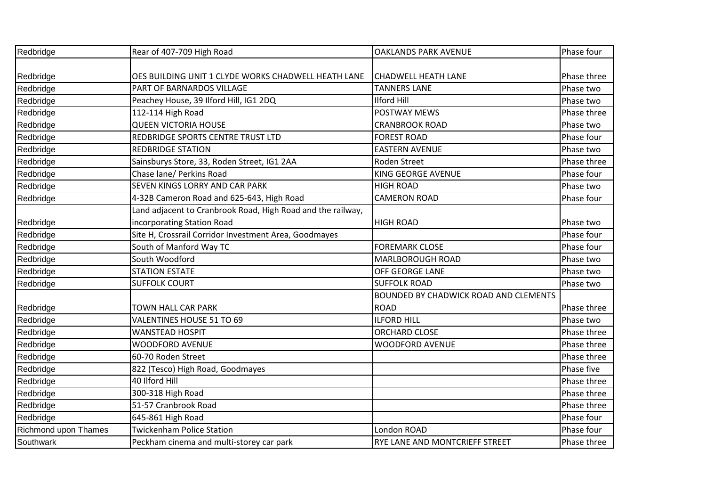| Redbridge            | Rear of 407-709 High Road                                   | <b>OAKLANDS PARK AVENUE</b>           | Phase four  |
|----------------------|-------------------------------------------------------------|---------------------------------------|-------------|
|                      |                                                             |                                       |             |
| Redbridge            | OES BUILDING UNIT 1 CLYDE WORKS CHADWELL HEATH LANE         | <b>CHADWELL HEATH LANE</b>            | Phase three |
| Redbridge            | PART OF BARNARDOS VILLAGE                                   | <b>TANNERS LANE</b>                   | Phase two   |
| Redbridge            | Peachey House, 39 Ilford Hill, IG1 2DQ                      | <b>Ilford Hill</b>                    | Phase two   |
| Redbridge            | 112-114 High Road                                           | <b>POSTWAY MEWS</b>                   | Phase three |
| Redbridge            | <b>QUEEN VICTORIA HOUSE</b>                                 | <b>CRANBROOK ROAD</b>                 | Phase two   |
| Redbridge            | REDBRIDGE SPORTS CENTRE TRUST LTD                           | <b>FOREST ROAD</b>                    | Phase four  |
| Redbridge            | <b>REDBRIDGE STATION</b>                                    | <b>EASTERN AVENUE</b>                 | Phase two   |
| Redbridge            | Sainsburys Store, 33, Roden Street, IG1 2AA                 | Roden Street                          | Phase three |
| Redbridge            | Chase lane/ Perkins Road                                    | <b>KING GEORGE AVENUE</b>             | Phase four  |
| Redbridge            | SEVEN KINGS LORRY AND CAR PARK                              | <b>HIGH ROAD</b>                      | Phase two   |
| Redbridge            | 4-32B Cameron Road and 625-643, High Road                   | <b>CAMERON ROAD</b>                   | Phase four  |
|                      | Land adjacent to Cranbrook Road, High Road and the railway, |                                       |             |
| Redbridge            | incorporating Station Road                                  | <b>HIGH ROAD</b>                      | Phase two   |
| Redbridge            | Site H, Crossrail Corridor Investment Area, Goodmayes       |                                       | Phase four  |
| Redbridge            | South of Manford Way TC                                     | <b>FOREMARK CLOSE</b>                 | Phase four  |
| Redbridge            | South Woodford                                              | MARLBOROUGH ROAD                      | Phase two   |
| Redbridge            | <b>STATION ESTATE</b>                                       | OFF GEORGE LANE                       | Phase two   |
| Redbridge            | <b>SUFFOLK COURT</b>                                        | <b>SUFFOLK ROAD</b>                   | Phase two   |
|                      |                                                             | BOUNDED BY CHADWICK ROAD AND CLEMENTS |             |
| Redbridge            | <b>TOWN HALL CAR PARK</b>                                   | <b>ROAD</b>                           | Phase three |
| Redbridge            | VALENTINES HOUSE 51 TO 69                                   | <b>ILFORD HILL</b>                    | Phase two   |
| Redbridge            | <b>WANSTEAD HOSPIT</b>                                      | <b>ORCHARD CLOSE</b>                  | Phase three |
| Redbridge            | <b>WOODFORD AVENUE</b>                                      | <b>WOODFORD AVENUE</b>                | Phase three |
| Redbridge            | 60-70 Roden Street                                          |                                       | Phase three |
| Redbridge            | 822 (Tesco) High Road, Goodmayes                            |                                       | Phase five  |
| Redbridge            | 40 Ilford Hill                                              |                                       | Phase three |
| Redbridge            | 300-318 High Road                                           |                                       | Phase three |
| Redbridge            | 51-57 Cranbrook Road                                        |                                       | Phase three |
| Redbridge            | 645-861 High Road                                           |                                       | Phase four  |
| Richmond upon Thames | <b>Twickenham Police Station</b>                            | London ROAD                           | Phase four  |
| Southwark            | Peckham cinema and multi-storey car park                    | RYE LANE AND MONTCRIEFF STREET        | Phase three |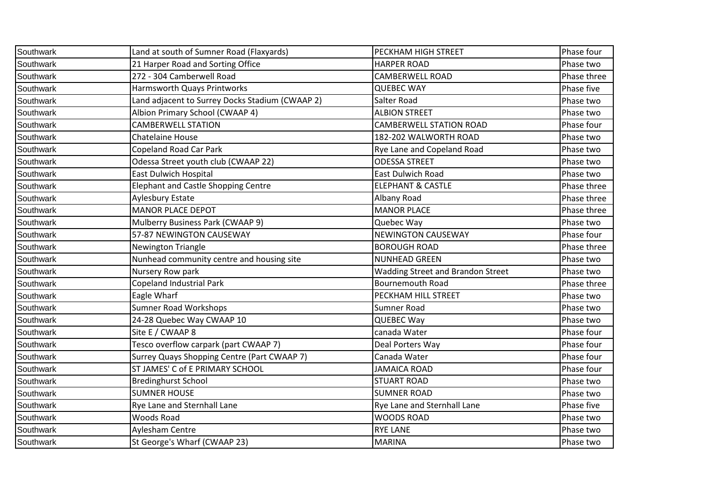| Southwark | Land at south of Sumner Road (Flaxyards)        | PECKHAM HIGH STREET                      | Phase four  |
|-----------|-------------------------------------------------|------------------------------------------|-------------|
| Southwark | 21 Harper Road and Sorting Office               | <b>HARPER ROAD</b>                       | Phase two   |
| Southwark | 272 - 304 Camberwell Road                       | <b>CAMBERWELL ROAD</b>                   | Phase three |
| Southwark | Harmsworth Quays Printworks                     | <b>QUEBEC WAY</b>                        | Phase five  |
| Southwark | Land adjacent to Surrey Docks Stadium (CWAAP 2) | Salter Road                              | Phase two   |
| Southwark | Albion Primary School (CWAAP 4)                 | <b>ALBION STREET</b>                     | Phase two   |
| Southwark | <b>CAMBERWELL STATION</b>                       | <b>CAMBERWELL STATION ROAD</b>           | Phase four  |
| Southwark | <b>Chatelaine House</b>                         | 182-202 WALWORTH ROAD                    | Phase two   |
| Southwark | Copeland Road Car Park                          | Rye Lane and Copeland Road               | Phase two   |
| Southwark | Odessa Street youth club (CWAAP 22)             | <b>ODESSA STREET</b>                     | Phase two   |
| Southwark | <b>East Dulwich Hospital</b>                    | <b>East Dulwich Road</b>                 | Phase two   |
| Southwark | <b>Elephant and Castle Shopping Centre</b>      | <b>ELEPHANT &amp; CASTLE</b>             | Phase three |
| Southwark | <b>Aylesbury Estate</b>                         | Albany Road                              | Phase three |
| Southwark | <b>MANOR PLACE DEPOT</b>                        | <b>MANOR PLACE</b>                       | Phase three |
| Southwark | Mulberry Business Park (CWAAP 9)                | Quebec Way                               | Phase two   |
| Southwark | 57-87 NEWINGTON CAUSEWAY                        | <b>NEWINGTON CAUSEWAY</b>                | Phase four  |
| Southwark | Newington Triangle                              | <b>BOROUGH ROAD</b>                      | Phase three |
| Southwark | Nunhead community centre and housing site       | <b>NUNHEAD GREEN</b>                     | Phase two   |
| Southwark | Nursery Row park                                | <b>Wadding Street and Brandon Street</b> | Phase two   |
| Southwark | Copeland Industrial Park                        | <b>Bournemouth Road</b>                  | Phase three |
| Southwark | Eagle Wharf                                     | PECKHAM HILL STREET                      | Phase two   |
| Southwark | <b>Sumner Road Workshops</b>                    | Sumner Road                              | Phase two   |
| Southwark | 24-28 Quebec Way CWAAP 10                       | <b>QUEBEC Way</b>                        | Phase two   |
| Southwark | Site E / CWAAP 8                                | canada Water                             | Phase four  |
| Southwark | Tesco overflow carpark (part CWAAP 7)           | Deal Porters Way                         | Phase four  |
| Southwark | Surrey Quays Shopping Centre (Part CWAAP 7)     | Canada Water                             | Phase four  |
| Southwark | ST JAMES' C of E PRIMARY SCHOOL                 | JAMAICA ROAD                             | Phase four  |
| Southwark | <b>Bredinghurst School</b>                      | <b>STUART ROAD</b>                       | Phase two   |
| Southwark | <b>SUMNER HOUSE</b>                             | <b>SUMNER ROAD</b>                       | Phase two   |
| Southwark | Rye Lane and Sternhall Lane                     | Rye Lane and Sternhall Lane              | Phase five  |
| Southwark | <b>Woods Road</b>                               | <b>WOODS ROAD</b>                        | Phase two   |
| Southwark | Aylesham Centre                                 | RYE LANE                                 | Phase two   |
| Southwark | St George's Wharf (CWAAP 23)                    | <b>MARINA</b>                            | Phase two   |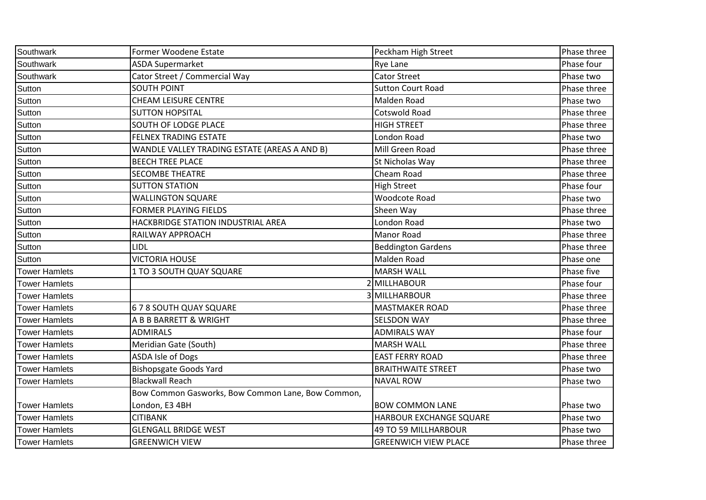| Southwark            | Former Woodene Estate                             | Peckham High Street         | Phase three |
|----------------------|---------------------------------------------------|-----------------------------|-------------|
| Southwark            | <b>ASDA Supermarket</b>                           | Rye Lane                    | Phase four  |
| Southwark            | Cator Street / Commercial Way                     | <b>Cator Street</b>         | Phase two   |
| Sutton               | <b>SOUTH POINT</b>                                | <b>Sutton Court Road</b>    | Phase three |
| Sutton               | <b>CHEAM LEISURE CENTRE</b>                       | Malden Road                 | Phase two   |
| Sutton               | <b>SUTTON HOPSITAL</b>                            | Cotswold Road               | Phase three |
| Sutton               | <b>SOUTH OF LODGE PLACE</b>                       | <b>HIGH STREET</b>          | Phase three |
| Sutton               | <b>FELNEX TRADING ESTATE</b>                      | London Road                 | Phase two   |
| Sutton               | WANDLE VALLEY TRADING ESTATE (AREAS A AND B)      | Mill Green Road             | Phase three |
| Sutton               | <b>BEECH TREE PLACE</b>                           | St Nicholas Way             | Phase three |
| Sutton               | <b>SECOMBE THEATRE</b>                            | Cheam Road                  | Phase three |
| Sutton               | <b>SUTTON STATION</b>                             | <b>High Street</b>          | Phase four  |
| Sutton               | <b>WALLINGTON SQUARE</b>                          | Woodcote Road               | Phase two   |
| Sutton               | <b>FORMER PLAYING FIELDS</b>                      | Sheen Way                   | Phase three |
| Sutton               | HACKBRIDGE STATION INDUSTRIAL AREA                | London Road                 | Phase two   |
| Sutton               | RAILWAY APPROACH                                  | Manor Road                  | Phase three |
| Sutton               | LIDL                                              | <b>Beddington Gardens</b>   | Phase three |
| Sutton               | <b>VICTORIA HOUSE</b>                             | Malden Road                 | Phase one   |
| <b>Tower Hamlets</b> | 1 TO 3 SOUTH QUAY SQUARE                          | <b>MARSH WALL</b>           | Phase five  |
| <b>Tower Hamlets</b> |                                                   | <b>MILLHABOUR</b>           | Phase four  |
| <b>Tower Hamlets</b> |                                                   | 3 MILLHARBOUR               | Phase three |
| <b>Tower Hamlets</b> | 678 SOUTH QUAY SQUARE                             | <b>MASTMAKER ROAD</b>       | Phase three |
| <b>Tower Hamlets</b> | A B B BARRETT & WRIGHT                            | <b>SELSDON WAY</b>          | Phase three |
| <b>Tower Hamlets</b> | <b>ADMIRALS</b>                                   | <b>ADMIRALS WAY</b>         | Phase four  |
| <b>Tower Hamlets</b> | Meridian Gate (South)                             | <b>MARSH WALL</b>           | Phase three |
| <b>Tower Hamlets</b> | <b>ASDA Isle of Dogs</b>                          | <b>EAST FERRY ROAD</b>      | Phase three |
| <b>Tower Hamlets</b> | <b>Bishopsgate Goods Yard</b>                     | <b>BRAITHWAITE STREET</b>   | Phase two   |
| <b>Tower Hamlets</b> | <b>Blackwall Reach</b>                            | <b>NAVAL ROW</b>            | Phase two   |
|                      | Bow Common Gasworks, Bow Common Lane, Bow Common, |                             |             |
| <b>Tower Hamlets</b> | London, E3 4BH                                    | <b>BOW COMMON LANE</b>      | Phase two   |
| <b>Tower Hamlets</b> | <b>CITIBANK</b>                                   | HARBOUR EXCHANGE SQUARE     | Phase two   |
| <b>Tower Hamlets</b> | <b>GLENGALL BRIDGE WEST</b>                       | 49 TO 59 MILLHARBOUR        | Phase two   |
| <b>Tower Hamlets</b> | <b>GREENWICH VIEW</b>                             | <b>GREENWICH VIEW PLACE</b> | Phase three |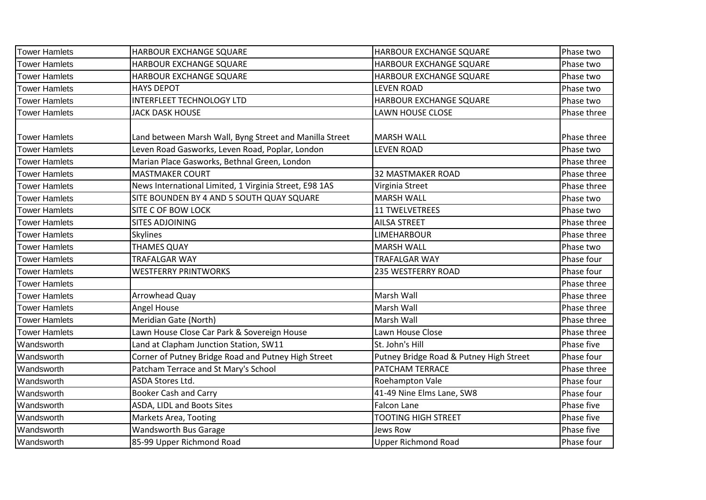| <b>Tower Hamlets</b> | HARBOUR EXCHANGE SQUARE                                 | HARBOUR EXCHANGE SQUARE                 | Phase two   |
|----------------------|---------------------------------------------------------|-----------------------------------------|-------------|
| <b>Tower Hamlets</b> | HARBOUR EXCHANGE SQUARE                                 | HARBOUR EXCHANGE SQUARE                 | Phase two   |
| <b>Tower Hamlets</b> | HARBOUR EXCHANGE SQUARE                                 | HARBOUR EXCHANGE SQUARE                 | Phase two   |
| <b>Tower Hamlets</b> | <b>HAYS DEPOT</b>                                       | <b>LEVEN ROAD</b>                       | Phase two   |
| <b>Tower Hamlets</b> | <b>INTERFLEET TECHNOLOGY LTD</b>                        | HARBOUR EXCHANGE SQUARE                 | Phase two   |
| <b>Tower Hamlets</b> | <b>JACK DASK HOUSE</b>                                  | <b>LAWN HOUSE CLOSE</b>                 | Phase three |
| <b>Tower Hamlets</b> | Land between Marsh Wall, Byng Street and Manilla Street | <b>MARSH WALL</b>                       | Phase three |
| <b>Tower Hamlets</b> | Leven Road Gasworks, Leven Road, Poplar, London         | <b>LEVEN ROAD</b>                       | Phase two   |
| <b>Tower Hamlets</b> | Marian Place Gasworks, Bethnal Green, London            |                                         | Phase three |
| <b>Tower Hamlets</b> | <b>MASTMAKER COURT</b>                                  | <b>32 MASTMAKER ROAD</b>                | Phase three |
| <b>Tower Hamlets</b> | News International Limited, 1 Virginia Street, E98 1AS  | Virginia Street                         | Phase three |
| <b>Tower Hamlets</b> | SITE BOUNDEN BY 4 AND 5 SOUTH QUAY SQUARE               | <b>MARSH WALL</b>                       | Phase two   |
| <b>Tower Hamlets</b> | <b>SITE C OF BOW LOCK</b>                               | <b>11 TWELVETREES</b>                   | Phase two   |
| <b>Tower Hamlets</b> | <b>SITES ADJOINING</b>                                  | <b>AILSA STREET</b>                     | Phase three |
| <b>Tower Hamlets</b> | <b>Skylines</b>                                         | LIMEHARBOUR                             | Phase three |
| <b>Tower Hamlets</b> | <b>THAMES QUAY</b>                                      | <b>MARSH WALL</b>                       | Phase two   |
| <b>Tower Hamlets</b> | <b>TRAFALGAR WAY</b>                                    | <b>TRAFALGAR WAY</b>                    | Phase four  |
| <b>Tower Hamlets</b> | <b>WESTFERRY PRINTWORKS</b>                             | 235 WESTFERRY ROAD                      | Phase four  |
| <b>Tower Hamlets</b> |                                                         |                                         | Phase three |
| <b>Tower Hamlets</b> | Arrowhead Quay                                          | Marsh Wall                              | Phase three |
| <b>Tower Hamlets</b> | <b>Angel House</b>                                      | Marsh Wall                              | Phase three |
| <b>Tower Hamlets</b> | Meridian Gate (North)                                   | Marsh Wall                              | Phase three |
| <b>Tower Hamlets</b> | Lawn House Close Car Park & Sovereign House             | Lawn House Close                        | Phase three |
| Wandsworth           | Land at Clapham Junction Station, SW11                  | St. John's Hill                         | Phase five  |
| Wandsworth           | Corner of Putney Bridge Road and Putney High Street     | Putney Bridge Road & Putney High Street | Phase four  |
| Wandsworth           | Patcham Terrace and St Mary's School                    | PATCHAM TERRACE                         | Phase three |
| Wandsworth           | <b>ASDA Stores Ltd.</b>                                 | Roehampton Vale                         | Phase four  |
| Wandsworth           | <b>Booker Cash and Carry</b>                            | 41-49 Nine Elms Lane, SW8               | Phase four  |
| Wandsworth           | ASDA, LIDL and Boots Sites                              | <b>Falcon Lane</b>                      | Phase five  |
| Wandsworth           | <b>Markets Area, Tooting</b>                            | <b>TOOTING HIGH STREET</b>              | Phase five  |
| Wandsworth           | Wandsworth Bus Garage                                   | Jews Row                                | Phase five  |
| Wandsworth           | 85-99 Upper Richmond Road                               | <b>Upper Richmond Road</b>              | Phase four  |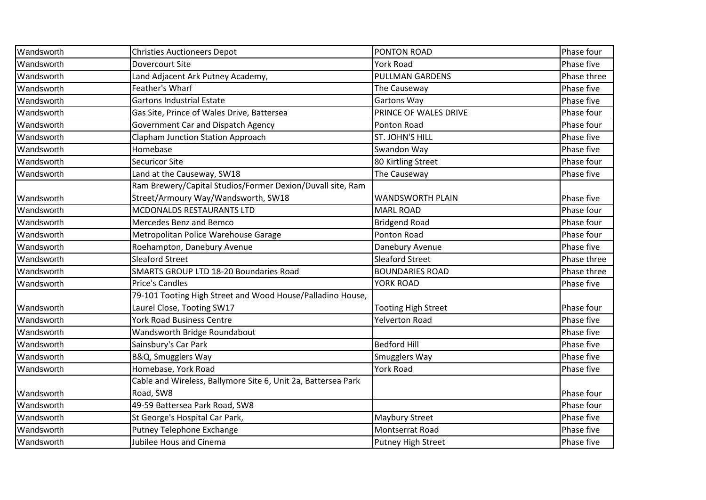| Wandsworth | <b>Christies Auctioneers Depot</b>                            | PONTON ROAD                | Phase four  |
|------------|---------------------------------------------------------------|----------------------------|-------------|
| Wandsworth | Dovercourt Site                                               | <b>York Road</b>           | Phase five  |
| Wandsworth | Land Adjacent Ark Putney Academy,                             | <b>PULLMAN GARDENS</b>     | Phase three |
| Wandsworth | Feather's Wharf                                               | The Causeway               | Phase five  |
| Wandsworth | <b>Gartons Industrial Estate</b>                              | <b>Gartons Way</b>         | Phase five  |
| Wandsworth | Gas Site, Prince of Wales Drive, Battersea                    | PRINCE OF WALES DRIVE      | Phase four  |
| Wandsworth | Government Car and Dispatch Agency                            | Ponton Road                | Phase four  |
| Wandsworth | <b>Clapham Junction Station Approach</b>                      | ST. JOHN'S HILL            | Phase five  |
| Wandsworth | Homebase                                                      | Swandon Way                | Phase five  |
| Wandsworth | <b>Securicor Site</b>                                         | 80 Kirtling Street         | Phase four  |
| Wandsworth | Land at the Causeway, SW18                                    | The Causeway               | Phase five  |
|            | Ram Brewery/Capital Studios/Former Dexion/Duvall site, Ram    |                            |             |
| Wandsworth | Street/Armoury Way/Wandsworth, SW18                           | <b>WANDSWORTH PLAIN</b>    | Phase five  |
| Wandsworth | <b>MCDONALDS RESTAURANTS LTD</b>                              | <b>MARL ROAD</b>           | Phase four  |
| Wandsworth | Mercedes Benz and Bemco                                       | <b>Bridgend Road</b>       | Phase four  |
| Wandsworth | Metropolitan Police Warehouse Garage                          | Ponton Road                | Phase four  |
| Wandsworth | Roehampton, Danebury Avenue                                   | Danebury Avenue            | Phase five  |
| Wandsworth | <b>Sleaford Street</b>                                        | <b>Sleaford Street</b>     | Phase three |
| Wandsworth | SMARTS GROUP LTD 18-20 Boundaries Road                        | <b>BOUNDARIES ROAD</b>     | Phase three |
| Wandsworth | <b>Price's Candles</b>                                        | YORK ROAD                  | Phase five  |
|            | 79-101 Tooting High Street and Wood House/Palladino House,    |                            |             |
| Wandsworth | Laurel Close, Tooting SW17                                    | <b>Tooting High Street</b> | Phase four  |
| Wandsworth | York Road Business Centre                                     | Yelverton Road             | Phase five  |
| Wandsworth | Wandsworth Bridge Roundabout                                  |                            | Phase five  |
| Wandsworth | Sainsbury's Car Park                                          | <b>Bedford Hill</b>        | Phase five  |
| Wandsworth | B&Q, Smugglers Way                                            | Smugglers Way              | Phase five  |
| Wandsworth | Homebase, York Road                                           | York Road                  | Phase five  |
|            | Cable and Wireless, Ballymore Site 6, Unit 2a, Battersea Park |                            |             |
| Wandsworth | Road, SW8                                                     |                            | Phase four  |
| Wandsworth | 49-59 Battersea Park Road, SW8                                |                            | Phase four  |
| Wandsworth | St George's Hospital Car Park,                                | Maybury Street             | Phase five  |
| Wandsworth | Putney Telephone Exchange                                     | Montserrat Road            | Phase five  |
| Wandsworth | Jubilee Hous and Cinema                                       | Putney High Street         | Phase five  |